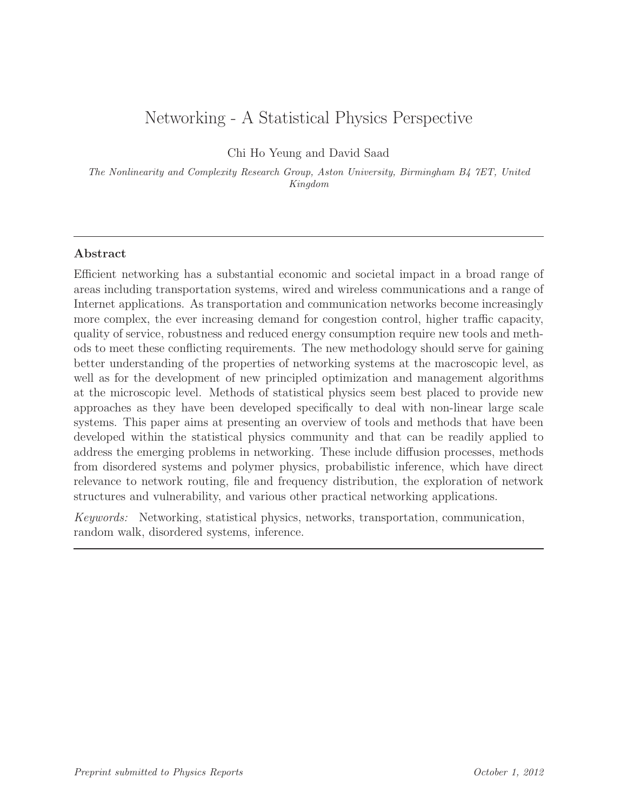# Networking - A Statistical Physics Perspective

Chi Ho Yeung and David Saad

The Nonlinearity and Complexity Research Group, Aston University, Birmingham B4 7ET, United Kingdom

# Abstract

Efficient networking has a substantial economic and societal impact in a broad range of areas including transportation systems, wired and wireless communications and a range of Internet applications. As transportation and communication networks become increasingly more complex, the ever increasing demand for congestion control, higher traffic capacity, quality of service, robustness and reduced energy consumption require new tools and methods to meet these conflicting requirements. The new methodology should serve for gaining better understanding of the properties of networking systems at the macroscopic level, as well as for the development of new principled optimization and management algorithms at the microscopic level. Methods of statistical physics seem best placed to provide new approaches as they have been developed specifically to deal with non-linear large scale systems. This paper aims at presenting an overview of tools and methods that have been developed within the statistical physics community and that can be readily applied to address the emerging problems in networking. These include diffusion processes, methods from disordered systems and polymer physics, probabilistic inference, which have direct relevance to network routing, file and frequency distribution, the exploration of network structures and vulnerability, and various other practical networking applications.

Keywords: Networking, statistical physics, networks, transportation, communication, random walk, disordered systems, inference.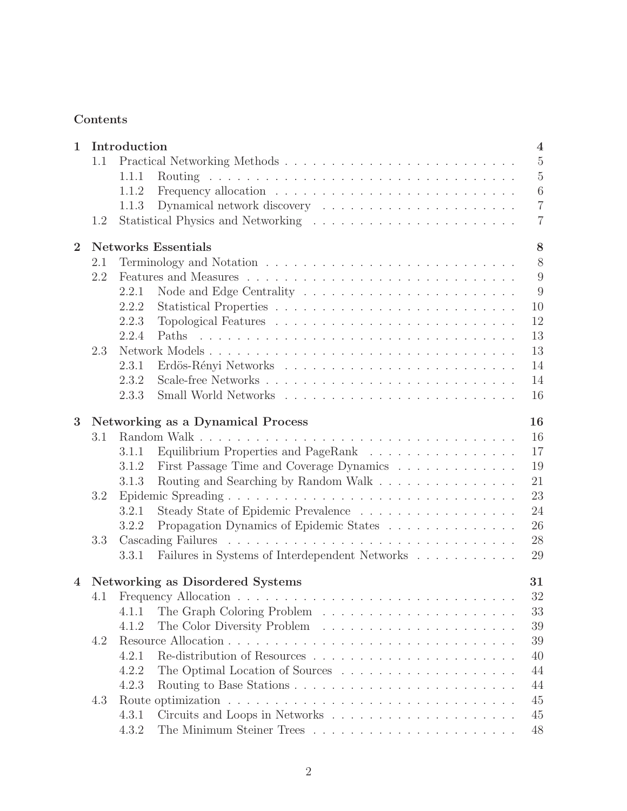# Contents

| 1.1<br>1.1.1<br>1.1.2<br>Dynamical network discovery $\ldots \ldots \ldots \ldots \ldots \ldots \ldots \ldots$<br>1.1.3<br>1.2<br><b>Networks Essentials</b><br>$\overline{2}$<br>2.1<br>2.2<br>2.2.1<br>2.2.2<br>2.2.3<br>2.2.4<br>Paths | 4               |
|-------------------------------------------------------------------------------------------------------------------------------------------------------------------------------------------------------------------------------------------|-----------------|
|                                                                                                                                                                                                                                           | $\bf 5$         |
|                                                                                                                                                                                                                                           | $\overline{5}$  |
|                                                                                                                                                                                                                                           | $6\phantom{.}6$ |
|                                                                                                                                                                                                                                           | $\overline{7}$  |
|                                                                                                                                                                                                                                           | $\overline{7}$  |
|                                                                                                                                                                                                                                           | 8               |
|                                                                                                                                                                                                                                           | 8               |
|                                                                                                                                                                                                                                           | 9               |
|                                                                                                                                                                                                                                           | 9               |
|                                                                                                                                                                                                                                           | 10              |
|                                                                                                                                                                                                                                           | 12              |
|                                                                                                                                                                                                                                           | 13              |
| Network Models<br>2.3                                                                                                                                                                                                                     | 13              |
| 2.3.1                                                                                                                                                                                                                                     | 14              |
| 2.3.2                                                                                                                                                                                                                                     | 14              |
| 2.3.3                                                                                                                                                                                                                                     | 16              |
|                                                                                                                                                                                                                                           |                 |
| Networking as a Dynamical Process<br>3                                                                                                                                                                                                    | 16              |
| 3.1                                                                                                                                                                                                                                       | 16              |
| Equilibrium Properties and PageRank<br>3.1.1                                                                                                                                                                                              | 17              |
| First Passage Time and Coverage Dynamics<br>3.1.2                                                                                                                                                                                         | 19              |
| Routing and Searching by Random Walk<br>3.1.3                                                                                                                                                                                             | 21              |
| 3.2                                                                                                                                                                                                                                       | 23              |
| 3.2.1                                                                                                                                                                                                                                     | 24              |
| Propagation Dynamics of Epidemic States<br>3.2.2                                                                                                                                                                                          | 26              |
| 3.3                                                                                                                                                                                                                                       | 28              |
| Failures in Systems of Interdependent Networks<br>3.3.1                                                                                                                                                                                   | 29              |
| 4 Networking as Disordered Systems                                                                                                                                                                                                        | 31              |
|                                                                                                                                                                                                                                           | 32              |
| 4.1.1                                                                                                                                                                                                                                     | 33              |
| 4.1.2                                                                                                                                                                                                                                     | 39              |
| 4.2                                                                                                                                                                                                                                       | 39              |
| 4.2.1                                                                                                                                                                                                                                     | 40              |
| 4.2.2                                                                                                                                                                                                                                     | 44              |
| 4.2.3                                                                                                                                                                                                                                     | 44              |
| 4.3                                                                                                                                                                                                                                       | 45              |
| 4.3.1                                                                                                                                                                                                                                     | 45              |
| 4.3.2                                                                                                                                                                                                                                     | 48              |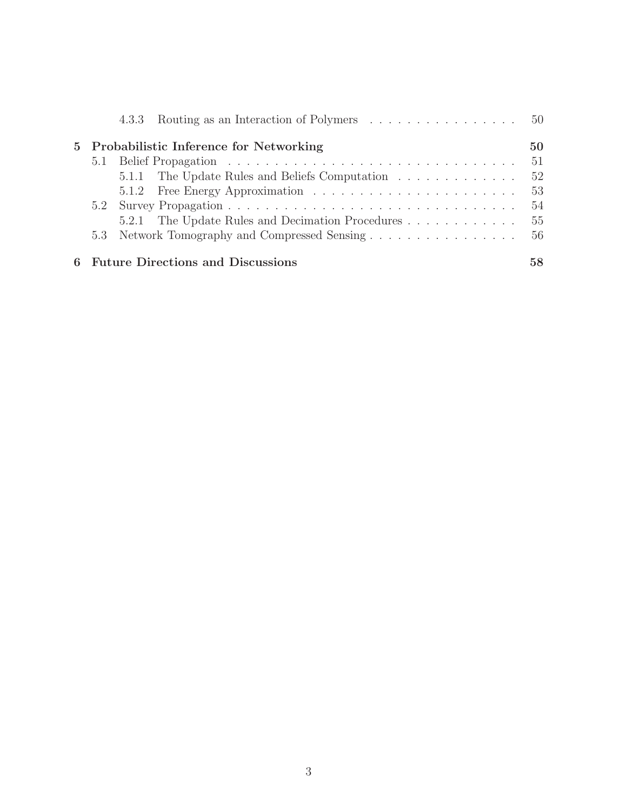|  | 4.3.3 Routing as an Interaction of Polymers 50   |  |  |  |  |  |  |    |
|--|--------------------------------------------------|--|--|--|--|--|--|----|
|  | 5 Probabilistic Inference for Networking         |  |  |  |  |  |  | 50 |
|  |                                                  |  |  |  |  |  |  | 51 |
|  | 5.1.1 The Update Rules and Beliefs Computation   |  |  |  |  |  |  | 52 |
|  |                                                  |  |  |  |  |  |  | 53 |
|  |                                                  |  |  |  |  |  |  | 54 |
|  | 5.2.1 The Update Rules and Decimation Procedures |  |  |  |  |  |  | 55 |
|  | 5.3 Network Tomography and Compressed Sensing    |  |  |  |  |  |  | 56 |
|  | 6 Future Directions and Discussions              |  |  |  |  |  |  | 58 |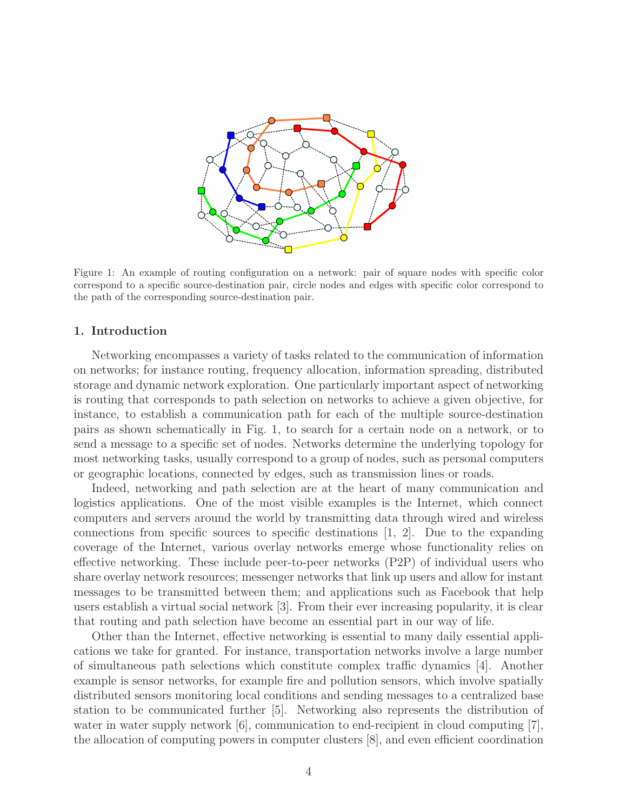

Figure 1: An example of routing configuration on a network: pair of square nodes with specific color correspond to a specific source-destination pair, circle nodes and edges with specific color correspond to the path of the corresponding source-destination pair.

# 1. Introduction

Networking encompasses a variety of tasks related to the communication of information on networks; for instance routing, frequency allocation, information spreading, distributed storage and dynamic network exploration. One particularly important aspect of networking is routing that corresponds to path selection on networks to achieve a given objective, for instance, to establish a communication path for each of the multiple source-destination pairs as shown schematically in Fig. 1, to search for a certain node on a network, or to send a message to a specific set of nodes. Networks determine the underlying topology for most networking tasks, usually correspond to a group of nodes, such as personal computers or geographic locations, connected by edges, such as transmission lines or roads.

Indeed, networking and path selection are at the heart of many communication and logistics applications. One of the most visible examples is the Internet, which connect computers and servers around the world by transmitting data through wired and wireless connections from specific sources to specific destinations  $[1, 2]$ . Due to the expanding coverage of the Internet, various overlay networks emerge whose functionality relies on effective networking. These include peer-to-peer networks (P2P) of individual users who share overlay network resources; messenger networks that link up users and allow for instant messages to be transmitted between them; and applications such as Facebook that help users establish a virtual social network [3]. From their ever increasing popularity, it is clear that routing and path selection have become an essential part in our way of life.

Other than the Internet, effective networking is essential to many daily essential applications we take for granted. For instance, transportation networks involve a large number of simultaneous path selections which constitute complex traffic dynamics [4]. Another example is sensor networks, for example fire and pollution sensors, which involve spatially distributed sensors monitoring local conditions and sending messages to a centralized base station to be communicated further [5]. Networking also represents the distribution of water in water supply network [6], communication to end-recipient in cloud computing [7], the allocation of computing powers in computer clusters [8], and even efficient coordination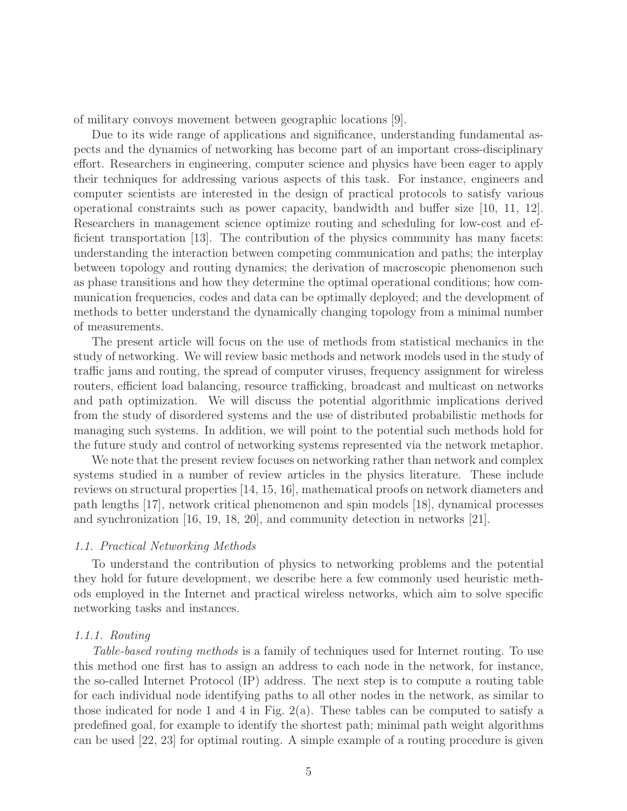of military convoys movement between geographic locations [9].

Due to its wide range of applications and significance, understanding fundamental aspects and the dynamics of networking has become part of an important cross-disciplinary effort. Researchers in engineering, computer science and physics have been eager to apply their techniques for addressing various aspects of this task. For instance, engineers and computer scientists are interested in the design of practical protocols to satisfy various operational constraints such as power capacity, bandwidth and buffer size [10, 11, 12]. Researchers in management science optimize routing and scheduling for low-cost and efficient transportation [13]. The contribution of the physics community has many facets: understanding the interaction between competing communication and paths; the interplay between topology and routing dynamics; the derivation of macroscopic phenomenon such as phase transitions and how they determine the optimal operational conditions; how communication frequencies, codes and data can be optimally deployed; and the development of methods to better understand the dynamically changing topology from a minimal number of measurements.

The present article will focus on the use of methods from statistical mechanics in the study of networking. We will review basic methods and network models used in the study of traffic jams and routing, the spread of computer viruses, frequency assignment for wireless routers, efficient load balancing, resource trafficking, broadcast and multicast on networks and path optimization. We will discuss the potential algorithmic implications derived from the study of disordered systems and the use of distributed probabilistic methods for managing such systems. In addition, we will point to the potential such methods hold for the future study and control of networking systems represented via the network metaphor.

We note that the present review focuses on networking rather than network and complex systems studied in a number of review articles in the physics literature. These include reviews on structural properties [14, 15, 16], mathematical proofs on network diameters and path lengths [17], network critical phenomenon and spin models [18], dynamical processes and synchronization [16, 19, 18, 20], and community detection in networks [21].

### 1.1. Practical Networking Methods

To understand the contribution of physics to networking problems and the potential they hold for future development, we describe here a few commonly used heuristic methods employed in the Internet and practical wireless networks, which aim to solve specific networking tasks and instances.

### 1.1.1. Routing

Table-based routing methods is a family of techniques used for Internet routing. To use this method one first has to assign an address to each node in the network, for instance, the so-called Internet Protocol (IP) address. The next step is to compute a routing table for each individual node identifying paths to all other nodes in the network, as similar to those indicated for node 1 and 4 in Fig. 2(a). These tables can be computed to satisfy a predefined goal, for example to identify the shortest path; minimal path weight algorithms can be used [22, 23] for optimal routing. A simple example of a routing procedure is given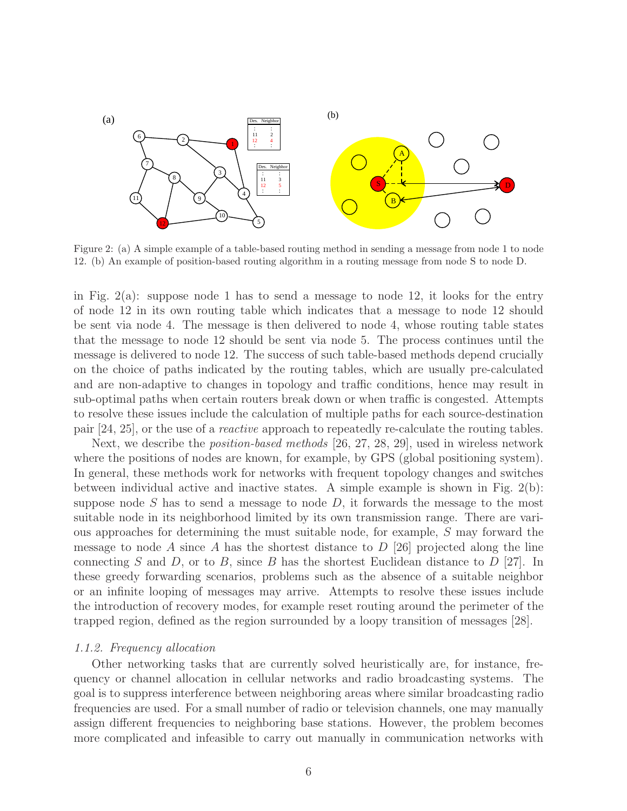

Figure 2: (a) A simple example of a table-based routing method in sending a message from node 1 to node 12. (b) An example of position-based routing algorithm in a routing message from node S to node D.

in Fig. 2(a): suppose node 1 has to send a message to node 12, it looks for the entry of node 12 in its own routing table which indicates that a message to node 12 should be sent via node 4. The message is then delivered to node 4, whose routing table states that the message to node 12 should be sent via node 5. The process continues until the message is delivered to node 12. The success of such table-based methods depend crucially on the choice of paths indicated by the routing tables, which are usually pre-calculated and are non-adaptive to changes in topology and traffic conditions, hence may result in sub-optimal paths when certain routers break down or when traffic is congested. Attempts to resolve these issues include the calculation of multiple paths for each source-destination pair [24, 25], or the use of a reactive approach to repeatedly re-calculate the routing tables.

Next, we describe the *position-based methods* [26, 27, 28, 29], used in wireless network where the positions of nodes are known, for example, by GPS (global positioning system). In general, these methods work for networks with frequent topology changes and switches between individual active and inactive states. A simple example is shown in Fig. 2(b): suppose node  $S$  has to send a message to node  $D$ , it forwards the message to the most suitable node in its neighborhood limited by its own transmission range. There are various approaches for determining the must suitable node, for example, S may forward the message to node A since A has the shortest distance to  $D$  [26] projected along the line connecting S and D, or to B, since B has the shortest Euclidean distance to  $D$  [27]. In these greedy forwarding scenarios, problems such as the absence of a suitable neighbor or an infinite looping of messages may arrive. Attempts to resolve these issues include the introduction of recovery modes, for example reset routing around the perimeter of the trapped region, defined as the region surrounded by a loopy transition of messages [28].

#### 1.1.2. Frequency allocation

Other networking tasks that are currently solved heuristically are, for instance, frequency or channel allocation in cellular networks and radio broadcasting systems. The goal is to suppress interference between neighboring areas where similar broadcasting radio frequencies are used. For a small number of radio or television channels, one may manually assign different frequencies to neighboring base stations. However, the problem becomes more complicated and infeasible to carry out manually in communication networks with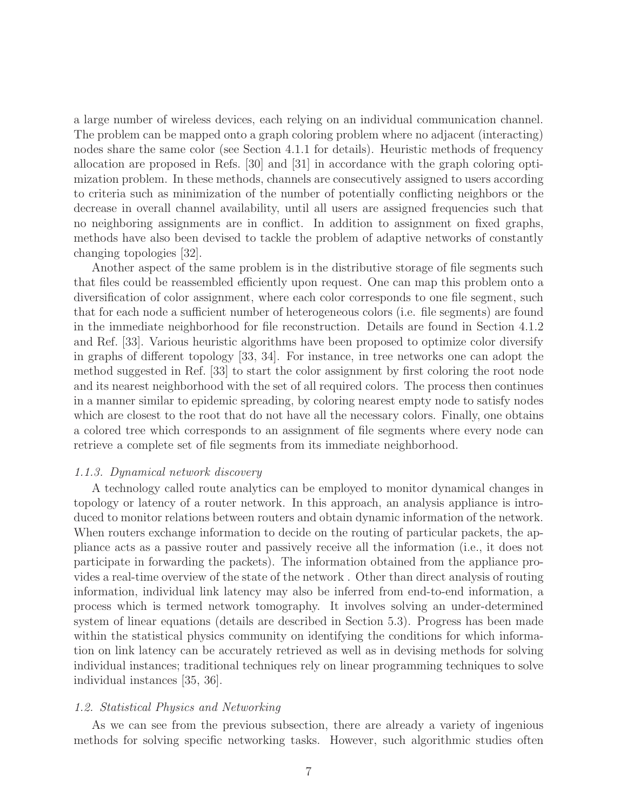a large number of wireless devices, each relying on an individual communication channel. The problem can be mapped onto a graph coloring problem where no adjacent (interacting) nodes share the same color (see Section 4.1.1 for details). Heuristic methods of frequency allocation are proposed in Refs. [30] and [31] in accordance with the graph coloring optimization problem. In these methods, channels are consecutively assigned to users according to criteria such as minimization of the number of potentially conflicting neighbors or the decrease in overall channel availability, until all users are assigned frequencies such that no neighboring assignments are in conflict. In addition to assignment on fixed graphs, methods have also been devised to tackle the problem of adaptive networks of constantly changing topologies [32].

Another aspect of the same problem is in the distributive storage of file segments such that files could be reassembled efficiently upon request. One can map this problem onto a diversification of color assignment, where each color corresponds to one file segment, such that for each node a sufficient number of heterogeneous colors (i.e. file segments) are found in the immediate neighborhood for file reconstruction. Details are found in Section 4.1.2 and Ref. [33]. Various heuristic algorithms have been proposed to optimize color diversify in graphs of different topology [33, 34]. For instance, in tree networks one can adopt the method suggested in Ref. [33] to start the color assignment by first coloring the root node and its nearest neighborhood with the set of all required colors. The process then continues in a manner similar to epidemic spreading, by coloring nearest empty node to satisfy nodes which are closest to the root that do not have all the necessary colors. Finally, one obtains a colored tree which corresponds to an assignment of file segments where every node can retrieve a complete set of file segments from its immediate neighborhood.

#### 1.1.3. Dynamical network discovery

A technology called route analytics can be employed to monitor dynamical changes in topology or latency of a router network. In this approach, an analysis appliance is introduced to monitor relations between routers and obtain dynamic information of the network. When routers exchange information to decide on the routing of particular packets, the appliance acts as a passive router and passively receive all the information (i.e., it does not participate in forwarding the packets). The information obtained from the appliance provides a real-time overview of the state of the network . Other than direct analysis of routing information, individual link latency may also be inferred from end-to-end information, a process which is termed network tomography. It involves solving an under-determined system of linear equations (details are described in Section 5.3). Progress has been made within the statistical physics community on identifying the conditions for which information on link latency can be accurately retrieved as well as in devising methods for solving individual instances; traditional techniques rely on linear programming techniques to solve individual instances [35, 36].

#### 1.2. Statistical Physics and Networking

As we can see from the previous subsection, there are already a variety of ingenious methods for solving specific networking tasks. However, such algorithmic studies often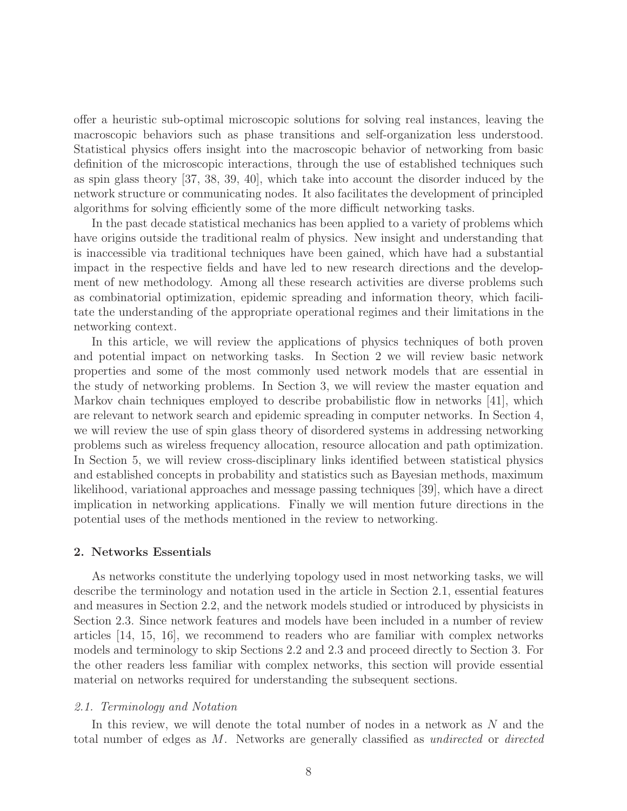offer a heuristic sub-optimal microscopic solutions for solving real instances, leaving the macroscopic behaviors such as phase transitions and self-organization less understood. Statistical physics offers insight into the macroscopic behavior of networking from basic definition of the microscopic interactions, through the use of established techniques such as spin glass theory [37, 38, 39, 40], which take into account the disorder induced by the network structure or communicating nodes. It also facilitates the development of principled algorithms for solving efficiently some of the more difficult networking tasks.

In the past decade statistical mechanics has been applied to a variety of problems which have origins outside the traditional realm of physics. New insight and understanding that is inaccessible via traditional techniques have been gained, which have had a substantial impact in the respective fields and have led to new research directions and the development of new methodology. Among all these research activities are diverse problems such as combinatorial optimization, epidemic spreading and information theory, which facilitate the understanding of the appropriate operational regimes and their limitations in the networking context.

In this article, we will review the applications of physics techniques of both proven and potential impact on networking tasks. In Section 2 we will review basic network properties and some of the most commonly used network models that are essential in the study of networking problems. In Section 3, we will review the master equation and Markov chain techniques employed to describe probabilistic flow in networks [41], which are relevant to network search and epidemic spreading in computer networks. In Section 4, we will review the use of spin glass theory of disordered systems in addressing networking problems such as wireless frequency allocation, resource allocation and path optimization. In Section 5, we will review cross-disciplinary links identified between statistical physics and established concepts in probability and statistics such as Bayesian methods, maximum likelihood, variational approaches and message passing techniques [39], which have a direct implication in networking applications. Finally we will mention future directions in the potential uses of the methods mentioned in the review to networking.

#### 2. Networks Essentials

As networks constitute the underlying topology used in most networking tasks, we will describe the terminology and notation used in the article in Section 2.1, essential features and measures in Section 2.2, and the network models studied or introduced by physicists in Section 2.3. Since network features and models have been included in a number of review articles [14, 15, 16], we recommend to readers who are familiar with complex networks models and terminology to skip Sections 2.2 and 2.3 and proceed directly to Section 3. For the other readers less familiar with complex networks, this section will provide essential material on networks required for understanding the subsequent sections.

#### 2.1. Terminology and Notation

In this review, we will denote the total number of nodes in a network as N and the total number of edges as M. Networks are generally classified as undirected or directed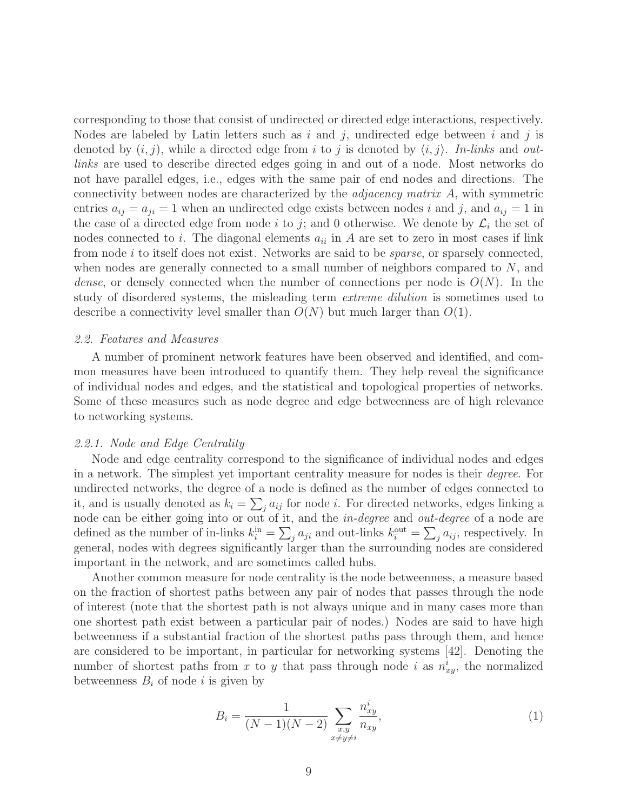corresponding to those that consist of undirected or directed edge interactions, respectively. Nodes are labeled by Latin letters such as i and j, undirected edge between i and j is denoted by  $(i, j)$ , while a directed edge from i to j is denoted by  $\langle i, j \rangle$ . In-links and outlinks are used to describe directed edges going in and out of a node. Most networks do not have parallel edges, i.e., edges with the same pair of end nodes and directions. The connectivity between nodes are characterized by the adjacency matrix A, with symmetric entries  $a_{ij} = a_{ji} = 1$  when an undirected edge exists between nodes i and j, and  $a_{ij} = 1$  in the case of a directed edge from node i to j; and 0 otherwise. We denote by  $\mathcal{L}_i$  the set of nodes connected to i. The diagonal elements  $a_{ii}$  in A are set to zero in most cases if link from node i to itself does not exist. Networks are said to be sparse, or sparsely connected, when nodes are generally connected to a small number of neighbors compared to  $N$ , and dense, or densely connected when the number of connections per node is  $O(N)$ . In the study of disordered systems, the misleading term extreme dilution is sometimes used to describe a connectivity level smaller than  $O(N)$  but much larger than  $O(1)$ .

#### 2.2. Features and Measures

A number of prominent network features have been observed and identified, and common measures have been introduced to quantify them. They help reveal the significance of individual nodes and edges, and the statistical and topological properties of networks. Some of these measures such as node degree and edge betweenness are of high relevance to networking systems.

#### 2.2.1. Node and Edge Centrality

Node and edge centrality correspond to the significance of individual nodes and edges in a network. The simplest yet important centrality measure for nodes is their degree. For undirected networks, the degree of a node is defined as the number of edges connected to it, and is usually denoted as  $k_i = \sum_j a_{ij}$  for node *i*. For directed networks, edges linking a node can be either going into or out of it, and the in-degree and out-degree of a node are defined as the number of in-links  $k_i^{\text{in}} = \sum_j a_{ji}$  and out-links  $k_i^{\text{out}} = \sum_j a_{ij}$ , respectively. In general, nodes with degrees significantly larger than the surrounding nodes are considered important in the network, and are sometimes called hubs.

Another common measure for node centrality is the node betweenness, a measure based on the fraction of shortest paths between any pair of nodes that passes through the node of interest (note that the shortest path is not always unique and in many cases more than one shortest path exist between a particular pair of nodes.) Nodes are said to have high betweenness if a substantial fraction of the shortest paths pass through them, and hence are considered to be important, in particular for networking systems [42]. Denoting the number of shortest paths from x to y that pass through node i as  $n_{xy}^i$ , the normalized betweenness  $B_i$  of node i is given by

$$
B_i = \frac{1}{(N-1)(N-2)} \sum_{\substack{x,y \\ x \neq y \neq i}} \frac{n_{xy}^i}{n_{xy}},
$$
\n(1)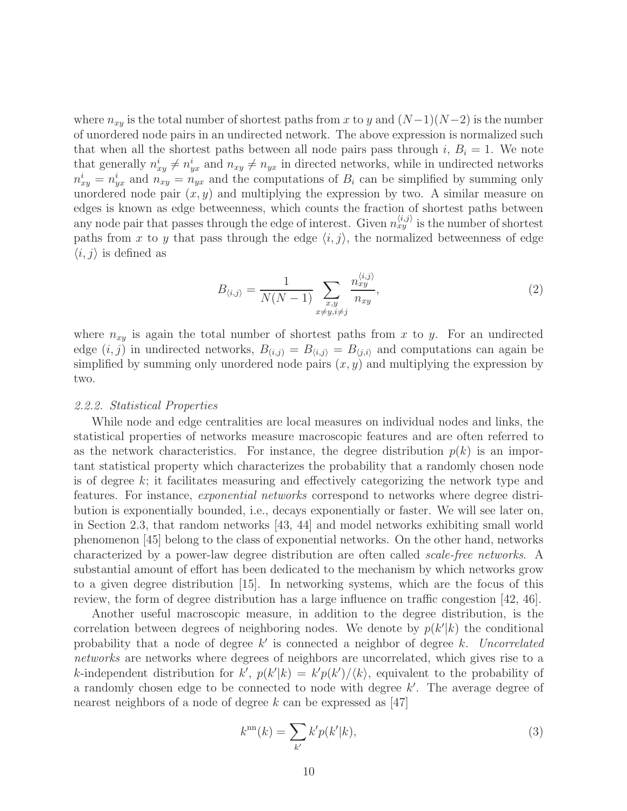where  $n_{xy}$  is the total number of shortest paths from x to y and  $(N-1)(N-2)$  is the number of unordered node pairs in an undirected network. The above expression is normalized such that when all the shortest paths between all node pairs pass through i,  $B_i = 1$ . We note that generally  $n_{xy}^i \neq n_{yx}^i$  and  $n_{xy} \neq n_{yx}$  in directed networks, while in undirected networks  $n_{xy}^i = n_{yx}^i$  and  $n_{xy}^i = n_{yx}$  and the computations of  $B_i$  can be simplified by summing only unordered node pair  $(x, y)$  and multiplying the expression by two. A similar measure on edges is known as edge betweenness, which counts the fraction of shortest paths between any node pair that passes through the edge of interest. Given  $n_{xy}^{\langle i,j\rangle}$  is the number of shortest paths from x to y that pass through the edge  $\langle i, j \rangle$ , the normalized betweenness of edge  $\langle i, j \rangle$  is defined as

$$
B_{\langle i,j\rangle} = \frac{1}{N(N-1)} \sum_{\substack{x,y\\x \neq y, i \neq j}} \frac{n_{xy}^{\langle i,j\rangle}}{n_{xy}},\tag{2}
$$

where  $n_{xy}$  is again the total number of shortest paths from x to y. For an undirected edge  $(i, j)$  in undirected networks,  $B_{(i,j)} = B_{(i,j)} = B_{(j,i)}$  and computations can again be simplified by summing only unordered node pairs  $(x, y)$  and multiplying the expression by two.

#### 2.2.2. Statistical Properties

While node and edge centralities are local measures on individual nodes and links, the statistical properties of networks measure macroscopic features and are often referred to as the network characteristics. For instance, the degree distribution  $p(k)$  is an important statistical property which characterizes the probability that a randomly chosen node is of degree  $k$ ; it facilitates measuring and effectively categorizing the network type and features. For instance, exponential networks correspond to networks where degree distribution is exponentially bounded, i.e., decays exponentially or faster. We will see later on, in Section 2.3, that random networks [43, 44] and model networks exhibiting small world phenomenon [45] belong to the class of exponential networks. On the other hand, networks characterized by a power-law degree distribution are often called scale-free networks. A substantial amount of effort has been dedicated to the mechanism by which networks grow to a given degree distribution [15]. In networking systems, which are the focus of this review, the form of degree distribution has a large influence on traffic congestion [42, 46].

Another useful macroscopic measure, in addition to the degree distribution, is the correlation between degrees of neighboring nodes. We denote by  $p(k'|k)$  the conditional probability that a node of degree  $k'$  is connected a neighbor of degree k. Uncorrelated networks are networks where degrees of neighbors are uncorrelated, which gives rise to a k-independent distribution for  $k'$ ,  $p(k'|k) = k'p(k')/\langle k \rangle$ , equivalent to the probability of a randomly chosen edge to be connected to node with degree k'. The average degree of nearest neighbors of a node of degree  $k$  can be expressed as [47]

$$
k^{\rm nn}(k) = \sum_{k'} k' p(k'|k),\tag{3}
$$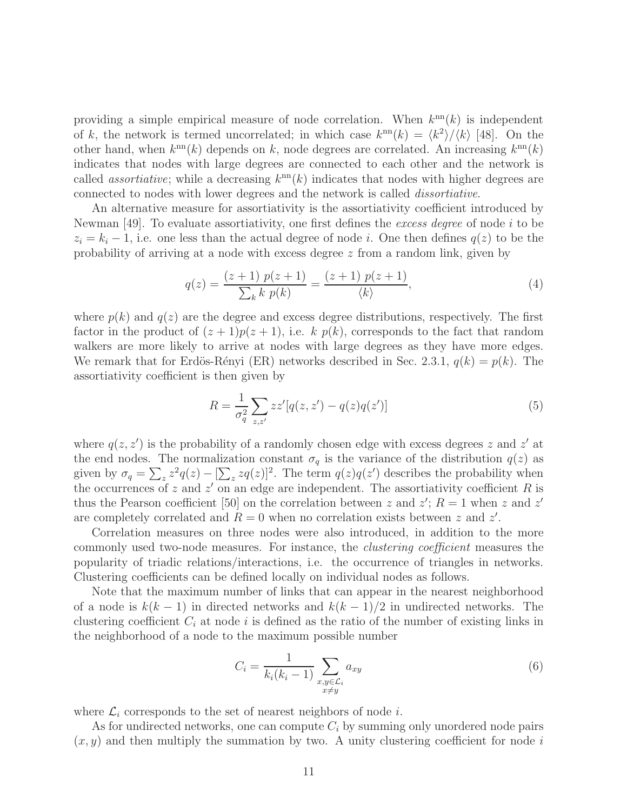providing a simple empirical measure of node correlation. When  $k^{\text{nn}}(k)$  is independent of k, the network is termed uncorrelated; in which case  $k^{\text{nn}}(k) = \langle k^2 \rangle / \langle k \rangle$  [48]. On the other hand, when  $k^{\text{nn}}(k)$  depends on k, node degrees are correlated. An increasing  $k^{\text{nn}}(k)$ indicates that nodes with large degrees are connected to each other and the network is called *assortiative*; while a decreasing  $k^{\text{nn}}(k)$  indicates that nodes with higher degrees are connected to nodes with lower degrees and the network is called dissortiative.

An alternative measure for assortiativity is the assortiativity coefficient introduced by Newman [49]. To evaluate assortiativity, one first defines the excess degree of node i to be  $z_i = k_i - 1$ , i.e. one less than the actual degree of node i. One then defines  $q(z)$  to be the probability of arriving at a node with excess degree z from a random link, given by

$$
q(z) = \frac{(z+1) p(z+1)}{\sum_{k} k p(k)} = \frac{(z+1) p(z+1)}{\langle k \rangle},
$$
\n(4)

where  $p(k)$  and  $q(z)$  are the degree and excess degree distributions, respectively. The first factor in the product of  $(z + 1)p(z + 1)$ , i.e. k  $p(k)$ , corresponds to the fact that random walkers are more likely to arrive at nodes with large degrees as they have more edges. We remark that for Erdös-Rényi (ER) networks described in Sec. 2.3.1,  $q(k) = p(k)$ . The assortiativity coefficient is then given by

$$
R = \frac{1}{\sigma_q^2} \sum_{z,z'} z z'[q(z,z') - q(z)q(z')]
$$
(5)

where  $q(z, z')$  is the probability of a randomly chosen edge with excess degrees z and z' at the end nodes. The normalization constant  $\sigma_q$  is the variance of the distribution  $q(z)$  as given by  $\sigma_q = \sum_z z^2 q(z) - [\sum_z zq(z)]^2$ . The term  $q(z)q(z')$  describes the probability when the occurrences of z and  $z'$  on an edge are independent. The assortiativity coefficient R is thus the Pearson coefficient [50] on the correlation between z and  $z'$ ;  $R = 1$  when z and  $z'$ are completely correlated and  $R = 0$  when no correlation exists between z and z'.

Correlation measures on three nodes were also introduced, in addition to the more commonly used two-node measures. For instance, the clustering coefficient measures the popularity of triadic relations/interactions, i.e. the occurrence of triangles in networks. Clustering coefficients can be defined locally on individual nodes as follows.

Note that the maximum number of links that can appear in the nearest neighborhood of a node is  $k(k-1)$  in directed networks and  $k(k-1)/2$  in undirected networks. The clustering coefficient  $C_i$  at node i is defined as the ratio of the number of existing links in the neighborhood of a node to the maximum possible number

$$
C_i = \frac{1}{k_i(k_i - 1)} \sum_{\substack{x, y \in \mathcal{L}_i \\ x \neq y}} a_{xy} \tag{6}
$$

where  $\mathcal{L}_i$  corresponds to the set of nearest neighbors of node i.

As for undirected networks, one can compute  $C_i$  by summing only unordered node pairs  $(x, y)$  and then multiply the summation by two. A unity clustering coefficient for node i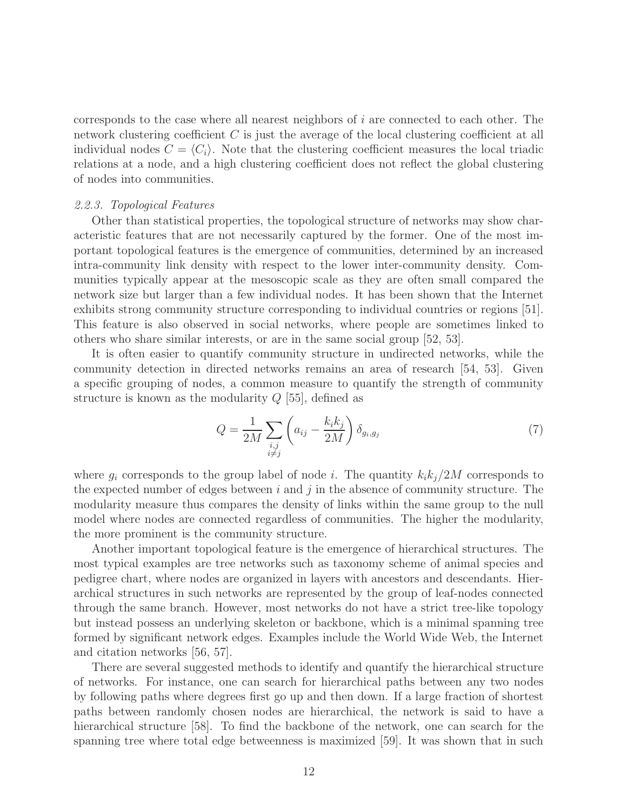corresponds to the case where all nearest neighbors of  $i$  are connected to each other. The network clustering coefficient C is just the average of the local clustering coefficient at all individual nodes  $C = \langle C_i \rangle$ . Note that the clustering coefficient measures the local triadic relations at a node, and a high clustering coefficient does not reflect the global clustering of nodes into communities.

#### 2.2.3. Topological Features

Other than statistical properties, the topological structure of networks may show characteristic features that are not necessarily captured by the former. One of the most important topological features is the emergence of communities, determined by an increased intra-community link density with respect to the lower inter-community density. Communities typically appear at the mesoscopic scale as they are often small compared the network size but larger than a few individual nodes. It has been shown that the Internet exhibits strong community structure corresponding to individual countries or regions [51]. This feature is also observed in social networks, where people are sometimes linked to others who share similar interests, or are in the same social group [52, 53].

It is often easier to quantify community structure in undirected networks, while the community detection in directed networks remains an area of research [54, 53]. Given a specific grouping of nodes, a common measure to quantify the strength of community structure is known as the modularity  $Q$  [55], defined as

$$
Q = \frac{1}{2M} \sum_{\substack{i,j \\ i \neq j}} \left( a_{ij} - \frac{k_i k_j}{2M} \right) \delta_{g_i, g_j} \tag{7}
$$

where  $g_i$  corresponds to the group label of node *i*. The quantity  $k_i k_j/2M$  corresponds to the expected number of edges between  $i$  and  $j$  in the absence of community structure. The modularity measure thus compares the density of links within the same group to the null model where nodes are connected regardless of communities. The higher the modularity, the more prominent is the community structure.

Another important topological feature is the emergence of hierarchical structures. The most typical examples are tree networks such as taxonomy scheme of animal species and pedigree chart, where nodes are organized in layers with ancestors and descendants. Hierarchical structures in such networks are represented by the group of leaf-nodes connected through the same branch. However, most networks do not have a strict tree-like topology but instead possess an underlying skeleton or backbone, which is a minimal spanning tree formed by significant network edges. Examples include the World Wide Web, the Internet and citation networks [56, 57].

There are several suggested methods to identify and quantify the hierarchical structure of networks. For instance, one can search for hierarchical paths between any two nodes by following paths where degrees first go up and then down. If a large fraction of shortest paths between randomly chosen nodes are hierarchical, the network is said to have a hierarchical structure [58]. To find the backbone of the network, one can search for the spanning tree where total edge betweenness is maximized [59]. It was shown that in such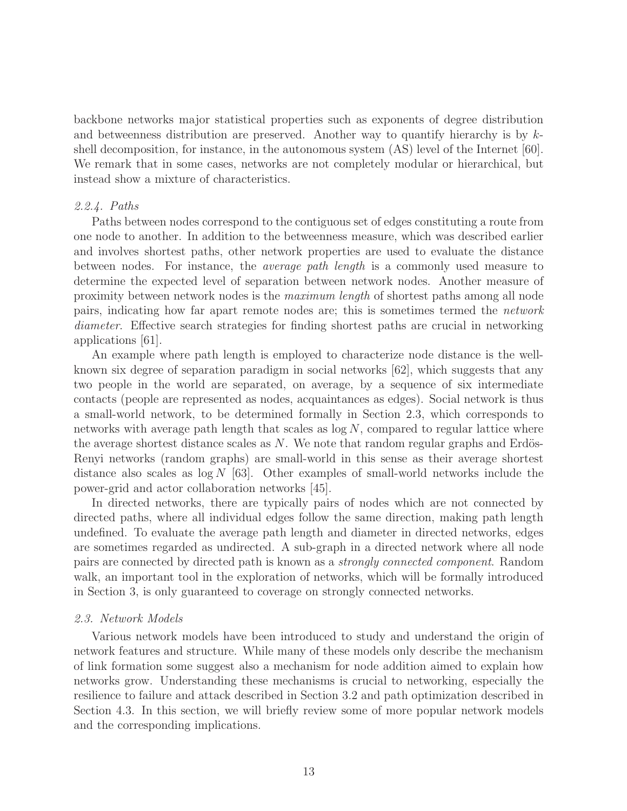backbone networks major statistical properties such as exponents of degree distribution and betweenness distribution are preserved. Another way to quantify hierarchy is by  $k$ shell decomposition, for instance, in the autonomous system (AS) level of the Internet [60]. We remark that in some cases, networks are not completely modular or hierarchical, but instead show a mixture of characteristics.

### 2.2.4. Paths

Paths between nodes correspond to the contiguous set of edges constituting a route from one node to another. In addition to the betweenness measure, which was described earlier and involves shortest paths, other network properties are used to evaluate the distance between nodes. For instance, the average path length is a commonly used measure to determine the expected level of separation between network nodes. Another measure of proximity between network nodes is the maximum length of shortest paths among all node pairs, indicating how far apart remote nodes are; this is sometimes termed the network diameter. Effective search strategies for finding shortest paths are crucial in networking applications [61].

An example where path length is employed to characterize node distance is the wellknown six degree of separation paradigm in social networks [62], which suggests that any two people in the world are separated, on average, by a sequence of six intermediate contacts (people are represented as nodes, acquaintances as edges). Social network is thus a small-world network, to be determined formally in Section 2.3, which corresponds to networks with average path length that scales as  $\log N$ , compared to regular lattice where the average shortest distance scales as  $N$ . We note that random regular graphs and Erdös-Renyi networks (random graphs) are small-world in this sense as their average shortest distance also scales as  $\log N$  [63]. Other examples of small-world networks include the power-grid and actor collaboration networks [45].

In directed networks, there are typically pairs of nodes which are not connected by directed paths, where all individual edges follow the same direction, making path length undefined. To evaluate the average path length and diameter in directed networks, edges are sometimes regarded as undirected. A sub-graph in a directed network where all node pairs are connected by directed path is known as a strongly connected component. Random walk, an important tool in the exploration of networks, which will be formally introduced in Section 3, is only guaranteed to coverage on strongly connected networks.

### 2.3. Network Models

Various network models have been introduced to study and understand the origin of network features and structure. While many of these models only describe the mechanism of link formation some suggest also a mechanism for node addition aimed to explain how networks grow. Understanding these mechanisms is crucial to networking, especially the resilience to failure and attack described in Section 3.2 and path optimization described in Section 4.3. In this section, we will briefly review some of more popular network models and the corresponding implications.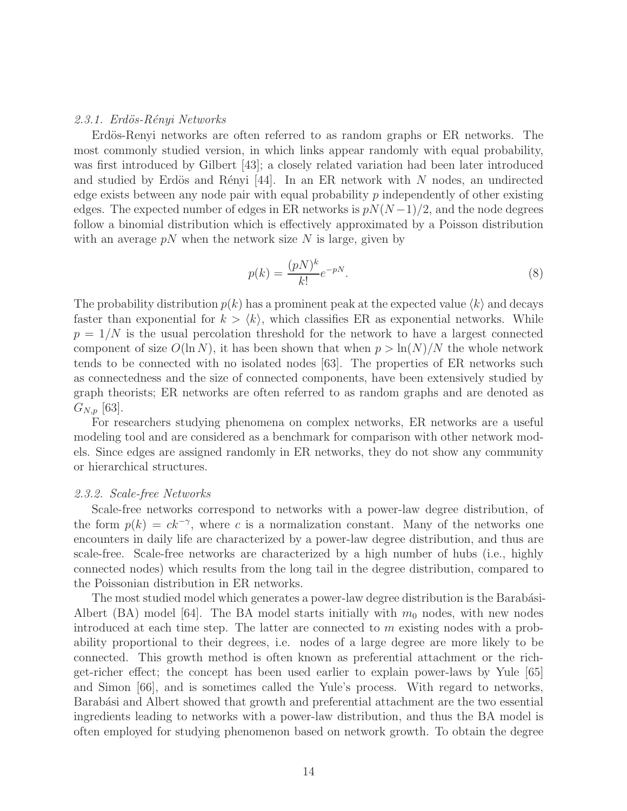#### 2.3.1. Erdös-Rényi Networks

Erdös-Renyi networks are often referred to as random graphs or ER networks. The most commonly studied version, in which links appear randomly with equal probability, was first introduced by Gilbert [43]; a closely related variation had been later introduced and studied by Erdös and Rényi [44]. In an ER network with N nodes, an undirected edge exists between any node pair with equal probability  $p$  independently of other existing edges. The expected number of edges in ER networks is  $pN(N-1)/2$ , and the node degrees follow a binomial distribution which is effectively approximated by a Poisson distribution with an average  $pN$  when the network size N is large, given by

$$
p(k) = \frac{(pN)^k}{k!}e^{-pN}.\tag{8}
$$

The probability distribution  $p(k)$  has a prominent peak at the expected value  $\langle k \rangle$  and decays faster than exponential for  $k > \langle k \rangle$ , which classifies ER as exponential networks. While  $p = 1/N$  is the usual percolation threshold for the network to have a largest connected component of size  $O(\ln N)$ , it has been shown that when  $p > \ln(N)/N$  the whole network tends to be connected with no isolated nodes [63]. The properties of ER networks such as connectedness and the size of connected components, have been extensively studied by graph theorists; ER networks are often referred to as random graphs and are denoted as  $G_{N,p}$  [63].

For researchers studying phenomena on complex networks, ER networks are a useful modeling tool and are considered as a benchmark for comparison with other network models. Since edges are assigned randomly in ER networks, they do not show any community or hierarchical structures.

#### 2.3.2. Scale-free Networks

Scale-free networks correspond to networks with a power-law degree distribution, of the form  $p(k) = ck^{-\gamma}$ , where c is a normalization constant. Many of the networks one encounters in daily life are characterized by a power-law degree distribution, and thus are scale-free. Scale-free networks are characterized by a high number of hubs (i.e., highly connected nodes) which results from the long tail in the degree distribution, compared to the Poissonian distribution in ER networks.

The most studied model which generates a power-law degree distribution is the Barabási-Albert (BA) model [64]. The BA model starts initially with  $m_0$  nodes, with new nodes introduced at each time step. The latter are connected to m existing nodes with a probability proportional to their degrees, i.e. nodes of a large degree are more likely to be connected. This growth method is often known as preferential attachment or the richget-richer effect; the concept has been used earlier to explain power-laws by Yule [65] and Simon [66], and is sometimes called the Yule's process. With regard to networks, Barabási and Albert showed that growth and preferential attachment are the two essential ingredients leading to networks with a power-law distribution, and thus the BA model is often employed for studying phenomenon based on network growth. To obtain the degree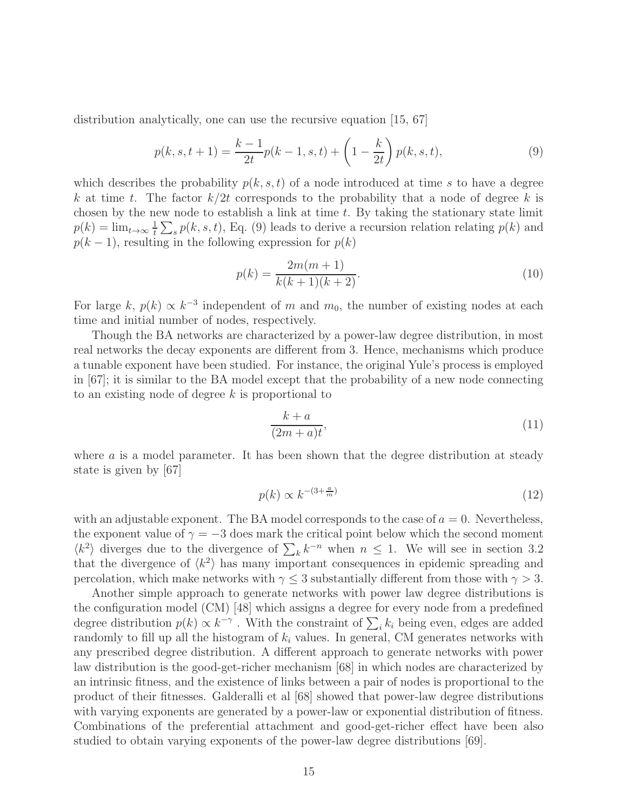distribution analytically, one can use the recursive equation [15, 67]

$$
p(k, s, t+1) = \frac{k-1}{2t}p(k-1, s, t) + \left(1 - \frac{k}{2t}\right)p(k, s, t),\tag{9}
$$

which describes the probability  $p(k, s, t)$  of a node introduced at time s to have a degree k at time t. The factor  $k/2t$  corresponds to the probability that a node of degree k is chosen by the new node to establish a link at time  $t$ . By taking the stationary state limit  $p(k) = \lim_{t \to \infty} \frac{1}{t}$  $\frac{1}{t} \sum_s p(k, s, t)$ , Eq. (9) leads to derive a recursion relation relating  $p(k)$  and  $p(k-1)$ , resulting in the following expression for  $p(k)$ 

$$
p(k) = \frac{2m(m+1)}{k(k+1)(k+2)}.
$$
\n(10)

For large k,  $p(k) \propto k^{-3}$  independent of m and  $m_0$ , the number of existing nodes at each time and initial number of nodes, respectively.

Though the BA networks are characterized by a power-law degree distribution, in most real networks the decay exponents are different from 3. Hence, mechanisms which produce a tunable exponent have been studied. For instance, the original Yule's process is employed in [67]; it is similar to the BA model except that the probability of a new node connecting to an existing node of degree  $k$  is proportional to

$$
\frac{k+a}{(2m+a)t},\tag{11}
$$

where a is a model parameter. It has been shown that the degree distribution at steady state is given by [67]

$$
p(k) \propto k^{-(3+\frac{a}{m})} \tag{12}
$$

with an adjustable exponent. The BA model corresponds to the case of  $a = 0$ . Nevertheless, the exponent value of  $\gamma = -3$  does mark the critical point below which the second moment  $\langle k^2 \rangle$  diverges due to the divergence of  $\sum_k k^{-n}$  when  $n \leq 1$ . We will see in section 3.2 that the divergence of  $\langle k^2 \rangle$  has many important consequences in epidemic spreading and percolation, which make networks with  $\gamma \leq 3$  substantially different from those with  $\gamma > 3$ .

Another simple approach to generate networks with power law degree distributions is the configuration model (CM) [48] which assigns a degree for every node from a predefined degree distribution  $p(k) \propto k^{-\gamma}$ . With the constraint of  $\sum_i k_i$  being even, edges are added randomly to fill up all the histogram of  $k_i$  values. In general, CM generates networks with any prescribed degree distribution. A different approach to generate networks with power law distribution is the good-get-richer mechanism [68] in which nodes are characterized by an intrinsic fitness, and the existence of links between a pair of nodes is proportional to the product of their fitnesses. Galderalli et al [68] showed that power-law degree distributions with varying exponents are generated by a power-law or exponential distribution of fitness. Combinations of the preferential attachment and good-get-richer effect have been also studied to obtain varying exponents of the power-law degree distributions [69].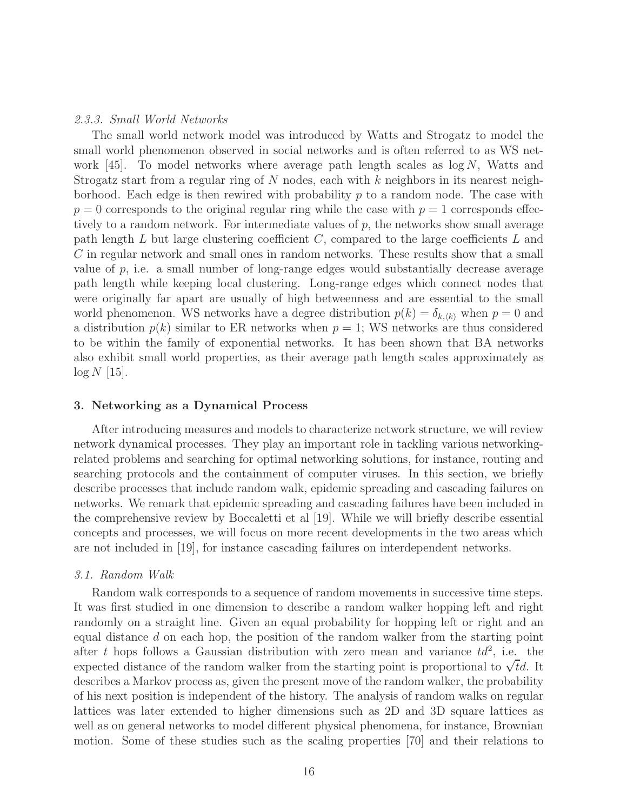#### 2.3.3. Small World Networks

The small world network model was introduced by Watts and Strogatz to model the small world phenomenon observed in social networks and is often referred to as WS network  $(45)$ . To model networks where average path length scales as  $\log N$ , Watts and Strogatz start from a regular ring of  $N$  nodes, each with  $k$  neighbors in its nearest neighborhood. Each edge is then rewired with probability  $p$  to a random node. The case with  $p = 0$  corresponds to the original regular ring while the case with  $p = 1$  corresponds effectively to a random network. For intermediate values of  $p$ , the networks show small average path length  $L$  but large clustering coefficient  $C$ , compared to the large coefficients  $L$  and C in regular network and small ones in random networks. These results show that a small value of p, i.e. a small number of long-range edges would substantially decrease average path length while keeping local clustering. Long-range edges which connect nodes that were originally far apart are usually of high betweenness and are essential to the small world phenomenon. WS networks have a degree distribution  $p(k) = \delta_{k,(k)}$  when  $p = 0$  and a distribution  $p(k)$  similar to ER networks when  $p = 1$ ; WS networks are thus considered to be within the family of exponential networks. It has been shown that BA networks also exhibit small world properties, as their average path length scales approximately as  $\log N$  [15].

#### 3. Networking as a Dynamical Process

After introducing measures and models to characterize network structure, we will review network dynamical processes. They play an important role in tackling various networkingrelated problems and searching for optimal networking solutions, for instance, routing and searching protocols and the containment of computer viruses. In this section, we briefly describe processes that include random walk, epidemic spreading and cascading failures on networks. We remark that epidemic spreading and cascading failures have been included in the comprehensive review by Boccaletti et al [19]. While we will briefly describe essential concepts and processes, we will focus on more recent developments in the two areas which are not included in [19], for instance cascading failures on interdependent networks.

#### 3.1. Random Walk

Random walk corresponds to a sequence of random movements in successive time steps. It was first studied in one dimension to describe a random walker hopping left and right randomly on a straight line. Given an equal probability for hopping left or right and an equal distance d on each hop, the position of the random walker from the starting point after t hops follows a Gaussian distribution with zero mean and variance  $td^2$ , i.e. the expected distance of the random walker from the starting point is proportional to  $\sqrt{t}d$ . It describes a Markov process as, given the present move of the random walker, the probability of his next position is independent of the history. The analysis of random walks on regular lattices was later extended to higher dimensions such as 2D and 3D square lattices as well as on general networks to model different physical phenomena, for instance, Brownian motion. Some of these studies such as the scaling properties [70] and their relations to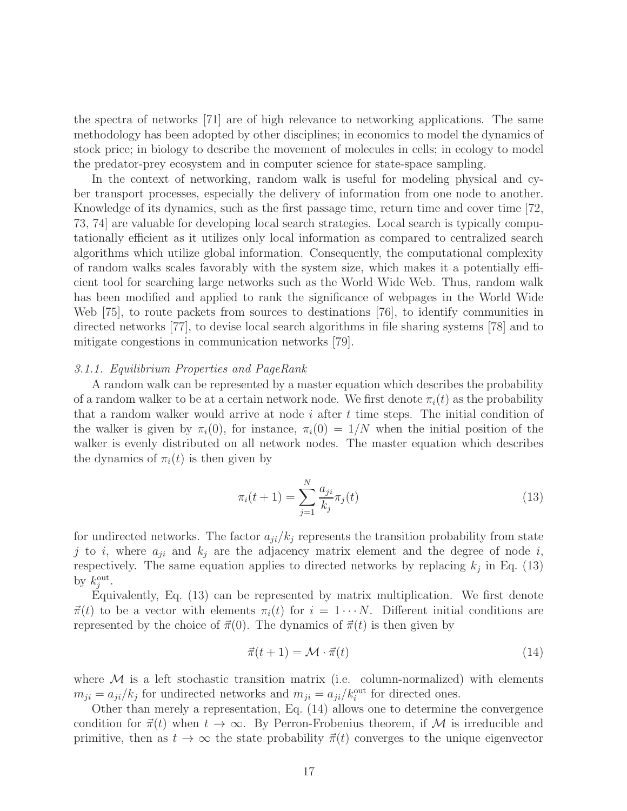the spectra of networks [71] are of high relevance to networking applications. The same methodology has been adopted by other disciplines; in economics to model the dynamics of stock price; in biology to describe the movement of molecules in cells; in ecology to model the predator-prey ecosystem and in computer science for state-space sampling.

In the context of networking, random walk is useful for modeling physical and cyber transport processes, especially the delivery of information from one node to another. Knowledge of its dynamics, such as the first passage time, return time and cover time [72, 73, 74] are valuable for developing local search strategies. Local search is typically computationally efficient as it utilizes only local information as compared to centralized search algorithms which utilize global information. Consequently, the computational complexity of random walks scales favorably with the system size, which makes it a potentially efficient tool for searching large networks such as the World Wide Web. Thus, random walk has been modified and applied to rank the significance of webpages in the World Wide Web [75], to route packets from sources to destinations [76], to identify communities in directed networks [77], to devise local search algorithms in file sharing systems [78] and to mitigate congestions in communication networks [79].

#### 3.1.1. Equilibrium Properties and PageRank

A random walk can be represented by a master equation which describes the probability of a random walker to be at a certain network node. We first denote  $\pi_i(t)$  as the probability that a random walker would arrive at node  $i$  after  $t$  time steps. The initial condition of the walker is given by  $\pi_i(0)$ , for instance,  $\pi_i(0) = 1/N$  when the initial position of the walker is evenly distributed on all network nodes. The master equation which describes the dynamics of  $\pi_i(t)$  is then given by

$$
\pi_i(t+1) = \sum_{j=1}^N \frac{a_{ji}}{k_j} \pi_j(t)
$$
\n(13)

for undirected networks. The factor  $a_{ji}/k_j$  represents the transition probability from state j to i, where  $a_{ji}$  and  $k_j$  are the adjacency matrix element and the degree of node i, respectively. The same equation applies to directed networks by replacing  $k_j$  in Eq. (13) by  $k_j^{\text{out}}$ .

Equivalently, Eq. (13) can be represented by matrix multiplication. We first denote  $\vec{\pi}(t)$  to be a vector with elements  $\pi_i(t)$  for  $i = 1 \cdots N$ . Different initial conditions are represented by the choice of  $\vec{\pi}(0)$ . The dynamics of  $\vec{\pi}(t)$  is then given by

$$
\vec{\pi}(t+1) = \mathcal{M} \cdot \vec{\pi}(t) \tag{14}
$$

where  $M$  is a left stochastic transition matrix (i.e. column-normalized) with elements  $m_{ji} = a_{ji}/k_j$  for undirected networks and  $m_{ji} = a_{ji}/k_i^{\text{out}}$  for directed ones.

Other than merely a representation, Eq. (14) allows one to determine the convergence condition for  $\vec{\pi}(t)$  when  $t \to \infty$ . By Perron-Frobenius theorem, if M is irreducible and primitive, then as  $t \to \infty$  the state probability  $\vec{\pi}(t)$  converges to the unique eigenvector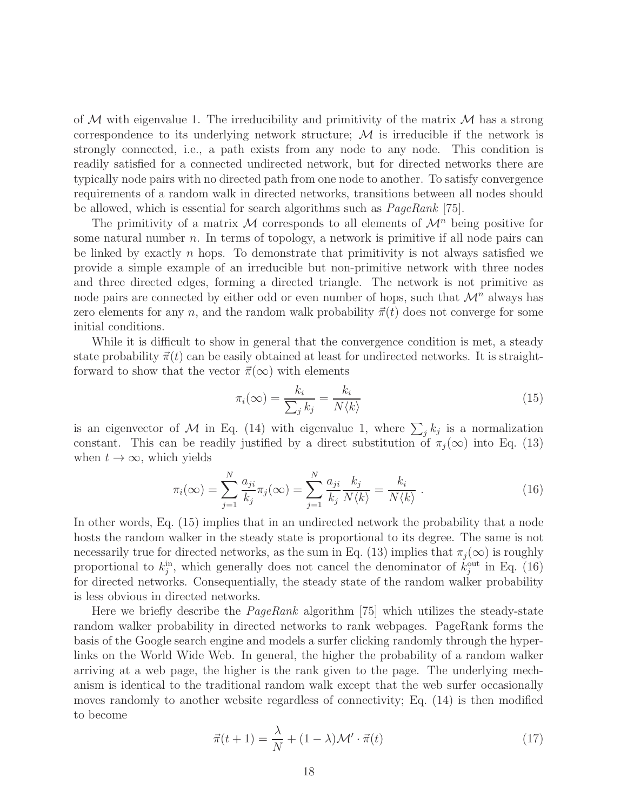of  $M$  with eigenvalue 1. The irreducibility and primitivity of the matrix  $M$  has a strong correspondence to its underlying network structure;  $M$  is irreducible if the network is strongly connected, i.e., a path exists from any node to any node. This condition is readily satisfied for a connected undirected network, but for directed networks there are typically node pairs with no directed path from one node to another. To satisfy convergence requirements of a random walk in directed networks, transitions between all nodes should be allowed, which is essential for search algorithms such as PageRank [75].

The primitivity of a matrix M corresponds to all elements of  $\mathcal{M}^n$  being positive for some natural number  $n$ . In terms of topology, a network is primitive if all node pairs can be linked by exactly  $n$  hops. To demonstrate that primitivity is not always satisfied we provide a simple example of an irreducible but non-primitive network with three nodes and three directed edges, forming a directed triangle. The network is not primitive as node pairs are connected by either odd or even number of hops, such that  $\mathcal{M}^n$  always has zero elements for any n, and the random walk probability  $\vec{\pi}(t)$  does not converge for some initial conditions.

While it is difficult to show in general that the convergence condition is met, a steady state probability  $\vec{\pi}(t)$  can be easily obtained at least for undirected networks. It is straightforward to show that the vector  $\vec{\pi}(\infty)$  with elements

$$
\pi_i(\infty) = \frac{k_i}{\sum_j k_j} = \frac{k_i}{N \langle k \rangle} \tag{15}
$$

is an eigenvector of M in Eq. (14) with eigenvalue 1, where  $\sum_j k_j$  is a normalization constant. This can be readily justified by a direct substitution of  $\pi_j(\infty)$  into Eq. (13) when  $t \to \infty$ , which yields

$$
\pi_i(\infty) = \sum_{j=1}^N \frac{a_{ji}}{k_j} \pi_j(\infty) = \sum_{j=1}^N \frac{a_{ji}}{k_j} \frac{k_j}{N \langle k \rangle} = \frac{k_i}{N \langle k \rangle} \ . \tag{16}
$$

In other words, Eq. (15) implies that in an undirected network the probability that a node hosts the random walker in the steady state is proportional to its degree. The same is not necessarily true for directed networks, as the sum in Eq. (13) implies that  $\pi_i(\infty)$  is roughly proportional to  $k_j^{\text{in}}$ , which generally does not cancel the denominator of  $k_j^{\text{out}}$  in Eq. (16) for directed networks. Consequentially, the steady state of the random walker probability is less obvious in directed networks.

Here we briefly describe the  $PageRank$  algorithm [75] which utilizes the steady-state random walker probability in directed networks to rank webpages. PageRank forms the basis of the Google search engine and models a surfer clicking randomly through the hyperlinks on the World Wide Web. In general, the higher the probability of a random walker arriving at a web page, the higher is the rank given to the page. The underlying mechanism is identical to the traditional random walk except that the web surfer occasionally moves randomly to another website regardless of connectivity; Eq. (14) is then modified to become

$$
\vec{\pi}(t+1) = \frac{\lambda}{N} + (1-\lambda)\mathcal{M}' \cdot \vec{\pi}(t)
$$
\n(17)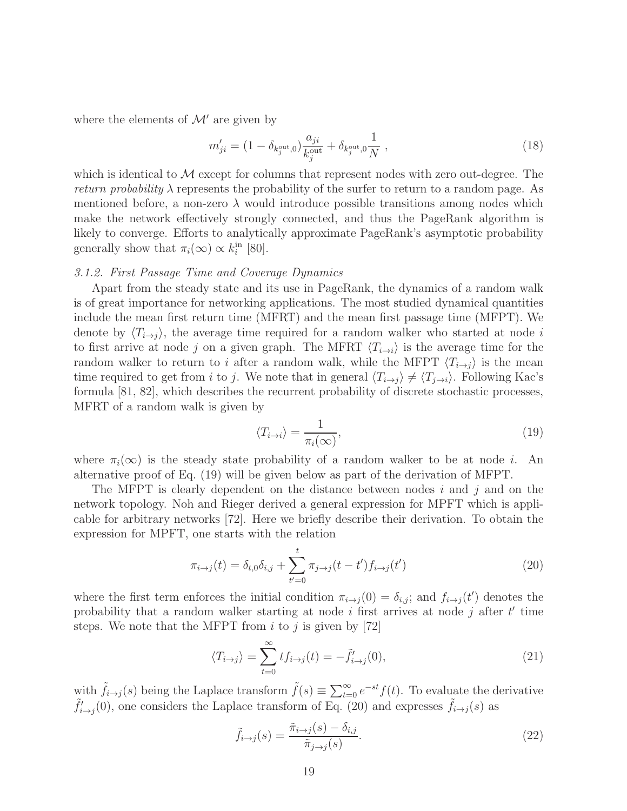where the elements of  $\mathcal{M}'$  are given by

$$
m'_{ji} = (1 - \delta_{k_j^{\text{out}},0}) \frac{a_{ji}}{k_j^{\text{out}}} + \delta_{k_j^{\text{out}},0} \frac{1}{N} ,
$$
\n(18)

which is identical to  $\mathcal M$  except for columns that represent nodes with zero out-degree. The *return probability*  $\lambda$  represents the probability of the surfer to return to a random page. As mentioned before, a non-zero  $\lambda$  would introduce possible transitions among nodes which make the network effectively strongly connected, and thus the PageRank algorithm is likely to converge. Efforts to analytically approximate PageRank's asymptotic probability generally show that  $\pi_i(\infty) \propto k_i^{\text{in}}$  [80].

#### 3.1.2. First Passage Time and Coverage Dynamics

Apart from the steady state and its use in PageRank, the dynamics of a random walk is of great importance for networking applications. The most studied dynamical quantities include the mean first return time (MFRT) and the mean first passage time (MFPT). We denote by  $\langle T_{i\rightarrow j} \rangle$ , the average time required for a random walker who started at node i to first arrive at node j on a given graph. The MFRT  $\langle T_{i\rightarrow i} \rangle$  is the average time for the random walker to return to i after a random walk, while the MFPT  $\langle T_{i\rightarrow j} \rangle$  is the mean time required to get from i to j. We note that in general  $\langle T_{i\rightarrow j} \rangle \neq \langle T_{j\rightarrow i} \rangle$ . Following Kac's formula [81, 82], which describes the recurrent probability of discrete stochastic processes, MFRT of a random walk is given by

$$
\langle T_{i \to i} \rangle = \frac{1}{\pi_i(\infty)},\tag{19}
$$

where  $\pi_i(\infty)$  is the steady state probability of a random walker to be at node *i*. An alternative proof of Eq. (19) will be given below as part of the derivation of MFPT.

The MFPT is clearly dependent on the distance between nodes  $i$  and  $j$  and on the network topology. Noh and Rieger derived a general expression for MPFT which is applicable for arbitrary networks [72]. Here we briefly describe their derivation. To obtain the expression for MPFT, one starts with the relation

$$
\pi_{i \to j}(t) = \delta_{t,0}\delta_{i,j} + \sum_{t'=0}^{t} \pi_{j \to j}(t-t')f_{i \to j}(t')
$$
\n(20)

where the first term enforces the initial condition  $\pi_{i\to j}(0) = \delta_{i,j}$ ; and  $f_{i\to j}(t')$  denotes the probability that a random walker starting at node  $i$  first arrives at node  $j$  after  $t'$  time steps. We note that the MFPT from  $i$  to  $j$  is given by [72]

$$
\langle T_{i \to j} \rangle = \sum_{t=0}^{\infty} t f_{i \to j}(t) = -\tilde{f}'_{i \to j}(0),\tag{21}
$$

with  $\tilde{f}_{i\to j}(s)$  being the Laplace transform  $\tilde{f}(s) \equiv \sum_{t=0}^{\infty} e^{-st} f(t)$ . To evaluate the derivative  $\tilde{f}'_{i\to j}(0)$ , one considers the Laplace transform of Eq. (20) and expresses  $\tilde{f}_{i\to j}(s)$  as

$$
\tilde{f}_{i \to j}(s) = \frac{\tilde{\pi}_{i \to j}(s) - \delta_{i,j}}{\tilde{\pi}_{j \to j}(s)}.
$$
\n(22)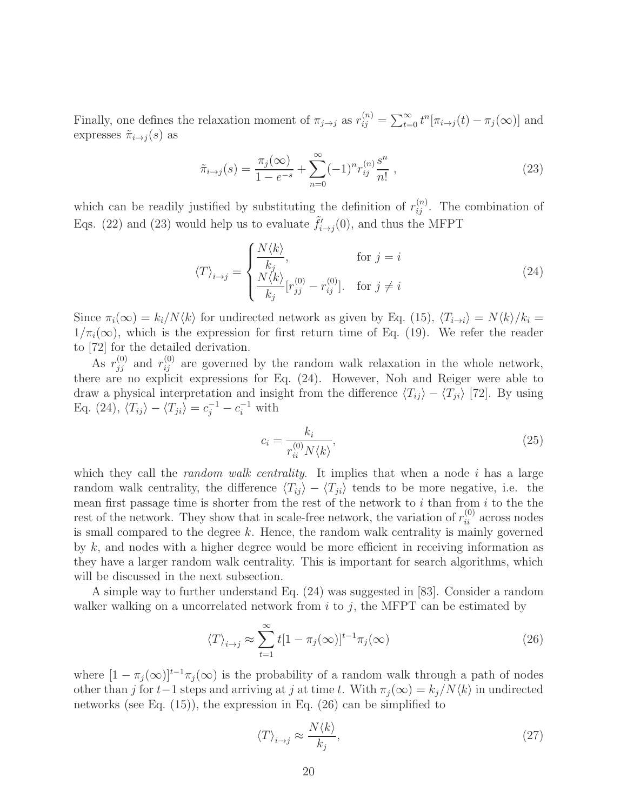Finally, one defines the relaxation moment of  $\pi_{j\to j}$  as  $r_{ij}^{(n)} = \sum_{t=0}^{\infty} t^n [\pi_{i\to j}(t) - \pi_j(\infty)]$  and expresses  $\tilde{\pi}_{i\rightarrow j}(s)$  as

$$
\tilde{\pi}_{i \to j}(s) = \frac{\pi_j(\infty)}{1 - e^{-s}} + \sum_{n=0}^{\infty} (-1)^n r_{ij}^{(n)} \frac{s^n}{n!},
$$
\n(23)

which can be readily justified by substituting the definition of  $r_{ij}^{(n)}$ . The combination of Eqs. (22) and (23) would help us to evaluate  $\tilde{f}'_{i\to j}(0)$ , and thus the MFPT

$$
\langle T \rangle_{i \to j} = \begin{cases} \frac{N \langle k \rangle}{k_j}, & \text{for } j = i\\ \frac{N \langle k \rangle}{k_j} [r_{jj}^{(0)} - r_{ij}^{(0)}]. & \text{for } j \neq i \end{cases}
$$
(24)

Since  $\pi_i(\infty) = k_i/N\langle k \rangle$  for undirected network as given by Eq. (15),  $\langle T_{i\to i} \rangle = N\langle k \rangle / k_i =$  $1/\pi_i(\infty)$ , which is the expression for first return time of Eq. (19). We refer the reader to [72] for the detailed derivation.

As  $r_{jj}^{(0)}$  and  $r_{ij}^{(0)}$  are governed by the random walk relaxation in the whole network, there are no explicit expressions for Eq. (24). However, Noh and Reiger were able to draw a physical interpretation and insight from the difference  $\langle T_{ij} \rangle - \langle T_{ji} \rangle$  [72]. By using Eq. (24),  $\langle T_{ij} \rangle - \langle T_{ji} \rangle = c_j^{-1} - c_i^{-1}$  with

$$
c_i = \frac{k_i}{r_{ii}^{(0)} N \langle k \rangle},\tag{25}
$$

which they call the *random walk centrality*. It implies that when a node i has a large random walk centrality, the difference  $\langle T_{ij} \rangle - \langle T_{ji} \rangle$  tends to be more negative, i.e. the mean first passage time is shorter from the rest of the network to  $i$  than from  $i$  to the the rest of the network. They show that in scale-free network, the variation of  $r_{ii}^{(0)}$  across nodes is small compared to the degree  $k$ . Hence, the random walk centrality is mainly governed by  $k$ , and nodes with a higher degree would be more efficient in receiving information as they have a larger random walk centrality. This is important for search algorithms, which will be discussed in the next subsection.

A simple way to further understand Eq. (24) was suggested in [83]. Consider a random walker walking on a uncorrelated network from  $i$  to  $j$ , the MFPT can be estimated by

$$
\langle T \rangle_{i \to j} \approx \sum_{t=1}^{\infty} t[1 - \pi_j(\infty)]^{t-1} \pi_j(\infty)
$$
\n(26)

where  $[1 - \pi_j(\infty)]^{t-1}\pi_j(\infty)$  is the probability of a random walk through a path of nodes other than j for t−1 steps and arriving at j at time t. With  $\pi_i(\infty) = k_i/N\langle k\rangle$  in undirected networks (see Eq. (15)), the expression in Eq. (26) can be simplified to

$$
\langle T \rangle_{i \to j} \approx \frac{N \langle k \rangle}{k_j},\tag{27}
$$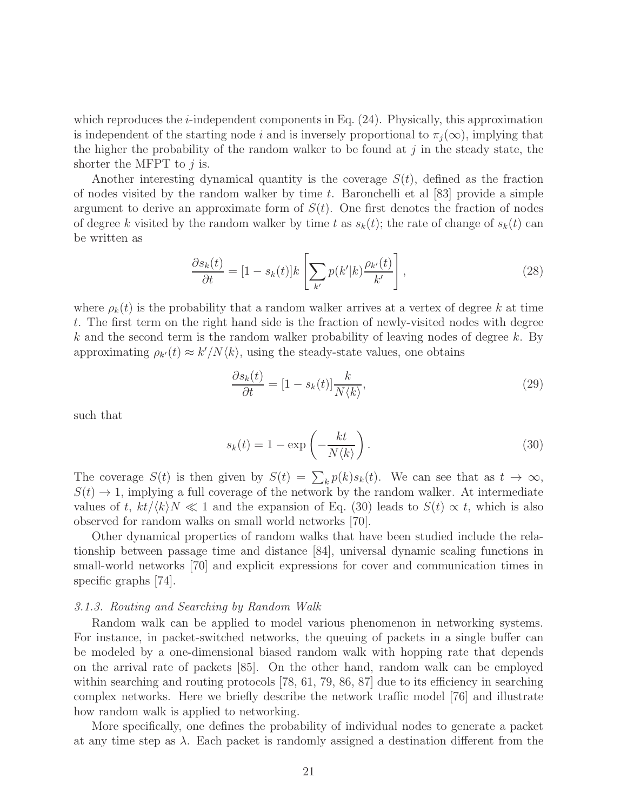which reproduces the *i*-independent components in Eq.  $(24)$ . Physically, this approximation is independent of the starting node i and is inversely proportional to  $\pi_i(\infty)$ , implying that the higher the probability of the random walker to be found at j in the steady state, the shorter the MFPT to  $j$  is.

Another interesting dynamical quantity is the coverage  $S(t)$ , defined as the fraction of nodes visited by the random walker by time t. Baronchelli et al [83] provide a simple argument to derive an approximate form of  $S(t)$ . One first denotes the fraction of nodes of degree k visited by the random walker by time t as  $s_k(t)$ ; the rate of change of  $s_k(t)$  can be written as

$$
\frac{\partial s_k(t)}{\partial t} = [1 - s_k(t)]k \left[ \sum_{k'} p(k'|k) \frac{\rho_{k'}(t)}{k'} \right],\tag{28}
$$

where  $\rho_k(t)$  is the probability that a random walker arrives at a vertex of degree k at time t. The first term on the right hand side is the fraction of newly-visited nodes with degree  $k$  and the second term is the random walker probability of leaving nodes of degree  $k$ . By approximating  $\rho_{k'}(t) \approx k'/N\langle k \rangle$ , using the steady-state values, one obtains

$$
\frac{\partial s_k(t)}{\partial t} = [1 - s_k(t)] \frac{k}{N \langle k \rangle},\tag{29}
$$

such that

$$
s_k(t) = 1 - \exp\left(-\frac{kt}{N\langle k \rangle}\right). \tag{30}
$$

The coverage  $S(t)$  is then given by  $S(t) = \sum_k p(k) s_k(t)$ . We can see that as  $t \to \infty$ ,  $S(t) \rightarrow 1$ , implying a full coverage of the network by the random walker. At intermediate values of t,  $kt/(k)N \ll 1$  and the expansion of Eq. (30) leads to  $S(t) \propto t$ , which is also observed for random walks on small world networks [70].

Other dynamical properties of random walks that have been studied include the relationship between passage time and distance [84], universal dynamic scaling functions in small-world networks [70] and explicit expressions for cover and communication times in specific graphs [74].

## 3.1.3. Routing and Searching by Random Walk

Random walk can be applied to model various phenomenon in networking systems. For instance, in packet-switched networks, the queuing of packets in a single buffer can be modeled by a one-dimensional biased random walk with hopping rate that depends on the arrival rate of packets [85]. On the other hand, random walk can be employed within searching and routing protocols [78, 61, 79, 86, 87] due to its efficiency in searching complex networks. Here we briefly describe the network traffic model [76] and illustrate how random walk is applied to networking.

More specifically, one defines the probability of individual nodes to generate a packet at any time step as  $\lambda$ . Each packet is randomly assigned a destination different from the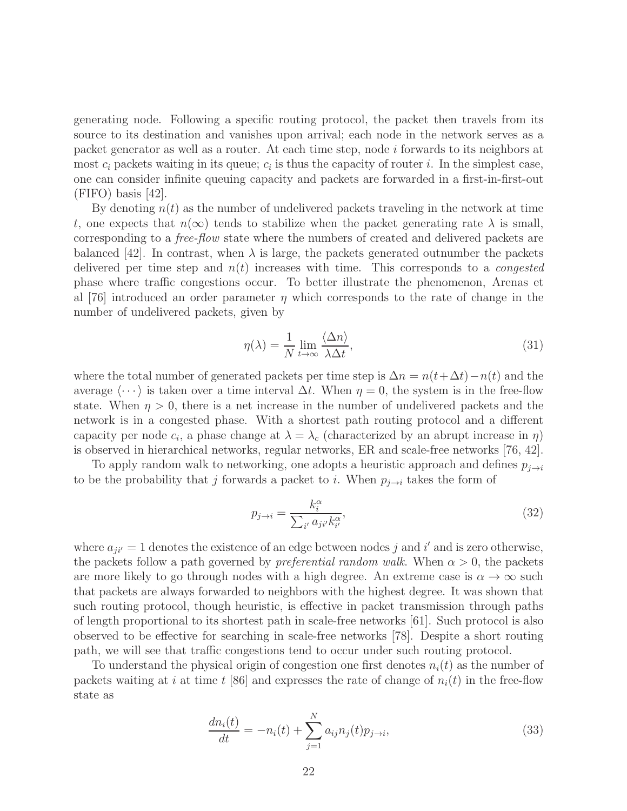generating node. Following a specific routing protocol, the packet then travels from its source to its destination and vanishes upon arrival; each node in the network serves as a packet generator as well as a router. At each time step, node i forwards to its neighbors at most  $c_i$  packets waiting in its queue;  $c_i$  is thus the capacity of router i. In the simplest case, one can consider infinite queuing capacity and packets are forwarded in a first-in-first-out (FIFO) basis [42].

By denoting  $n(t)$  as the number of undelivered packets traveling in the network at time t, one expects that  $n(\infty)$  tends to stabilize when the packet generating rate  $\lambda$  is small, corresponding to a free-flow state where the numbers of created and delivered packets are balanced [42]. In contrast, when  $\lambda$  is large, the packets generated outnumber the packets delivered per time step and  $n(t)$  increases with time. This corresponds to a *congested* phase where traffic congestions occur. To better illustrate the phenomenon, Arenas et al [76] introduced an order parameter  $\eta$  which corresponds to the rate of change in the number of undelivered packets, given by

$$
\eta(\lambda) = \frac{1}{N} \lim_{t \to \infty} \frac{\langle \Delta n \rangle}{\lambda \Delta t},\tag{31}
$$

where the total number of generated packets per time step is  $\Delta n = n(t + \Delta t) - n(t)$  and the average  $\langle \cdots \rangle$  is taken over a time interval  $\Delta t$ . When  $\eta = 0$ , the system is in the free-flow state. When  $\eta > 0$ , there is a net increase in the number of undelivered packets and the network is in a congested phase. With a shortest path routing protocol and a different capacity per node  $c_i$ , a phase change at  $\lambda = \lambda_c$  (characterized by an abrupt increase in  $\eta$ ) is observed in hierarchical networks, regular networks, ER and scale-free networks [76, 42].

To apply random walk to networking, one adopts a heuristic approach and defines  $p_{i\rightarrow i}$ to be the probability that j forwards a packet to i. When  $p_{j\rightarrow i}$  takes the form of

$$
p_{j \to i} = \frac{k_i^{\alpha}}{\sum_{i'} a_{ji'} k_{i'}^{\alpha}},\tag{32}
$$

where  $a_{ji'} = 1$  denotes the existence of an edge between nodes j and i' and is zero otherwise, the packets follow a path governed by *preferential random walk*. When  $\alpha > 0$ , the packets are more likely to go through nodes with a high degree. An extreme case is  $\alpha \to \infty$  such that packets are always forwarded to neighbors with the highest degree. It was shown that such routing protocol, though heuristic, is effective in packet transmission through paths of length proportional to its shortest path in scale-free networks [61]. Such protocol is also observed to be effective for searching in scale-free networks [78]. Despite a short routing path, we will see that traffic congestions tend to occur under such routing protocol.

To understand the physical origin of congestion one first denotes  $n_i(t)$  as the number of packets waiting at i at time t [86] and expresses the rate of change of  $n_i(t)$  in the free-flow state as

$$
\frac{dn_i(t)}{dt} = -n_i(t) + \sum_{j=1}^{N} a_{ij} n_j(t) p_{j \to i},
$$
\n(33)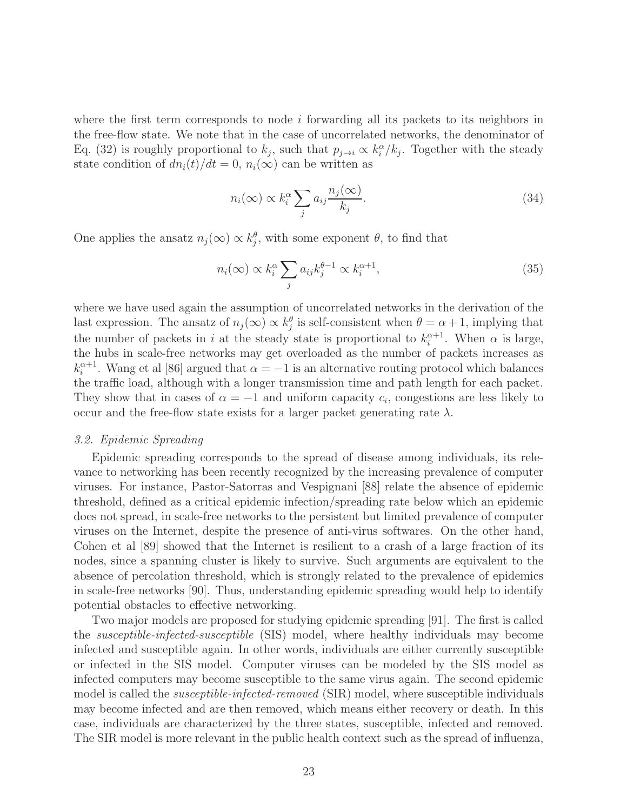where the first term corresponds to node  $i$  forwarding all its packets to its neighbors in the free-flow state. We note that in the case of uncorrelated networks, the denominator of Eq. (32) is roughly proportional to  $k_j$ , such that  $p_{j\to i} \propto k_i^{\alpha}/k_j$ . Together with the steady state condition of  $dn_i(t)/dt = 0$ ,  $n_i(\infty)$  can be written as

$$
n_i(\infty) \propto k_i^{\alpha} \sum_j a_{ij} \frac{n_j(\infty)}{k_j}.
$$
\n(34)

One applies the ansatz  $n_j(\infty) \propto k_j^{\theta}$ , with some exponent  $\theta$ , to find that

$$
n_i(\infty) \propto k_i^{\alpha} \sum_j a_{ij} k_j^{\theta - 1} \propto k_i^{\alpha + 1},\tag{35}
$$

where we have used again the assumption of uncorrelated networks in the derivation of the last expression. The ansatz of  $n_j(\infty) \propto k_j^{\theta}$  is self-consistent when  $\theta = \alpha + 1$ , implying that the number of packets in i at the steady state is proportional to  $k_i^{\alpha+1}$ . When  $\alpha$  is large, the hubs in scale-free networks may get overloaded as the number of packets increases as  $k_i^{\alpha+1}$  $\alpha_i^{\alpha+1}$ . Wang et al [86] argued that  $\alpha = -1$  is an alternative routing protocol which balances the traffic load, although with a longer transmission time and path length for each packet. They show that in cases of  $\alpha = -1$  and uniform capacity  $c_i$ , congestions are less likely to occur and the free-flow state exists for a larger packet generating rate  $\lambda$ .

#### 3.2. Epidemic Spreading

Epidemic spreading corresponds to the spread of disease among individuals, its relevance to networking has been recently recognized by the increasing prevalence of computer viruses. For instance, Pastor-Satorras and Vespignani [88] relate the absence of epidemic threshold, defined as a critical epidemic infection/spreading rate below which an epidemic does not spread, in scale-free networks to the persistent but limited prevalence of computer viruses on the Internet, despite the presence of anti-virus softwares. On the other hand, Cohen et al [89] showed that the Internet is resilient to a crash of a large fraction of its nodes, since a spanning cluster is likely to survive. Such arguments are equivalent to the absence of percolation threshold, which is strongly related to the prevalence of epidemics in scale-free networks [90]. Thus, understanding epidemic spreading would help to identify potential obstacles to effective networking.

Two major models are proposed for studying epidemic spreading [91]. The first is called the susceptible-infected-susceptible (SIS) model, where healthy individuals may become infected and susceptible again. In other words, individuals are either currently susceptible or infected in the SIS model. Computer viruses can be modeled by the SIS model as infected computers may become susceptible to the same virus again. The second epidemic model is called the *susceptible-infected-removed* (SIR) model, where susceptible individuals may become infected and are then removed, which means either recovery or death. In this case, individuals are characterized by the three states, susceptible, infected and removed. The SIR model is more relevant in the public health context such as the spread of influenza,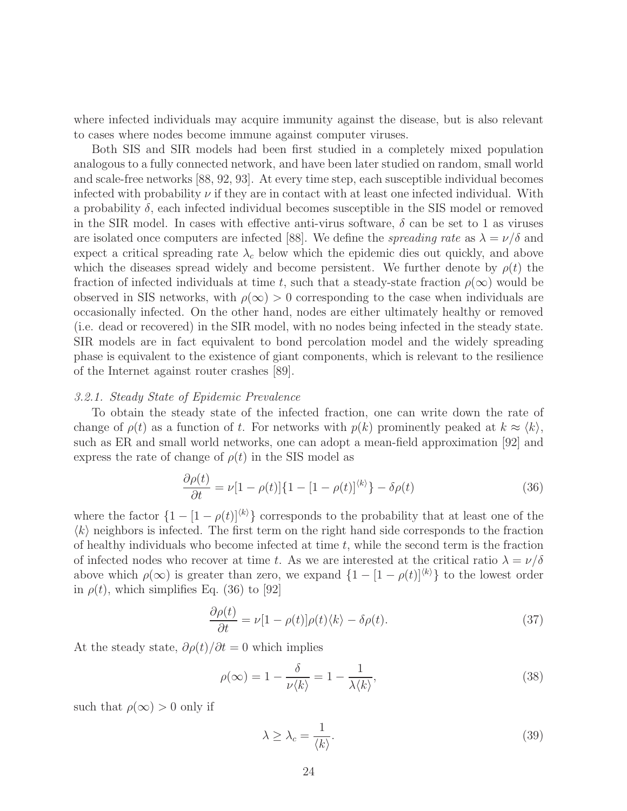where infected individuals may acquire immunity against the disease, but is also relevant to cases where nodes become immune against computer viruses.

Both SIS and SIR models had been first studied in a completely mixed population analogous to a fully connected network, and have been later studied on random, small world and scale-free networks [88, 92, 93]. At every time step, each susceptible individual becomes infected with probability  $\nu$  if they are in contact with at least one infected individual. With a probability  $\delta$ , each infected individual becomes susceptible in the SIS model or removed in the SIR model. In cases with effective anti-virus software,  $\delta$  can be set to 1 as viruses are isolated once computers are infected [88]. We define the *spreading rate* as  $\lambda = \nu/\delta$  and expect a critical spreading rate  $\lambda_c$  below which the epidemic dies out quickly, and above which the diseases spread widely and become persistent. We further denote by  $\rho(t)$  the fraction of infected individuals at time t, such that a steady-state fraction  $\rho(\infty)$  would be observed in SIS networks, with  $\rho(\infty) > 0$  corresponding to the case when individuals are occasionally infected. On the other hand, nodes are either ultimately healthy or removed (i.e. dead or recovered) in the SIR model, with no nodes being infected in the steady state. SIR models are in fact equivalent to bond percolation model and the widely spreading phase is equivalent to the existence of giant components, which is relevant to the resilience of the Internet against router crashes [89].

#### 3.2.1. Steady State of Epidemic Prevalence

To obtain the steady state of the infected fraction, one can write down the rate of change of  $\rho(t)$  as a function of t. For networks with  $p(k)$  prominently peaked at  $k \approx \langle k \rangle$ , such as ER and small world networks, one can adopt a mean-field approximation [92] and express the rate of change of  $\rho(t)$  in the SIS model as

$$
\frac{\partial \rho(t)}{\partial t} = \nu [1 - \rho(t)] \{1 - [1 - \rho(t)]^{(k)}\} - \delta \rho(t)
$$
\n(36)

where the factor  $\{1 - [1 - \rho(t)]^{(k)}\}$  corresponds to the probability that at least one of the  $\langle k \rangle$  neighbors is infected. The first term on the right hand side corresponds to the fraction of healthy individuals who become infected at time  $t$ , while the second term is the fraction of infected nodes who recover at time t. As we are interested at the critical ratio  $\lambda = \nu/\delta$ above which  $\rho(\infty)$  is greater than zero, we expand  $\{1 - [1 - \rho(t)]^{(k)}\}$  to the lowest order in  $\rho(t)$ , which simplifies Eq. (36) to [92]

$$
\frac{\partial \rho(t)}{\partial t} = \nu [1 - \rho(t)] \rho(t) \langle k \rangle - \delta \rho(t). \tag{37}
$$

At the steady state,  $\partial \rho(t)/\partial t = 0$  which implies

$$
\rho(\infty) = 1 - \frac{\delta}{\nu \langle k \rangle} = 1 - \frac{1}{\lambda \langle k \rangle},\tag{38}
$$

such that  $\rho(\infty) > 0$  only if

$$
\lambda \ge \lambda_c = \frac{1}{\langle k \rangle}.\tag{39}
$$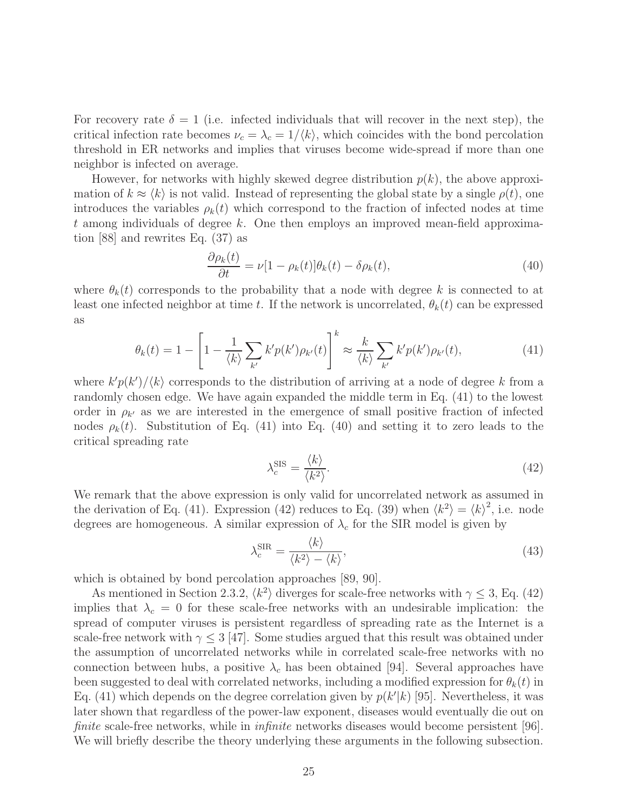For recovery rate  $\delta = 1$  (i.e. infected individuals that will recover in the next step), the critical infection rate becomes  $\nu_c = \lambda_c = 1/\langle k \rangle$ , which coincides with the bond percolation threshold in ER networks and implies that viruses become wide-spread if more than one neighbor is infected on average.

However, for networks with highly skewed degree distribution  $p(k)$ , the above approximation of  $k \approx \langle k \rangle$  is not valid. Instead of representing the global state by a single  $\rho(t)$ , one introduces the variables  $\rho_k(t)$  which correspond to the fraction of infected nodes at time t among individuals of degree k. One then employs an improved mean-field approximation [88] and rewrites Eq. (37) as

$$
\frac{\partial \rho_k(t)}{\partial t} = \nu [1 - \rho_k(t)] \theta_k(t) - \delta \rho_k(t), \qquad (40)
$$

where  $\theta_k(t)$  corresponds to the probability that a node with degree k is connected to at least one infected neighbor at time t. If the network is uncorrelated,  $\theta_k(t)$  can be expressed as

$$
\theta_k(t) = 1 - \left[1 - \frac{1}{\langle k \rangle} \sum_{k'} k' p(k') \rho_{k'}(t)\right]^k \approx \frac{k}{\langle k \rangle} \sum_{k'} k' p(k') \rho_{k'}(t),\tag{41}
$$

where  $k'p(k')\langle k\rangle$  corresponds to the distribution of arriving at a node of degree k from a randomly chosen edge. We have again expanded the middle term in Eq. (41) to the lowest order in  $\rho_{k'}$  as we are interested in the emergence of small positive fraction of infected nodes  $\rho_k(t)$ . Substitution of Eq. (41) into Eq. (40) and setting it to zero leads to the critical spreading rate

$$
\lambda_c^{\text{SIS}} = \frac{\langle k \rangle}{\langle k^2 \rangle}.
$$
\n(42)

We remark that the above expression is only valid for uncorrelated network as assumed in the derivation of Eq. (41). Expression (42) reduces to Eq. (39) when  $\langle k^2 \rangle = \langle k \rangle^2$ , i.e. node degrees are homogeneous. A similar expression of  $\lambda_c$  for the SIR model is given by

$$
\lambda_c^{\text{SIR}} = \frac{\langle k \rangle}{\langle k^2 \rangle - \langle k \rangle},\tag{43}
$$

which is obtained by bond percolation approaches  $[89, 90]$ .

As mentioned in Section 2.3.2,  $\langle k^2 \rangle$  diverges for scale-free networks with  $\gamma \leq 3$ , Eq. (42) implies that  $\lambda_c = 0$  for these scale-free networks with an undesirable implication: the spread of computer viruses is persistent regardless of spreading rate as the Internet is a scale-free network with  $\gamma \leq 3$  [47]. Some studies argued that this result was obtained under the assumption of uncorrelated networks while in correlated scale-free networks with no connection between hubs, a positive  $\lambda_c$  has been obtained [94]. Several approaches have been suggested to deal with correlated networks, including a modified expression for  $\theta_k(t)$  in Eq. (41) which depends on the degree correlation given by  $p(k'|k)$  [95]. Nevertheless, it was later shown that regardless of the power-law exponent, diseases would eventually die out on finite scale-free networks, while in *infinite* networks diseases would become persistent [96]. We will briefly describe the theory underlying these arguments in the following subsection.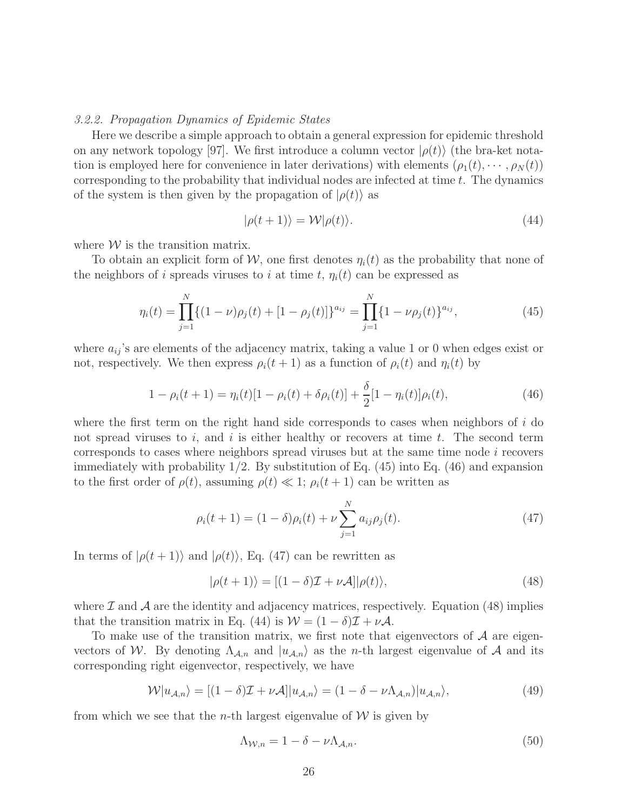#### 3.2.2. Propagation Dynamics of Epidemic States

Here we describe a simple approach to obtain a general expression for epidemic threshold on any network topology [97]. We first introduce a column vector  $|\rho(t)\rangle$  (the bra-ket notation is employed here for convenience in later derivations) with elements  $(\rho_1(t), \dots, \rho_N(t))$ corresponding to the probability that individual nodes are infected at time t. The dynamics of the system is then given by the propagation of  $|\rho(t)\rangle$  as

$$
|\rho(t+1)\rangle = \mathcal{W}|\rho(t)\rangle.
$$
 (44)

where  $W$  is the transition matrix.

To obtain an explicit form of W, one first denotes  $\eta_i(t)$  as the probability that none of the neighbors of i spreads viruses to i at time t,  $\eta_i(t)$  can be expressed as

$$
\eta_i(t) = \prod_{j=1}^N \{ (1 - \nu)\rho_j(t) + [1 - \rho_j(t)] \}^{a_{ij}} = \prod_{j=1}^N \{ 1 - \nu \rho_j(t) \}^{a_{ij}},
$$
\n(45)

where  $a_{ij}$ 's are elements of the adjacency matrix, taking a value 1 or 0 when edges exist or not, respectively. We then express  $\rho_i(t+1)$  as a function of  $\rho_i(t)$  and  $\eta_i(t)$  by

$$
1 - \rho_i(t+1) = \eta_i(t)[1 - \rho_i(t) + \delta \rho_i(t)] + \frac{\delta}{2}[1 - \eta_i(t)]\rho_i(t), \qquad (46)
$$

where the first term on the right hand side corresponds to cases when neighbors of  $i$  do not spread viruses to i, and i is either healthy or recovers at time t. The second term corresponds to cases where neighbors spread viruses but at the same time node i recovers immediately with probability  $1/2$ . By substitution of Eq.  $(45)$  into Eq.  $(46)$  and expansion to the first order of  $\rho(t)$ , assuming  $\rho(t) \ll 1$ ;  $\rho_i(t+1)$  can be written as

$$
\rho_i(t+1) = (1-\delta)\rho_i(t) + \nu \sum_{j=1}^N a_{ij}\rho_j(t).
$$
\n(47)

In terms of  $|\rho(t+1)\rangle$  and  $|\rho(t)\rangle$ , Eq. (47) can be rewritten as

$$
|\rho(t+1)\rangle = [(1-\delta)\mathcal{I} + \nu\mathcal{A}]|\rho(t)\rangle,
$$
\n(48)

where  $\mathcal I$  and  $\mathcal A$  are the identity and adjacency matrices, respectively. Equation (48) implies that the transition matrix in Eq. (44) is  $W = (1 - \delta)\mathcal{I} + \nu\mathcal{A}$ .

To make use of the transition matrix, we first note that eigenvectors of  $A$  are eigenvectors of W. By denoting  $\Lambda_{\mathcal{A},n}$  and  $|u_{\mathcal{A},n}\rangle$  as the *n*-th largest eigenvalue of A and its corresponding right eigenvector, respectively, we have

$$
\mathcal{W}|u_{\mathcal{A},n}\rangle = [(1-\delta)\mathcal{I} + \nu\mathcal{A}]|u_{\mathcal{A},n}\rangle = (1-\delta - \nu\Lambda_{\mathcal{A},n})|u_{\mathcal{A},n}\rangle,\tag{49}
$$

from which we see that the *n*-th largest eigenvalue of  $W$  is given by

$$
\Lambda_{\mathcal{W},n} = 1 - \delta - \nu \Lambda_{\mathcal{A},n}.\tag{50}
$$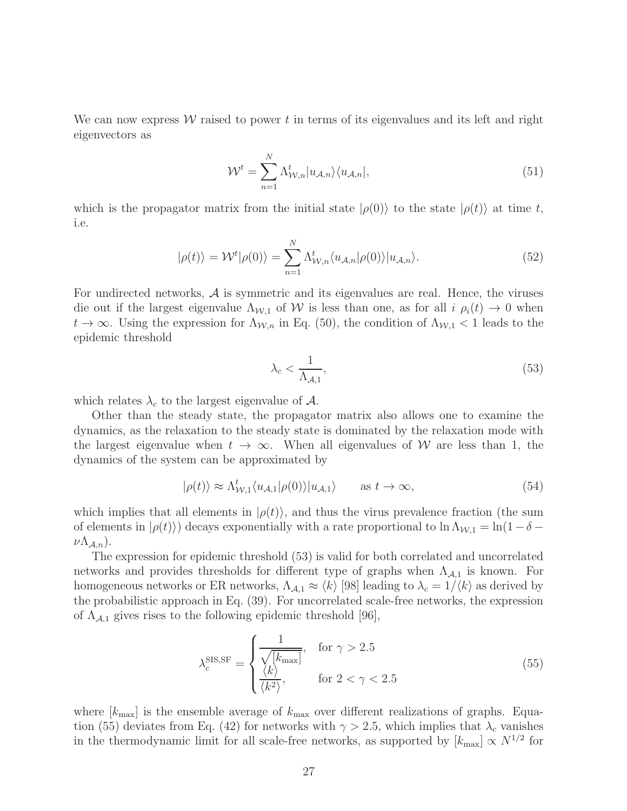We can now express  $W$  raised to power t in terms of its eigenvalues and its left and right eigenvectors as

$$
\mathcal{W}^t = \sum_{n=1}^N \Lambda_{\mathcal{W},n}^t |u_{\mathcal{A},n}\rangle\langle u_{\mathcal{A},n}|,\tag{51}
$$

which is the propagator matrix from the initial state  $|\rho(0)\rangle$  to the state  $|\rho(t)\rangle$  at time t, i.e.

$$
|\rho(t)\rangle = \mathcal{W}^t|\rho(0)\rangle = \sum_{n=1}^N \Lambda_{\mathcal{W},n}^t \langle u_{\mathcal{A},n}|\rho(0)\rangle |u_{\mathcal{A},n}\rangle.
$$
 (52)

For undirected networks,  $\mathcal A$  is symmetric and its eigenvalues are real. Hence, the viruses die out if the largest eigenvalue  $\Lambda_{W,1}$  of W is less than one, as for all  $i \rho_i(t) \to 0$  when  $t \to \infty$ . Using the expression for  $\Lambda_{\mathcal{W},n}$  in Eq. (50), the condition of  $\Lambda_{\mathcal{W},1} < 1$  leads to the epidemic threshold

$$
\lambda_c < \frac{1}{\Lambda_{\mathcal{A},1}},\tag{53}
$$

which relates  $\lambda_c$  to the largest eigenvalue of A.

Other than the steady state, the propagator matrix also allows one to examine the dynamics, as the relaxation to the steady state is dominated by the relaxation mode with the largest eigenvalue when  $t \to \infty$ . When all eigenvalues of W are less than 1, the dynamics of the system can be approximated by

$$
|\rho(t)\rangle \approx \Lambda_{\mathcal{W},1}^t \langle u_{\mathcal{A},1} | \rho(0) \rangle | u_{\mathcal{A},1} \rangle \quad \text{as } t \to \infty,
$$
 (54)

which implies that all elements in  $|\rho(t)\rangle$ , and thus the virus prevalence fraction (the sum of elements in  $|\rho(t)\rangle$  decays exponentially with a rate proportional to  $\ln \Lambda_{W,1} = \ln(1-\delta - \frac{1}{2})$  $\nu\Lambda_{A,n}$ ).

The expression for epidemic threshold (53) is valid for both correlated and uncorrelated networks and provides thresholds for different type of graphs when  $\Lambda_{A,1}$  is known. For homogeneous networks or ER networks,  $\Lambda_{A,1} \approx \langle k \rangle$  [98] leading to  $\lambda_c = 1/\langle k \rangle$  as derived by the probabilistic approach in Eq. (39). For uncorrelated scale-free networks, the expression of  $\Lambda_{A,1}$  gives rises to the following epidemic threshold [96],

$$
\lambda_c^{\text{SIS,SF}} = \begin{cases} \frac{1}{\sqrt[k]{[k_{\text{max}}]}} & \text{for } \gamma > 2.5\\ \frac{\langle k \rangle}{\langle k^2 \rangle}, & \text{for } 2 < \gamma < 2.5 \end{cases}
$$
(55)

where  $[k_{\text{max}}]$  is the ensemble average of  $k_{\text{max}}$  over different realizations of graphs. Equation (55) deviates from Eq. (42) for networks with  $\gamma > 2.5$ , which implies that  $\lambda_c$  vanishes in the thermodynamic limit for all scale-free networks, as supported by  $[k_{\text{max}}] \propto N^{1/2}$  for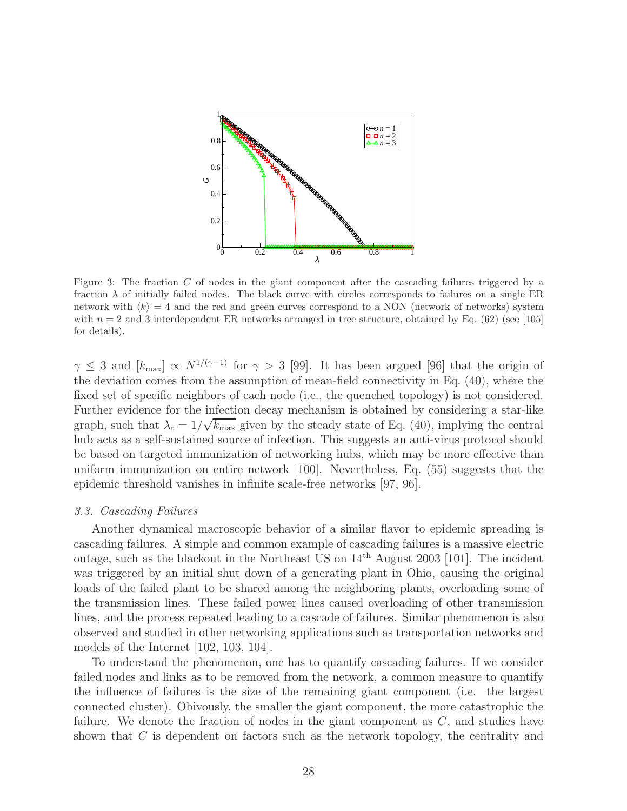

Figure 3: The fraction C of nodes in the giant component after the cascading failures triggered by a fraction  $\lambda$  of initially failed nodes. The black curve with circles corresponds to failures on a single ER network with  $\langle k \rangle = 4$  and the red and green curves correspond to a NON (network of networks) system with  $n = 2$  and 3 interdependent ER networks arranged in tree structure, obtained by Eq. (62) (see [105] for details).

 $\gamma \leq 3$  and  $[k_{\text{max}}] \propto N^{1/(\gamma-1)}$  for  $\gamma > 3$  [99]. It has been argued [96] that the origin of the deviation comes from the assumption of mean-field connectivity in Eq. (40), where the fixed set of specific neighbors of each node (i.e., the quenched topology) is not considered. Further evidence for the infection decay mechanism is obtained by considering a star-like graph, such that  $\lambda_c = 1/\sqrt{k_{\text{max}}}$  given by the steady state of Eq. (40), implying the central hub acts as a self-sustained source of infection. This suggests an anti-virus protocol should be based on targeted immunization of networking hubs, which may be more effective than uniform immunization on entire network [100]. Nevertheless, Eq. (55) suggests that the epidemic threshold vanishes in infinite scale-free networks [97, 96].

#### 3.3. Cascading Failures

Another dynamical macroscopic behavior of a similar flavor to epidemic spreading is cascading failures. A simple and common example of cascading failures is a massive electric outage, such as the blackout in the Northeast US on  $14<sup>th</sup>$  August 2003 [101]. The incident was triggered by an initial shut down of a generating plant in Ohio, causing the original loads of the failed plant to be shared among the neighboring plants, overloading some of the transmission lines. These failed power lines caused overloading of other transmission lines, and the process repeated leading to a cascade of failures. Similar phenomenon is also observed and studied in other networking applications such as transportation networks and models of the Internet [102, 103, 104].

To understand the phenomenon, one has to quantify cascading failures. If we consider failed nodes and links as to be removed from the network, a common measure to quantify the influence of failures is the size of the remaining giant component (i.e. the largest connected cluster). Obivously, the smaller the giant component, the more catastrophic the failure. We denote the fraction of nodes in the giant component as C, and studies have shown that C is dependent on factors such as the network topology, the centrality and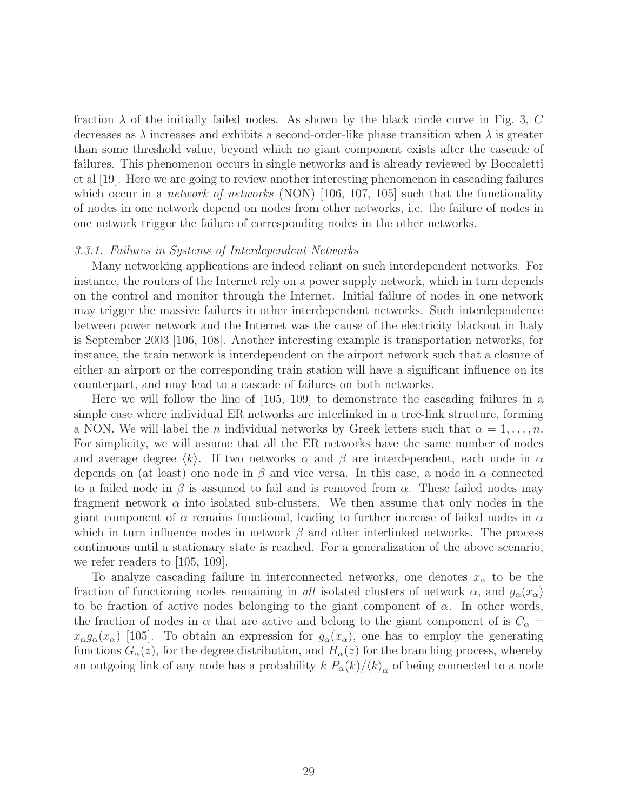fraction  $\lambda$  of the initially failed nodes. As shown by the black circle curve in Fig. 3, C decreases as  $\lambda$  increases and exhibits a second-order-like phase transition when  $\lambda$  is greater than some threshold value, beyond which no giant component exists after the cascade of failures. This phenomenon occurs in single networks and is already reviewed by Boccaletti et al [19]. Here we are going to review another interesting phenomenon in cascading failures which occur in a *network of networks* (NON) [106, 107, 105] such that the functionality of nodes in one network depend on nodes from other networks, i.e. the failure of nodes in one network trigger the failure of corresponding nodes in the other networks.

#### 3.3.1. Failures in Systems of Interdependent Networks

Many networking applications are indeed reliant on such interdependent networks. For instance, the routers of the Internet rely on a power supply network, which in turn depends on the control and monitor through the Internet. Initial failure of nodes in one network may trigger the massive failures in other interdependent networks. Such interdependence between power network and the Internet was the cause of the electricity blackout in Italy is September 2003 [106, 108]. Another interesting example is transportation networks, for instance, the train network is interdependent on the airport network such that a closure of either an airport or the corresponding train station will have a significant influence on its counterpart, and may lead to a cascade of failures on both networks.

Here we will follow the line of [105, 109] to demonstrate the cascading failures in a simple case where individual ER networks are interlinked in a tree-link structure, forming a NON. We will label the n individual networks by Greek letters such that  $\alpha = 1, \ldots, n$ . For simplicity, we will assume that all the ER networks have the same number of nodes and average degree  $\langle k \rangle$ . If two networks  $\alpha$  and  $\beta$  are interdependent, each node in  $\alpha$ depends on (at least) one node in  $\beta$  and vice versa. In this case, a node in  $\alpha$  connected to a failed node in  $\beta$  is assumed to fail and is removed from  $\alpha$ . These failed nodes may fragment network  $\alpha$  into isolated sub-clusters. We then assume that only nodes in the giant component of  $\alpha$  remains functional, leading to further increase of failed nodes in  $\alpha$ which in turn influence nodes in network  $\beta$  and other interlinked networks. The process continuous until a stationary state is reached. For a generalization of the above scenario, we refer readers to [105, 109].

To analyze cascading failure in interconnected networks, one denotes  $x_{\alpha}$  to be the fraction of functioning nodes remaining in all isolated clusters of network  $\alpha$ , and  $g_{\alpha}(x_{\alpha})$ to be fraction of active nodes belonging to the giant component of  $\alpha$ . In other words, the fraction of nodes in  $\alpha$  that are active and belong to the giant component of is  $C_{\alpha}$  $x_{\alpha}g_{\alpha}(x_{\alpha})$  [105]. To obtain an expression for  $g_{\alpha}(x_{\alpha})$ , one has to employ the generating functions  $G_{\alpha}(z)$ , for the degree distribution, and  $H_{\alpha}(z)$  for the branching process, whereby an outgoing link of any node has a probability  $k P_\alpha(k) / \langle k \rangle_\alpha$  of being connected to a node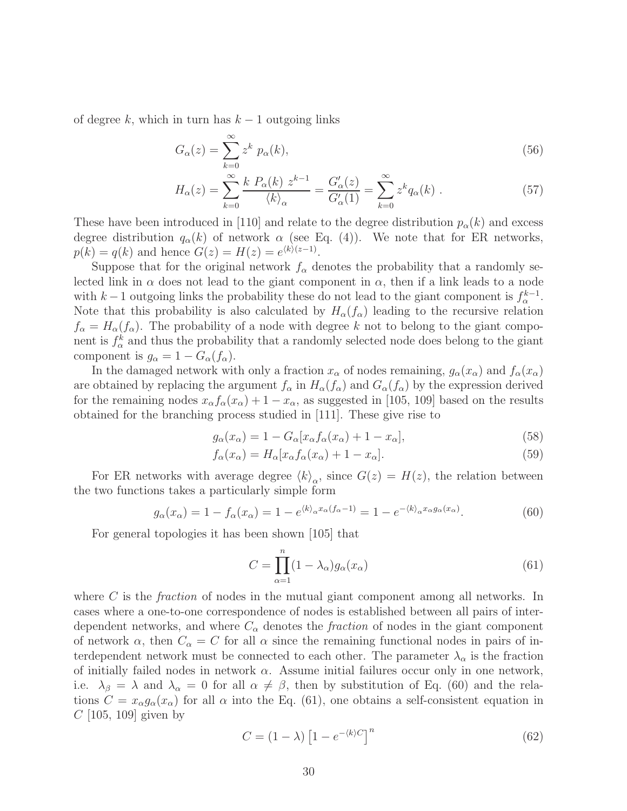of degree k, which in turn has  $k-1$  outgoing links

$$
G_{\alpha}(z) = \sum_{k=0}^{\infty} z^k p_{\alpha}(k),\tag{56}
$$

$$
H_{\alpha}(z) = \sum_{k=0}^{\infty} \frac{k P_{\alpha}(k) z^{k-1}}{\langle k \rangle_{\alpha}} = \frac{G_{\alpha}'(z)}{G_{\alpha}'(1)} = \sum_{k=0}^{\infty} z^{k} q_{\alpha}(k) . \tag{57}
$$

These have been introduced in [110] and relate to the degree distribution  $p_{\alpha}(k)$  and excess degree distribution  $q_{\alpha}(k)$  of network  $\alpha$  (see Eq. (4)). We note that for ER networks,  $p(k) = q(k)$  and hence  $G(z) = H(z) = e^{(k)(z-1)}$ .

Suppose that for the original network  $f_{\alpha}$  denotes the probability that a randomly selected link in  $\alpha$  does not lead to the giant component in  $\alpha$ , then if a link leads to a node with k – 1 outgoing links the probability these do not lead to the giant component is  $f_{\alpha}^{k-1}$ . Note that this probability is also calculated by  $H_{\alpha}(f_{\alpha})$  leading to the recursive relation  $f_{\alpha} = H_{\alpha}(f_{\alpha})$ . The probability of a node with degree k not to belong to the giant component is  $f^k_\alpha$  and thus the probability that a randomly selected node does belong to the giant component is  $g_{\alpha} = 1 - G_{\alpha}(f_{\alpha}).$ 

In the damaged network with only a fraction  $x_{\alpha}$  of nodes remaining,  $g_{\alpha}(x_{\alpha})$  and  $f_{\alpha}(x_{\alpha})$ are obtained by replacing the argument  $f_{\alpha}$  in  $H_{\alpha}(f_{\alpha})$  and  $G_{\alpha}(f_{\alpha})$  by the expression derived for the remaining nodes  $x_{\alpha} f_{\alpha}(x_{\alpha}) + 1 - x_{\alpha}$ , as suggested in [105, 109] based on the results obtained for the branching process studied in [111]. These give rise to

$$
g_{\alpha}(x_{\alpha}) = 1 - G_{\alpha}[x_{\alpha}f_{\alpha}(x_{\alpha}) + 1 - x_{\alpha}],
$$
\n(58)

$$
f_{\alpha}(x_{\alpha}) = H_{\alpha}[x_{\alpha}f_{\alpha}(x_{\alpha}) + 1 - x_{\alpha}].
$$
\n(59)

For ER networks with average degree  $\langle k \rangle_{\alpha}$ , since  $G(z) = H(z)$ , the relation between the two functions takes a particularly simple form

$$
g_{\alpha}(x_{\alpha}) = 1 - f_{\alpha}(x_{\alpha}) = 1 - e^{\langle k \rangle_{\alpha} x_{\alpha}(f_{\alpha} - 1)} = 1 - e^{-\langle k \rangle_{\alpha} x_{\alpha} g_{\alpha}(x_{\alpha})}.
$$
(60)

For general topologies it has been shown [105] that

$$
C = \prod_{\alpha=1}^{n} (1 - \lambda_{\alpha}) g_{\alpha}(x_{\alpha})
$$
\n(61)

where  $C$  is the *fraction* of nodes in the mutual giant component among all networks. In cases where a one-to-one correspondence of nodes is established between all pairs of interdependent networks, and where  $C_{\alpha}$  denotes the *fraction* of nodes in the giant component of network  $\alpha$ , then  $C_{\alpha} = C$  for all  $\alpha$  since the remaining functional nodes in pairs of interdependent network must be connected to each other. The parameter  $\lambda_{\alpha}$  is the fraction of initially failed nodes in network  $\alpha$ . Assume initial failures occur only in one network, i.e.  $\lambda_{\beta} = \lambda$  and  $\lambda_{\alpha} = 0$  for all  $\alpha \neq \beta$ , then by substitution of Eq. (60) and the relations  $C = x_{\alpha} g_{\alpha}(x_{\alpha})$  for all  $\alpha$  into the Eq. (61), one obtains a self-consistent equation in  $C$  [105, 109] given by

$$
C = (1 - \lambda) \left[ 1 - e^{-\langle k \rangle C} \right]^n \tag{62}
$$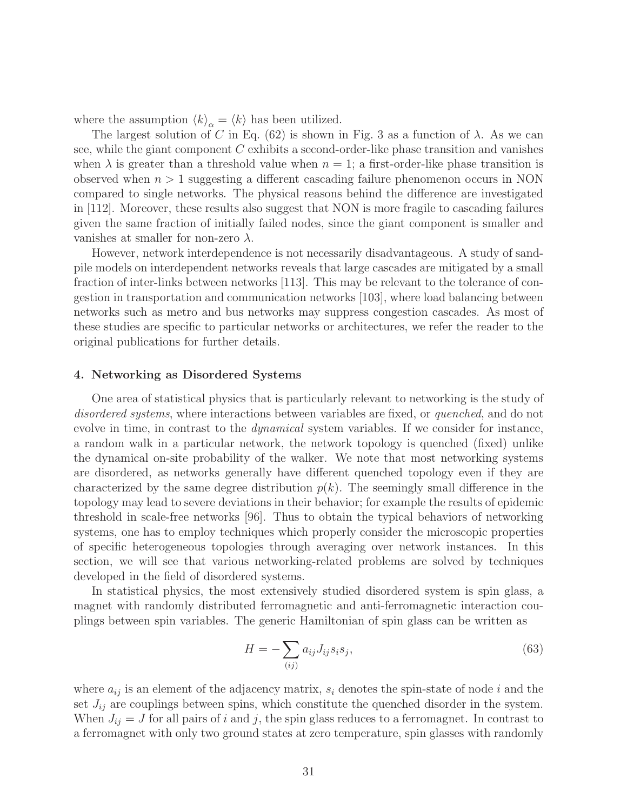where the assumption  $\langle k \rangle_{\alpha} = \langle k \rangle$  has been utilized.

The largest solution of C in Eq. (62) is shown in Fig. 3 as a function of  $\lambda$ . As we can see, while the giant component C exhibits a second-order-like phase transition and vanishes when  $\lambda$  is greater than a threshold value when  $n = 1$ ; a first-order-like phase transition is observed when  $n > 1$  suggesting a different cascading failure phenomenon occurs in NON compared to single networks. The physical reasons behind the difference are investigated in [112]. Moreover, these results also suggest that NON is more fragile to cascading failures given the same fraction of initially failed nodes, since the giant component is smaller and vanishes at smaller for non-zero  $\lambda$ .

However, network interdependence is not necessarily disadvantageous. A study of sandpile models on interdependent networks reveals that large cascades are mitigated by a small fraction of inter-links between networks [113]. This may be relevant to the tolerance of congestion in transportation and communication networks [103], where load balancing between networks such as metro and bus networks may suppress congestion cascades. As most of these studies are specific to particular networks or architectures, we refer the reader to the original publications for further details.

#### 4. Networking as Disordered Systems

One area of statistical physics that is particularly relevant to networking is the study of disordered systems, where interactions between variables are fixed, or quenched, and do not evolve in time, in contrast to the dynamical system variables. If we consider for instance, a random walk in a particular network, the network topology is quenched (fixed) unlike the dynamical on-site probability of the walker. We note that most networking systems are disordered, as networks generally have different quenched topology even if they are characterized by the same degree distribution  $p(k)$ . The seemingly small difference in the topology may lead to severe deviations in their behavior; for example the results of epidemic threshold in scale-free networks [96]. Thus to obtain the typical behaviors of networking systems, one has to employ techniques which properly consider the microscopic properties of specific heterogeneous topologies through averaging over network instances. In this section, we will see that various networking-related problems are solved by techniques developed in the field of disordered systems.

In statistical physics, the most extensively studied disordered system is spin glass, a magnet with randomly distributed ferromagnetic and anti-ferromagnetic interaction couplings between spin variables. The generic Hamiltonian of spin glass can be written as

$$
H = -\sum_{(ij)} a_{ij} J_{ij} s_i s_j,\tag{63}
$$

where  $a_{ij}$  is an element of the adjacency matrix,  $s_i$  denotes the spin-state of node i and the set  $J_{ij}$  are couplings between spins, which constitute the quenched disorder in the system. When  $J_{ij} = J$  for all pairs of i and j, the spin glass reduces to a ferromagnet. In contrast to a ferromagnet with only two ground states at zero temperature, spin glasses with randomly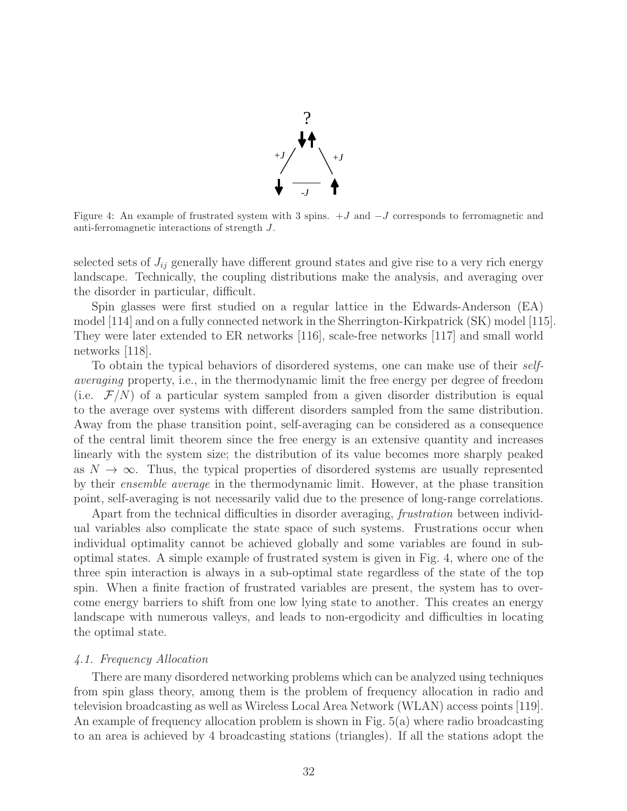

Figure 4: An example of frustrated system with 3 spins.  $+J$  and  $-J$  corresponds to ferromagnetic and anti-ferromagnetic interactions of strength J.

selected sets of  $J_{ij}$  generally have different ground states and give rise to a very rich energy landscape. Technically, the coupling distributions make the analysis, and averaging over the disorder in particular, difficult.

Spin glasses were first studied on a regular lattice in the Edwards-Anderson (EA) model [114] and on a fully connected network in the Sherrington-Kirkpatrick (SK) model [115]. They were later extended to ER networks [116], scale-free networks [117] and small world networks [118].

To obtain the typical behaviors of disordered systems, one can make use of their selfaveraging property, i.e., in the thermodynamic limit the free energy per degree of freedom (i.e.  $\mathcal{F}/N$ ) of a particular system sampled from a given disorder distribution is equal to the average over systems with different disorders sampled from the same distribution. Away from the phase transition point, self-averaging can be considered as a consequence of the central limit theorem since the free energy is an extensive quantity and increases linearly with the system size; the distribution of its value becomes more sharply peaked as  $N \to \infty$ . Thus, the typical properties of disordered systems are usually represented by their ensemble average in the thermodynamic limit. However, at the phase transition point, self-averaging is not necessarily valid due to the presence of long-range correlations.

Apart from the technical difficulties in disorder averaging, *frustration* between individual variables also complicate the state space of such systems. Frustrations occur when individual optimality cannot be achieved globally and some variables are found in suboptimal states. A simple example of frustrated system is given in Fig. 4, where one of the three spin interaction is always in a sub-optimal state regardless of the state of the top spin. When a finite fraction of frustrated variables are present, the system has to overcome energy barriers to shift from one low lying state to another. This creates an energy landscape with numerous valleys, and leads to non-ergodicity and difficulties in locating the optimal state.

#### 4.1. Frequency Allocation

There are many disordered networking problems which can be analyzed using techniques from spin glass theory, among them is the problem of frequency allocation in radio and television broadcasting as well as Wireless Local Area Network (WLAN) access points [119]. An example of frequency allocation problem is shown in Fig. 5(a) where radio broadcasting to an area is achieved by 4 broadcasting stations (triangles). If all the stations adopt the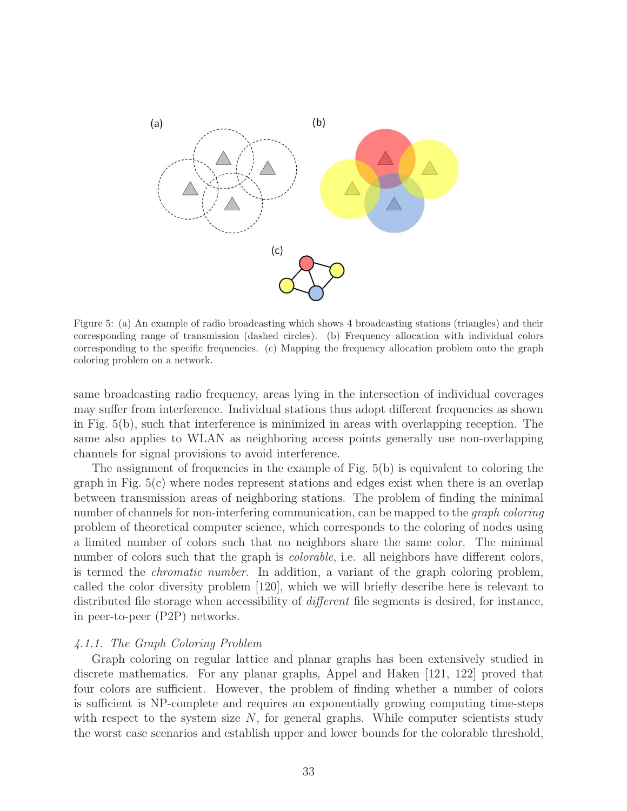

Figure 5: (a) An example of radio broadcasting which shows 4 broadcasting stations (triangles) and their corresponding range of transmission (dashed circles). (b) Frequency allocation with individual colors corresponding to the specific frequencies. (c) Mapping the frequency allocation problem onto the graph coloring problem on a network.

same broadcasting radio frequency, areas lying in the intersection of individual coverages may suffer from interference. Individual stations thus adopt different frequencies as shown in Fig. 5(b), such that interference is minimized in areas with overlapping reception. The same also applies to WLAN as neighboring access points generally use non-overlapping channels for signal provisions to avoid interference.

The assignment of frequencies in the example of Fig.  $5(b)$  is equivalent to coloring the graph in Fig. 5(c) where nodes represent stations and edges exist when there is an overlap between transmission areas of neighboring stations. The problem of finding the minimal number of channels for non-interfering communication, can be mapped to the *graph coloring* problem of theoretical computer science, which corresponds to the coloring of nodes using a limited number of colors such that no neighbors share the same color. The minimal number of colors such that the graph is *colorable*, i.e. all neighbors have different colors, is termed the chromatic number. In addition, a variant of the graph coloring problem, called the color diversity problem [120], which we will briefly describe here is relevant to distributed file storage when accessibility of *different* file segments is desired, for instance, in peer-to-peer (P2P) networks.

#### 4.1.1. The Graph Coloring Problem

Graph coloring on regular lattice and planar graphs has been extensively studied in discrete mathematics. For any planar graphs, Appel and Haken [121, 122] proved that four colors are sufficient. However, the problem of finding whether a number of colors is sufficient is NP-complete and requires an exponentially growing computing time-steps with respect to the system size  $N$ , for general graphs. While computer scientists study the worst case scenarios and establish upper and lower bounds for the colorable threshold,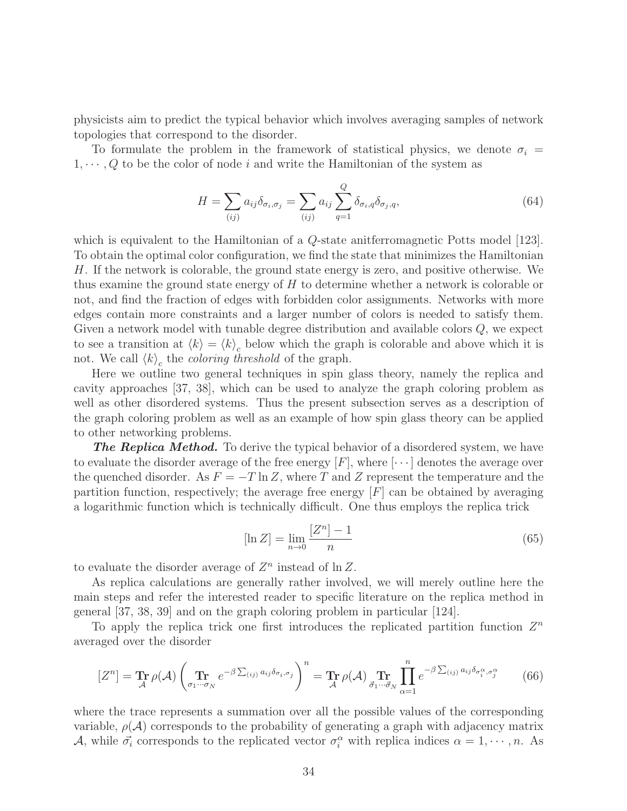physicists aim to predict the typical behavior which involves averaging samples of network topologies that correspond to the disorder.

To formulate the problem in the framework of statistical physics, we denote  $\sigma_i =$  $1, \dots, Q$  to be the color of node i and write the Hamiltonian of the system as

$$
H = \sum_{(ij)} a_{ij} \delta_{\sigma_i, \sigma_j} = \sum_{(ij)} a_{ij} \sum_{q=1}^{Q} \delta_{\sigma_i, q} \delta_{\sigma_j, q}, \qquad (64)
$$

which is equivalent to the Hamiltonian of a  $Q$ -state aniterromagnetic Potts model  $|123|$ . To obtain the optimal color configuration, we find the state that minimizes the Hamiltonian H. If the network is colorable, the ground state energy is zero, and positive otherwise. We thus examine the ground state energy of  $H$  to determine whether a network is colorable or not, and find the fraction of edges with forbidden color assignments. Networks with more edges contain more constraints and a larger number of colors is needed to satisfy them. Given a network model with tunable degree distribution and available colors  $Q$ , we expect to see a transition at  $\langle k \rangle = \langle k \rangle_c$  below which the graph is colorable and above which it is not. We call  $\langle k \rangle_c$  the *coloring threshold* of the graph.

Here we outline two general techniques in spin glass theory, namely the replica and cavity approaches [37, 38], which can be used to analyze the graph coloring problem as well as other disordered systems. Thus the present subsection serves as a description of the graph coloring problem as well as an example of how spin glass theory can be applied to other networking problems.

**The Replica Method.** To derive the typical behavior of a disordered system, we have to evaluate the disorder average of the free energy  $[F]$ , where  $[\cdots]$  denotes the average over the quenched disorder. As  $F = -T \ln Z$ , where T and Z represent the temperature and the partition function, respectively; the average free energy  $|F|$  can be obtained by averaging a logarithmic function which is technically difficult. One thus employs the replica trick

$$
[\ln Z] = \lim_{n \to 0} \frac{[Z^n] - 1}{n} \tag{65}
$$

to evaluate the disorder average of  $Z^n$  instead of  $\ln Z$ .

As replica calculations are generally rather involved, we will merely outline here the main steps and refer the interested reader to specific literature on the replica method in general [37, 38, 39] and on the graph coloring problem in particular [124].

To apply the replica trick one first introduces the replicated partition function  $Z<sup>n</sup>$ averaged over the disorder

$$
[Z^n] = \mathop{\mathbf{Tr}}_{\mathcal{A}} \rho(\mathcal{A}) \left( \mathop{\mathbf{Tr}}_{\sigma_1 \cdots \sigma_N} e^{-\beta \sum_{(ij)} a_{ij} \delta_{\sigma_i, \sigma_j}} \right)^n = \mathop{\mathbf{Tr}}_{\mathcal{A}} \rho(\mathcal{A}) \prod_{\vec{\sigma}_1 \cdots \vec{\sigma}_N} \prod_{\alpha=1}^n e^{-\beta \sum_{(ij)} a_{ij} \delta_{\sigma_i^{\alpha}, \sigma_j^{\alpha}}} \tag{66}
$$

where the trace represents a summation over all the possible values of the corresponding variable,  $\rho(\mathcal{A})$  corresponds to the probability of generating a graph with adjacency matrix A, while  $\vec{\sigma_i}$  corresponds to the replicated vector  $\sigma_i^{\alpha}$  with replica indices  $\alpha = 1, \dots, n$ . As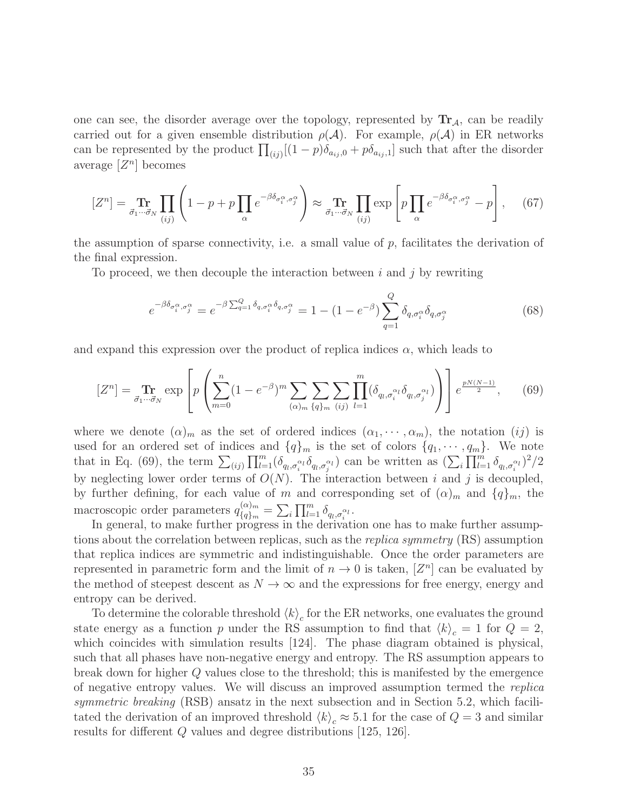one can see, the disorder average over the topology, represented by  $\text{Tr}_{\mathcal{A}}$ , can be readily carried out for a given ensemble distribution  $\rho(\mathcal{A})$ . For example,  $\rho(\mathcal{A})$  in ER networks can be represented by the product  $\prod_{(ij)}[(1-p)\delta_{a_{ij},0}+p\delta_{a_{ij},1}]$  such that after the disorder average  $[Z^n]$  becomes

$$
[Z^n] = \mathop{\mathbf{Tr}}_{\vec{\sigma}_1 \cdots \vec{\sigma}_N} \prod_{(ij)} \left( 1 - p + p \prod_{\alpha} e^{-\beta \delta_{\sigma_i^{\alpha}, \sigma_j^{\alpha}}} \right) \approx \mathop{\mathbf{Tr}}_{\vec{\sigma}_1 \cdots \vec{\sigma}_N} \prod_{(ij)} \exp \left[ p \prod_{\alpha} e^{-\beta \delta_{\sigma_i^{\alpha}, \sigma_j^{\alpha}}} - p \right], \quad (67)
$$

the assumption of sparse connectivity, i.e. a small value of  $p$ , facilitates the derivation of the final expression.

To proceed, we then decouple the interaction between i and j by rewriting

$$
e^{-\beta \delta_{\sigma_i^{\alpha}, \sigma_j^{\alpha}}} = e^{-\beta \sum_{q=1}^{Q} \delta_{q, \sigma_i^{\alpha}} \delta_{q, \sigma_j^{\alpha}}} = 1 - (1 - e^{-\beta}) \sum_{q=1}^{Q} \delta_{q, \sigma_i^{\alpha}} \delta_{q, \sigma_j^{\alpha}}
$$
(68)

and expand this expression over the product of replica indices  $\alpha$ , which leads to

$$
[Z^n] = \mathop{\mathbf{Tr}}\limits_{\vec{\sigma}_1 \cdots \vec{\sigma}_N} \exp\left[ p \left( \sum_{m=0}^n (1 - e^{-\beta})^m \sum_{(\alpha)_m} \sum_{\{q\}_m} \sum_{(ij)} \prod_{l=1}^m (\delta_{q_l, \sigma_i^{\alpha_l}} \delta_{q_l, \sigma_j^{\alpha_l}}) \right) \right] e^{\frac{pN(N-1)}{2}}, \quad (69)
$$

where we denote  $(\alpha)_m$  as the set of ordered indices  $(\alpha_1, \dots, \alpha_m)$ , the notation  $(ij)$  is used for an ordered set of indices and  $\{q\}_m$  is the set of colors  $\{q_1, \dots, q_m\}$ . We note that in Eq. (69), the term  $\sum_{(ij)} \prod_{l=1}^m (\delta_{q_l,\sigma_i^{\alpha_l}} \delta_{q_l,\sigma_j^{\alpha_l}})$  can be written as  $(\sum_i \prod_{l=1}^m \delta_{q_l,\sigma_i^{\alpha_l}})^2/2$ by neglecting lower order terms of  $O(N)$ . The interaction between i and j is decoupled, by further defining, for each value of m and corresponding set of  $(\alpha)_m$  and  $\{q\}_m$ , the macroscopic order parameters  $q_{i_{\alpha\lambda}}^{(\alpha)m}$  $\chi_{\{q\}_m}^{(\alpha)_m} = \sum_i \prod_{l=1}^m \delta_{q_l,\sigma_i^{\alpha_l}}.$ 

In general, to make further progress in the derivation one has to make further assumptions about the correlation between replicas, such as the *replica symmetry* (RS) assumption that replica indices are symmetric and indistinguishable. Once the order parameters are represented in parametric form and the limit of  $n \to 0$  is taken,  $[Z^n]$  can be evaluated by the method of steepest descent as  $N \to \infty$  and the expressions for free energy, energy and entropy can be derived.

To determine the colorable threshold  $\langle k \rangle_c$  for the ER networks, one evaluates the ground state energy as a function p under the RS assumption to find that  $\langle k \rangle_c = 1$  for  $Q = 2$ , which coincides with simulation results [124]. The phase diagram obtained is physical, such that all phases have non-negative energy and entropy. The RS assumption appears to break down for higher Q values close to the threshold; this is manifested by the emergence of negative entropy values. We will discuss an improved assumption termed the replica symmetric breaking (RSB) ansatz in the next subsection and in Section 5.2, which facilitated the derivation of an improved threshold  $\langle k \rangle_c \approx 5.1$  for the case of  $Q = 3$  and similar results for different Q values and degree distributions [125, 126].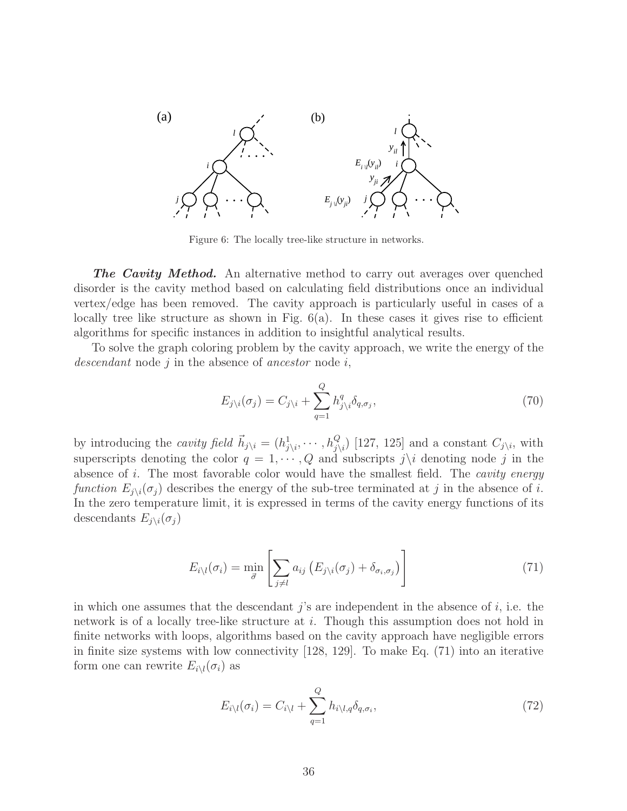

Figure 6: The locally tree-like structure in networks.

**The Cavity Method.** An alternative method to carry out averages over quenched disorder is the cavity method based on calculating field distributions once an individual vertex/edge has been removed. The cavity approach is particularly useful in cases of a locally tree like structure as shown in Fig.  $6(a)$ . In these cases it gives rise to efficient algorithms for specific instances in addition to insightful analytical results.

To solve the graph coloring problem by the cavity approach, we write the energy of the descendant node  $j$  in the absence of ancestor node  $i$ ,

$$
E_{j\setminus i}(\sigma_j) = C_{j\setminus i} + \sum_{q=1}^{Q} h_{j\setminus i}^q \delta_{q,\sigma_j},\tag{70}
$$

by introducing the *cavity field*  $\vec{h}_{j\setminus i} = (h_{j\setminus i}^1, \dots, h_{j\setminus i}^Q)$  [127, 125] and a constant  $C_{j\setminus i}$ , with superscripts denoting the color  $q = 1, \dots, Q$  and subscripts  $j \setminus i$  denoting node j in the absence of i. The most favorable color would have the smallest field. The *cavity energy* function  $E_{j\setminus i}(\sigma_j)$  describes the energy of the sub-tree terminated at j in the absence of i. In the zero temperature limit, it is expressed in terms of the cavity energy functions of its descendants  $E_{j\setminus i}(\sigma_j)$ 

$$
E_{i\setminus l}(\sigma_i) = \min_{\vec{\sigma}} \left[ \sum_{j \neq l} a_{ij} \left( E_{j\setminus i}(\sigma_j) + \delta_{\sigma_i, \sigma_j} \right) \right]
$$
(71)

in which one assumes that the descendant j's are independent in the absence of  $i$ , i.e. the network is of a locally tree-like structure at i. Though this assumption does not hold in finite networks with loops, algorithms based on the cavity approach have negligible errors in finite size systems with low connectivity [128, 129]. To make Eq. (71) into an iterative form one can rewrite  $E_{i\setminus l}(\sigma_i)$  as

$$
E_{i\setminus l}(\sigma_i) = C_{i\setminus l} + \sum_{q=1}^{Q} h_{i\setminus l,q} \delta_{q,\sigma_i},\tag{72}
$$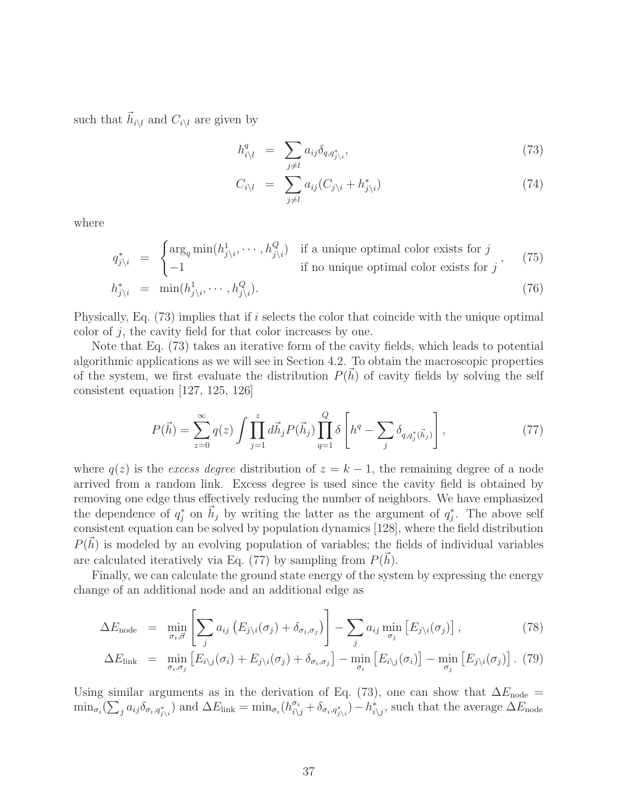such that  $\vec{h}_{i\setminus l}$  and  $C_{i\setminus l}$  are given by

$$
h_{i\backslash l}^q = \sum_{j\neq l} a_{ij} \delta_{q,q_{j\backslash i}^*},\tag{73}
$$

$$
C_{i\setminus l} = \sum_{j \neq l} a_{ij} (C_{j\setminus i} + h_{j\setminus i}^*) \tag{74}
$$

where

$$
q_{j\backslash i}^{*} = \begin{cases} \arg_{q} \min(h_{j\backslash i}^{1}, \cdots, h_{j\backslash i}^{Q}) & \text{if a unique optimal color exists for } j \\ -1 & \text{if no unique optimal color exists for } j \end{cases}
$$
 (75)  

$$
h_{j\backslash i}^{*} = \min(h_{j\backslash i}^{1}, \cdots, h_{j\backslash i}^{Q}).
$$

Physically, Eq. (73) implies that if i selects the color that coincide with the unique optimal color of  $j$ , the cavity field for that color increases by one.

Note that Eq. (73) takes an iterative form of the cavity fields, which leads to potential algorithmic applications as we will see in Section 4.2. To obtain the macroscopic properties of the system, we first evaluate the distribution  $P(\vec{h})$  of cavity fields by solving the self consistent equation [127, 125, 126]

$$
P(\vec{h}) = \sum_{z=0}^{\infty} q(z) \int \prod_{j=1}^{z} d\vec{h}_j P(\vec{h}_j) \prod_{q=1}^{Q} \delta \left[ h^q - \sum_{j} \delta_{q, q_j^*(\vec{h}_j)} \right],
$$
(77)

where  $q(z)$  is the excess degree distribution of  $z = k - 1$ , the remaining degree of a node arrived from a random link. Excess degree is used since the cavity field is obtained by removing one edge thus effectively reducing the number of neighbors. We have emphasized the dependence of  $q_j^*$  on  $\vec{h}_j$  by writing the latter as the argument of  $q_j^*$ . The above self consistent equation can be solved by population dynamics [128], where the field distribution  $P(\vec{h})$  is modeled by an evolving population of variables; the fields of individual variables are calculated iteratively via Eq. (77) by sampling from  $P(\vec{h})$ .

Finally, we can calculate the ground state energy of the system by expressing the energy change of an additional node and an additional edge as

$$
\Delta E_{\text{node}} = \min_{\sigma_i, \vec{\sigma}} \left[ \sum_j a_{ij} \left( E_{j \setminus i}(\sigma_j) + \delta_{\sigma_i, \sigma_j} \right) \right] - \sum_j a_{ij} \min_{\sigma_j} \left[ E_{j \setminus i}(\sigma_j) \right], \tag{78}
$$

$$
\Delta E_{\text{link}} = \min_{\sigma_i, \sigma_j} \left[ E_{i \setminus j}(\sigma_i) + E_{j \setminus i}(\sigma_j) + \delta_{\sigma_i, \sigma_j} \right] - \min_{\sigma_i} \left[ E_{i \setminus j}(\sigma_i) \right] - \min_{\sigma_j} \left[ E_{j \setminus i}(\sigma_j) \right]. \tag{79}
$$

Using similar arguments as in the derivation of Eq. (73), one can show that  $\Delta E_{\text{node}} =$  $\min_{\sigma_i} (\sum_j a_{ij} \delta_{\sigma_i, q^*_{j\setminus i}})$  and  $\Delta E_{\text{link}} = \min_{\sigma_i} (h^{\sigma_i}_{i\setminus j} + \delta_{\sigma_i, q^*_{j\setminus i}}) - h^*_{i\setminus j}$ , such that the average  $\Delta E_{\text{node}}$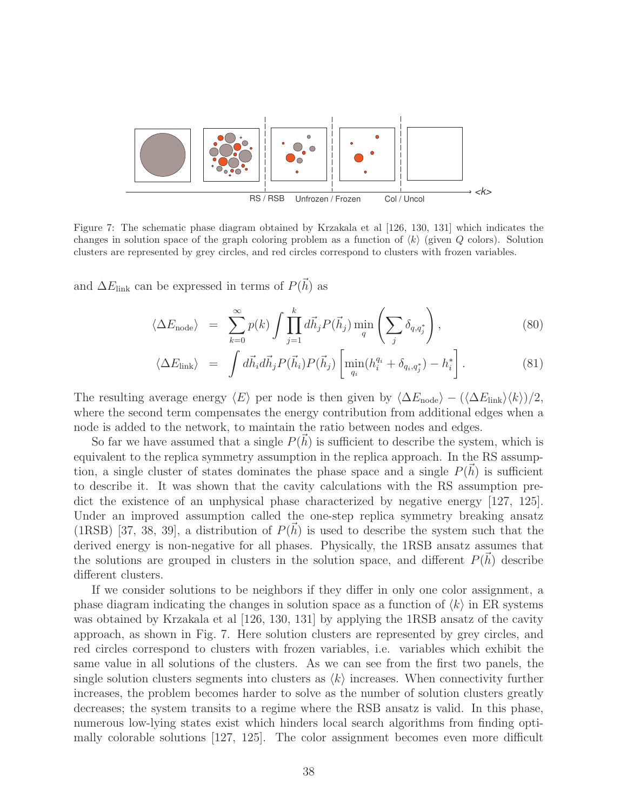

Figure 7: The schematic phase diagram obtained by Krzakala et al [126, 130, 131] which indicates the changes in solution space of the graph coloring problem as a function of  $\langle k \rangle$  (given Q colors). Solution clusters are represented by grey circles, and red circles correspond to clusters with frozen variables.

and  $\Delta E_{\text{link}}$  can be expressed in terms of  $P(\vec{h})$  as

$$
\langle \Delta E_{\text{node}} \rangle = \sum_{k=0}^{\infty} p(k) \int \prod_{j=1}^{k} d\vec{h}_j P(\vec{h}_j) \min_{q} \left( \sum_{j} \delta_{q, q_j^*} \right), \tag{80}
$$

$$
\langle \Delta E_{\text{link}} \rangle = \int d\vec{h}_i d\vec{h}_j P(\vec{h}_i) P(\vec{h}_j) \left[ \min_{q_i} (h_i^{q_i} + \delta_{q_i, q_j^*}) - h_i^* \right]. \tag{81}
$$

The resulting average energy  $\langle E \rangle$  per node is then given by  $\langle \Delta E_{\text{node}} \rangle - (\langle \Delta E_{\text{link}} \rangle \langle k \rangle)/2$ , where the second term compensates the energy contribution from additional edges when a node is added to the network, to maintain the ratio between nodes and edges.

So far we have assumed that a single  $P(\vec{h})$  is sufficient to describe the system, which is equivalent to the replica symmetry assumption in the replica approach. In the RS assumption, a single cluster of states dominates the phase space and a single  $P(\vec{h})$  is sufficient to describe it. It was shown that the cavity calculations with the RS assumption predict the existence of an unphysical phase characterized by negative energy [127, 125]. Under an improved assumption called the one-step replica symmetry breaking ansatz (1RSB) [37, 38, 39], a distribution of  $P(\vec{h})$  is used to describe the system such that the derived energy is non-negative for all phases. Physically, the 1RSB ansatz assumes that the solutions are grouped in clusters in the solution space, and different  $P(\vec{h})$  describe different clusters.

If we consider solutions to be neighbors if they differ in only one color assignment, a phase diagram indicating the changes in solution space as a function of  $\langle k \rangle$  in ER systems was obtained by Krzakala et al [126, 130, 131] by applying the 1RSB ansatz of the cavity approach, as shown in Fig. 7. Here solution clusters are represented by grey circles, and red circles correspond to clusters with frozen variables, i.e. variables which exhibit the same value in all solutions of the clusters. As we can see from the first two panels, the single solution clusters segments into clusters as  $\langle k \rangle$  increases. When connectivity further increases, the problem becomes harder to solve as the number of solution clusters greatly decreases; the system transits to a regime where the RSB ansatz is valid. In this phase, numerous low-lying states exist which hinders local search algorithms from finding optimally colorable solutions [127, 125]. The color assignment becomes even more difficult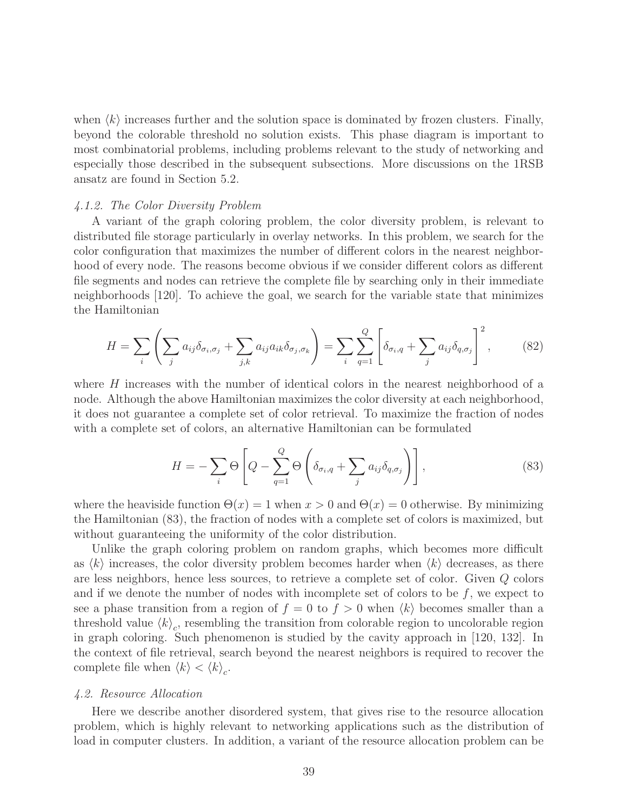when  $\langle k \rangle$  increases further and the solution space is dominated by frozen clusters. Finally, beyond the colorable threshold no solution exists. This phase diagram is important to most combinatorial problems, including problems relevant to the study of networking and especially those described in the subsequent subsections. More discussions on the 1RSB ansatz are found in Section 5.2.

#### 4.1.2. The Color Diversity Problem

A variant of the graph coloring problem, the color diversity problem, is relevant to distributed file storage particularly in overlay networks. In this problem, we search for the color configuration that maximizes the number of different colors in the nearest neighborhood of every node. The reasons become obvious if we consider different colors as different file segments and nodes can retrieve the complete file by searching only in their immediate neighborhoods [120]. To achieve the goal, we search for the variable state that minimizes the Hamiltonian

$$
H = \sum_{i} \left( \sum_{j} a_{ij} \delta_{\sigma_i, \sigma_j} + \sum_{j,k} a_{ij} a_{ik} \delta_{\sigma_j, \sigma_k} \right) = \sum_{i} \sum_{q=1}^{Q} \left[ \delta_{\sigma_i, q} + \sum_{j} a_{ij} \delta_{q, \sigma_j} \right]^2, \tag{82}
$$

where H increases with the number of identical colors in the nearest neighborhood of a node. Although the above Hamiltonian maximizes the color diversity at each neighborhood, it does not guarantee a complete set of color retrieval. To maximize the fraction of nodes with a complete set of colors, an alternative Hamiltonian can be formulated

$$
H = -\sum_{i} \Theta \left[ Q - \sum_{q=1}^{Q} \Theta \left( \delta_{\sigma_i, q} + \sum_{j} a_{ij} \delta_{q, \sigma_j} \right) \right],
$$
\n(83)

where the heaviside function  $\Theta(x) = 1$  when  $x > 0$  and  $\Theta(x) = 0$  otherwise. By minimizing the Hamiltonian (83), the fraction of nodes with a complete set of colors is maximized, but without guaranteeing the uniformity of the color distribution.

Unlike the graph coloring problem on random graphs, which becomes more difficult as  $\langle k \rangle$  increases, the color diversity problem becomes harder when  $\langle k \rangle$  decreases, as there are less neighbors, hence less sources, to retrieve a complete set of color. Given Q colors and if we denote the number of nodes with incomplete set of colors to be  $f$ , we expect to see a phase transition from a region of  $f = 0$  to  $f > 0$  when  $\langle k \rangle$  becomes smaller than a threshold value  $\langle k \rangle_c$ , resembling the transition from colorable region to uncolorable region in graph coloring. Such phenomenon is studied by the cavity approach in [120, 132]. In the context of file retrieval, search beyond the nearest neighbors is required to recover the complete file when  $\langle k \rangle < \langle k \rangle_c$ .

#### 4.2. Resource Allocation

Here we describe another disordered system, that gives rise to the resource allocation problem, which is highly relevant to networking applications such as the distribution of load in computer clusters. In addition, a variant of the resource allocation problem can be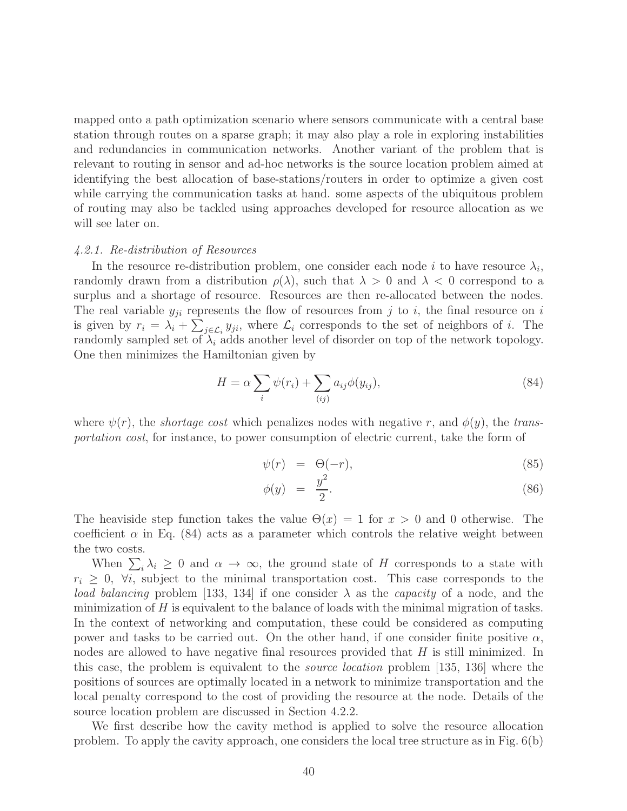mapped onto a path optimization scenario where sensors communicate with a central base station through routes on a sparse graph; it may also play a role in exploring instabilities and redundancies in communication networks. Another variant of the problem that is relevant to routing in sensor and ad-hoc networks is the source location problem aimed at identifying the best allocation of base-stations/routers in order to optimize a given cost while carrying the communication tasks at hand. some aspects of the ubiquitous problem of routing may also be tackled using approaches developed for resource allocation as we will see later on.

#### 4.2.1. Re-distribution of Resources

In the resource re-distribution problem, one consider each node i to have resource  $\lambda_i$ , randomly drawn from a distribution  $\rho(\lambda)$ , such that  $\lambda > 0$  and  $\lambda < 0$  correspond to a surplus and a shortage of resource. Resources are then re-allocated between the nodes. The real variable  $y_{ji}$  represents the flow of resources from j to i, the final resource on i is given by  $r_i = \lambda_i + \sum_{j \in \mathcal{L}_i} y_{ji}$ , where  $\mathcal{L}_i$  corresponds to the set of neighbors of i. The randomly sampled set of  $\lambda_i$  adds another level of disorder on top of the network topology. One then minimizes the Hamiltonian given by

$$
H = \alpha \sum_{i} \psi(r_i) + \sum_{(ij)} a_{ij} \phi(y_{ij}), \qquad (84)
$$

where  $\psi(r)$ , the *shortage cost* which penalizes nodes with negative r, and  $\phi(y)$ , the transportation cost, for instance, to power consumption of electric current, take the form of

$$
\psi(r) = \Theta(-r), \tag{85}
$$

$$
\phi(y) = \frac{y^2}{2}.\tag{86}
$$

The heaviside step function takes the value  $\Theta(x) = 1$  for  $x > 0$  and 0 otherwise. The coefficient  $\alpha$  in Eq. (84) acts as a parameter which controls the relative weight between the two costs.

When  $\sum_i \lambda_i \geq 0$  and  $\alpha \to \infty$ , the ground state of H corresponds to a state with  $r_i \geq 0$ ,  $\forall i$ , subject to the minimal transportation cost. This case corresponds to the load balancing problem [133, 134] if one consider  $\lambda$  as the *capacity* of a node, and the minimization of  $H$  is equivalent to the balance of loads with the minimal migration of tasks. In the context of networking and computation, these could be considered as computing power and tasks to be carried out. On the other hand, if one consider finite positive  $\alpha$ , nodes are allowed to have negative final resources provided that H is still minimized. In this case, the problem is equivalent to the source location problem [135, 136] where the positions of sources are optimally located in a network to minimize transportation and the local penalty correspond to the cost of providing the resource at the node. Details of the source location problem are discussed in Section 4.2.2.

We first describe how the cavity method is applied to solve the resource allocation problem. To apply the cavity approach, one considers the local tree structure as in Fig. 6(b)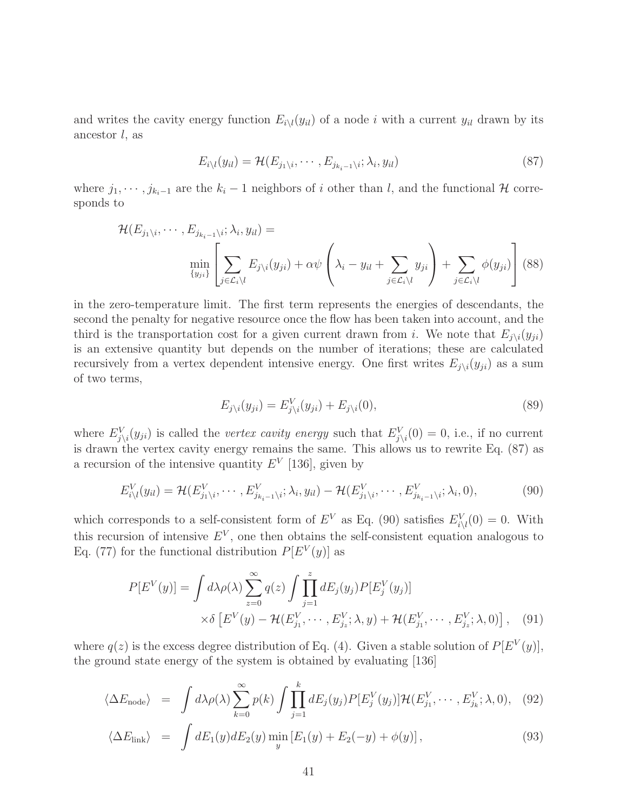and writes the cavity energy function  $E_i\langle(y_{il})\rangle$  of a node i with a current  $y_{il}$  drawn by its ancestor  $l$ , as

$$
E_{i\setminus l}(y_{il}) = \mathcal{H}(E_{j_1\setminus i}, \cdots, E_{j_{k_i-1}\setminus i}; \lambda_i, y_{il})
$$
\n(87)

where  $j_1, \dots, j_{k_i-1}$  are the  $k_i - 1$  neighbors of i other than l, and the functional H corresponds to

$$
\mathcal{H}(E_{j_1\setminus i},\cdots,E_{j_{k_i-1}\setminus i};\lambda_i,y_{il}) = \min_{\{y_{ji}\}} \left[ \sum_{j \in \mathcal{L}_i\setminus l} E_{j\setminus i}(y_{ji}) + \alpha \psi \left(\lambda_i - y_{il} + \sum_{j \in \mathcal{L}_i\setminus l} y_{ji}\right) + \sum_{j \in \mathcal{L}_i\setminus l} \phi(y_{ji}) \right] (88)
$$

in the zero-temperature limit. The first term represents the energies of descendants, the second the penalty for negative resource once the flow has been taken into account, and the third is the transportation cost for a given current drawn from i. We note that  $E_{i\setminus i}(y_{ii})$ is an extensive quantity but depends on the number of iterations; these are calculated recursively from a vertex dependent intensive energy. One first writes  $E_{j\setminus i}(y_{ji})$  as a sum of two terms,

$$
E_{j\setminus i}(y_{ji}) = E_{j\setminus i}^V(y_{ji}) + E_{j\setminus i}(0),\tag{89}
$$

where  $E_{j\setminus i}^V(y_{ji})$  is called the *vertex cavity energy* such that  $E_{j\setminus i}^V(0) = 0$ , i.e., if no current is drawn the vertex cavity energy remains the same. This allows us to rewrite Eq. (87) as a recursion of the intensive quantity  $E<sup>V</sup>$  [136], given by

$$
E_{i\backslash l}^V(y_{il}) = \mathcal{H}(E_{j_1\backslash i}^V, \cdots, E_{j_{k_i-1}\backslash i}^V; \lambda_i, y_{il}) - \mathcal{H}(E_{j_1\backslash i}^V, \cdots, E_{j_{k_i-1}\backslash i}^V; \lambda_i, 0),
$$
\n(90)

which corresponds to a self-consistent form of  $E^V$  as Eq. (90) satisfies  $E_{i\setminus l}^V(0) = 0$ . With this recursion of intensive  $E^V$ , one then obtains the self-consistent equation analogous to Eq. (77) for the functional distribution  $P[E^V(y)]$  as

$$
P[E^V(y)] = \int d\lambda \rho(\lambda) \sum_{z=0}^{\infty} q(z) \int \prod_{j=1}^{z} dE_j(y_j) P[E_j^V(y_j)]
$$
  
 
$$
\times \delta \left[ E^V(y) - \mathcal{H}(E_{j_1}^V, \cdots, E_{j_z}^V; \lambda, y) + \mathcal{H}(E_{j_1}^V, \cdots, E_{j_z}^V; \lambda, 0) \right], \quad (91)
$$

where  $q(z)$  is the excess degree distribution of Eq. (4). Given a stable solution of  $P[E^V(y)]$ , the ground state energy of the system is obtained by evaluating [136]

$$
\langle \Delta E_{\text{node}} \rangle = \int d\lambda \rho(\lambda) \sum_{k=0}^{\infty} p(k) \int \prod_{j=1}^{k} dE_j(y_j) P[E_j^V(y_j)] \mathcal{H}(E_{j_1}^V, \cdots, E_{j_k}^V; \lambda, 0), \quad (92)
$$

$$
\langle \Delta E_{\text{link}} \rangle = \int dE_1(y) dE_2(y) \min_y \left[ E_1(y) + E_2(-y) + \phi(y) \right], \tag{93}
$$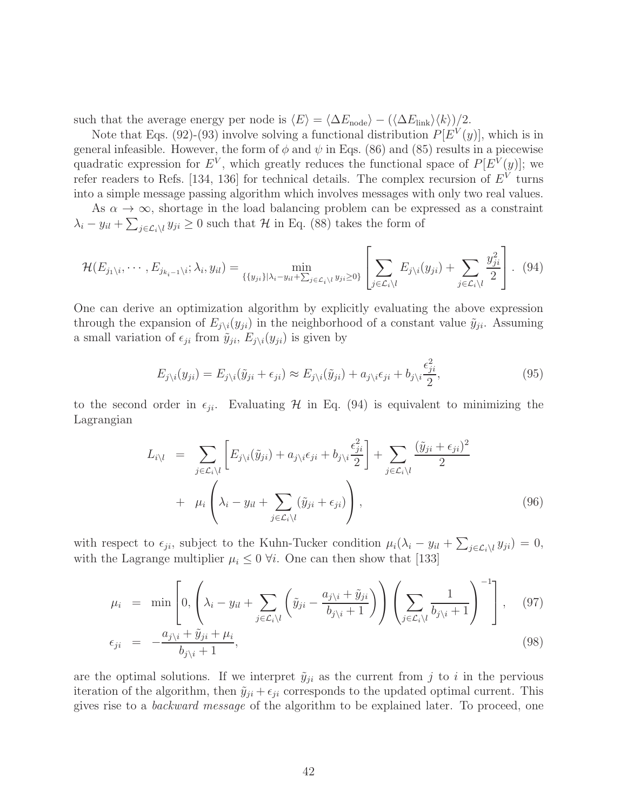such that the average energy per node is  $\langle E \rangle = \langle \Delta E_{\text{node}} \rangle - (\langle \Delta E_{\text{link}} \rangle \langle k \rangle)/2$ .

Note that Eqs. (92)-(93) involve solving a functional distribution  $P[E^V(y)]$ , which is in general infeasible. However, the form of  $\phi$  and  $\psi$  in Eqs. (86) and (85) results in a piecewise quadratic expression for  $E^V$ , which greatly reduces the functional space of  $P[E^V(y)]$ ; we refer readers to Refs. [134, 136] for technical details. The complex recursion of  $E<sup>V</sup>$  turns into a simple message passing algorithm which involves messages with only two real values.

As  $\alpha \to \infty$ , shortage in the load balancing problem can be expressed as a constraint  $\lambda_i - y_{il} + \sum_{j \in \mathcal{L}_i \setminus l} y_{ji} \ge 0$  such that  $\mathcal{H}$  in Eq. (88) takes the form of

$$
\mathcal{H}(E_{j_1\setminus i},\cdots,E_{j_{k_i-1}\setminus i};\lambda_i,y_{il})=\min_{\{\{y_{ji}\}\mid \lambda_i-y_{il}+\sum_{j\in\mathcal{L}_i\setminus i}y_{ji}\geq 0\}}\left[\sum_{j\in\mathcal{L}_i\setminus l}E_{j\setminus i}(y_{ji})+\sum_{j\in\mathcal{L}_i\setminus l}\frac{y_{ji}^2}{2}\right].
$$
 (94)

One can derive an optimization algorithm by explicitly evaluating the above expression through the expansion of  $E_{j\setminus i}(y_{ji})$  in the neighborhood of a constant value  $\tilde{y}_{ji}$ . Assuming a small variation of  $\epsilon_{ji}$  from  $\tilde{y}_{ji}$ ,  $E_{j\setminus i}(y_{ji})$  is given by

$$
E_{j\setminus i}(y_{ji}) = E_{j\setminus i}(\tilde{y}_{ji} + \epsilon_{ji}) \approx E_{j\setminus i}(\tilde{y}_{ji}) + a_{j\setminus i}\epsilon_{ji} + b_{j\setminus i}\frac{\epsilon_{ji}^2}{2},\tag{95}
$$

to the second order in  $\epsilon_{ji}$ . Evaluating H in Eq. (94) is equivalent to minimizing the Lagrangian

$$
L_{i\setminus l} = \sum_{j \in \mathcal{L}_i \setminus l} \left[ E_{j\setminus i}(\tilde{y}_{ji}) + a_{j\setminus i} \epsilon_{ji} + b_{j\setminus i} \frac{\epsilon_{ji}^2}{2} \right] + \sum_{j \in \mathcal{L}_i \setminus l} \frac{(\tilde{y}_{ji} + \epsilon_{ji})^2}{2} + \mu_i \left( \lambda_i - y_{il} + \sum_{j \in \mathcal{L}_i \setminus l} (\tilde{y}_{ji} + \epsilon_{ji}) \right), \tag{96}
$$

with respect to  $\epsilon_{ji}$ , subject to the Kuhn-Tucker condition  $\mu_i(\lambda_i - y_{il} + \sum_{j \in \mathcal{L}_i\setminus l} y_{ji}) = 0$ , with the Lagrange multiplier  $\mu_i \leq 0$   $\forall i$ . One can then show that [133]

$$
\mu_i = \min \left[ 0, \left( \lambda_i - y_{il} + \sum_{j \in \mathcal{L}_i \setminus l} \left( \tilde{y}_{ji} - \frac{a_{j \setminus i} + \tilde{y}_{ji}}{b_{j \setminus i} + 1} \right) \right) \left( \sum_{j \in \mathcal{L}_i \setminus l} \frac{1}{b_{j \setminus i} + 1} \right)^{-1} \right], \quad (97)
$$
\n
$$
\epsilon_{ii} = -\frac{a_{j \setminus i} + \tilde{y}_{ji} + \mu_i}{\epsilon_{ii}}
$$

$$
\epsilon_{ji} = -\frac{\omega_{j\backslash i} + y_{ji} + \mu_i}{b_{j\backslash i} + 1},\tag{98}
$$

are the optimal solutions. If we interpret  $\tilde{y}_{ji}$  as the current from j to i in the pervious iteration of the algorithm, then  $\tilde{y}_{ji} + \epsilon_{ji}$  corresponds to the updated optimal current. This gives rise to a backward message of the algorithm to be explained later. To proceed, one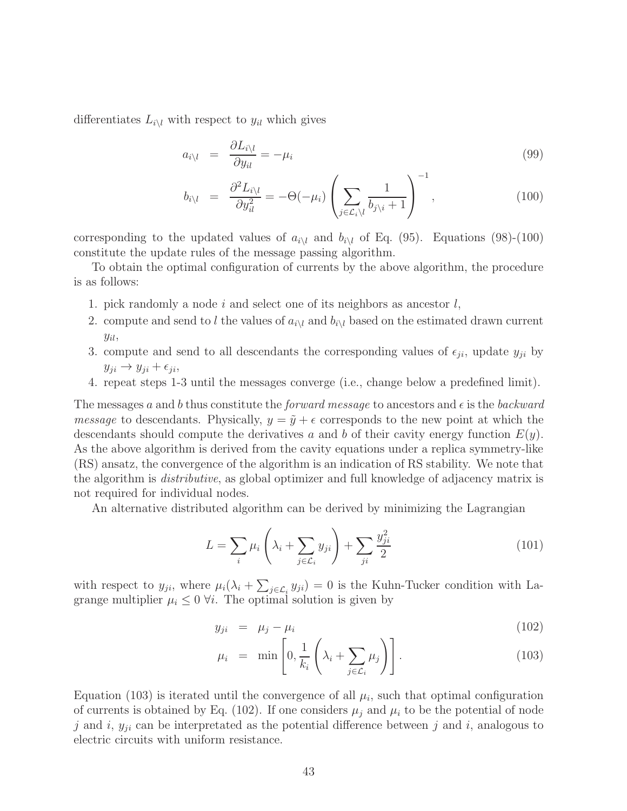differentiates  $L_{i\setminus l}$  with respect to  $y_{il}$  which gives

$$
a_{i\lambda l} = \frac{\partial L_{i\lambda l}}{\partial y_{il}} = -\mu_i \tag{99}
$$

$$
b_{i\backslash l} = \frac{\partial^2 L_{i\backslash l}}{\partial y_{il}^2} = -\Theta(-\mu_i) \left( \sum_{j \in \mathcal{L}_i \backslash l} \frac{1}{b_{j\backslash i} + 1} \right)^{-1}, \qquad (100)
$$

corresponding to the updated values of  $a_{i\setminus l}$  and  $b_{i\setminus l}$  of Eq. (95). Equations (98)-(100) constitute the update rules of the message passing algorithm.

To obtain the optimal configuration of currents by the above algorithm, the procedure is as follows:

- 1. pick randomly a node i and select one of its neighbors as ancestor  $l$ ,
- 2. compute and send to l the values of  $a_{i\lambda}$  and  $b_{i\lambda}$  based on the estimated drawn current  $y_{il}$ ,
- 3. compute and send to all descendants the corresponding values of  $\epsilon_{ji}$ , update  $y_{ji}$  by  $y_{ji} \rightarrow y_{ji} + \epsilon_{ji}$
- 4. repeat steps 1-3 until the messages converge (i.e., change below a predefined limit).

The messages a and b thus constitute the *forward message* to ancestors and  $\epsilon$  is the backward *message* to descendants. Physically,  $y = \tilde{y} + \epsilon$  corresponds to the new point at which the descendants should compute the derivatives a and b of their cavity energy function  $E(y)$ . As the above algorithm is derived from the cavity equations under a replica symmetry-like (RS) ansatz, the convergence of the algorithm is an indication of RS stability. We note that the algorithm is distributive, as global optimizer and full knowledge of adjacency matrix is not required for individual nodes.

An alternative distributed algorithm can be derived by minimizing the Lagrangian

$$
L = \sum_{i} \mu_i \left(\lambda_i + \sum_{j \in \mathcal{L}_i} y_{ji}\right) + \sum_{ji} \frac{y_{ji}^2}{2} \tag{101}
$$

with respect to  $y_{ji}$ , where  $\mu_i(\lambda_i + \sum_{j \in \mathcal{L}_i} y_{ji}) = 0$  is the Kuhn-Tucker condition with Lagrange multiplier  $\mu_i \leq 0$   $\forall i$ . The optimal solution is given by

$$
y_{ji} = \mu_j - \mu_i \tag{102}
$$

$$
\mu_i = \min \left[ 0, \frac{1}{k_i} \left( \lambda_i + \sum_{j \in \mathcal{L}_i} \mu_j \right) \right]. \tag{103}
$$

Equation (103) is iterated until the convergence of all  $\mu_i$ , such that optimal configuration of currents is obtained by Eq. (102). If one considers  $\mu_i$  and  $\mu_i$  to be the potential of node j and i,  $y_{ji}$  can be interpretated as the potential difference between j and i, analogous to electric circuits with uniform resistance.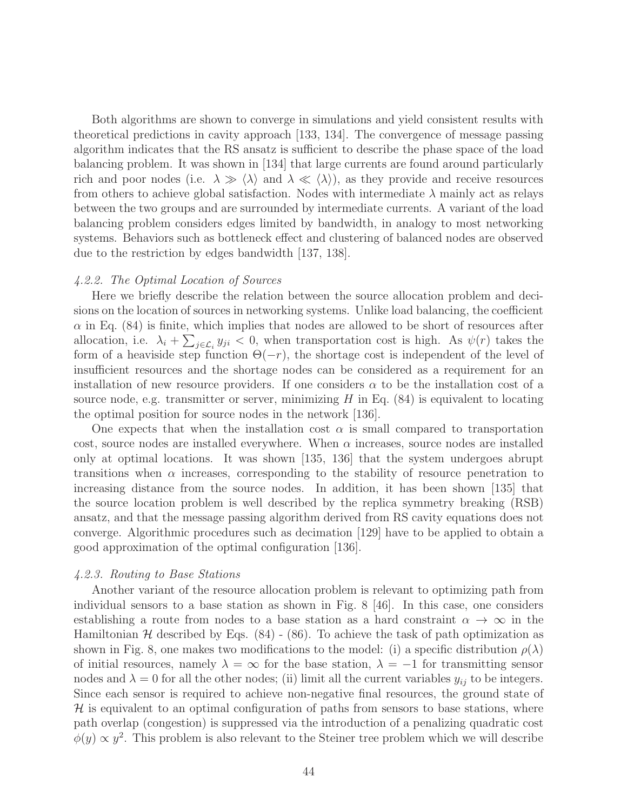Both algorithms are shown to converge in simulations and yield consistent results with theoretical predictions in cavity approach [133, 134]. The convergence of message passing algorithm indicates that the RS ansatz is sufficient to describe the phase space of the load balancing problem. It was shown in [134] that large currents are found around particularly rich and poor nodes (i.e.  $\lambda \gg \langle \lambda \rangle$  and  $\lambda \ll \langle \lambda \rangle$ ), as they provide and receive resources from others to achieve global satisfaction. Nodes with intermediate  $\lambda$  mainly act as relays between the two groups and are surrounded by intermediate currents. A variant of the load balancing problem considers edges limited by bandwidth, in analogy to most networking systems. Behaviors such as bottleneck effect and clustering of balanced nodes are observed due to the restriction by edges bandwidth [137, 138].

#### 4.2.2. The Optimal Location of Sources

Here we briefly describe the relation between the source allocation problem and decisions on the location of sources in networking systems. Unlike load balancing, the coefficient  $\alpha$  in Eq. (84) is finite, which implies that nodes are allowed to be short of resources after allocation, i.e.  $\lambda_i + \sum_{j \in \mathcal{L}_i} y_{ji} < 0$ , when transportation cost is high. As  $\psi(r)$  takes the form of a heaviside step function  $\Theta(-r)$ , the shortage cost is independent of the level of insufficient resources and the shortage nodes can be considered as a requirement for an installation of new resource providers. If one considers  $\alpha$  to be the installation cost of a source node, e.g. transmitter or server, minimizing  $H$  in Eq.  $(84)$  is equivalent to locating the optimal position for source nodes in the network [136].

One expects that when the installation cost  $\alpha$  is small compared to transportation cost, source nodes are installed everywhere. When  $\alpha$  increases, source nodes are installed only at optimal locations. It was shown [135, 136] that the system undergoes abrupt transitions when  $\alpha$  increases, corresponding to the stability of resource penetration to increasing distance from the source nodes. In addition, it has been shown [135] that the source location problem is well described by the replica symmetry breaking (RSB) ansatz, and that the message passing algorithm derived from RS cavity equations does not converge. Algorithmic procedures such as decimation [129] have to be applied to obtain a good approximation of the optimal configuration [136].

#### 4.2.3. Routing to Base Stations

Another variant of the resource allocation problem is relevant to optimizing path from individual sensors to a base station as shown in Fig. 8 [46]. In this case, one considers establishing a route from nodes to a base station as a hard constraint  $\alpha \to \infty$  in the Hamiltonian  $H$  described by Eqs. (84) - (86). To achieve the task of path optimization as shown in Fig. 8, one makes two modifications to the model: (i) a specific distribution  $\rho(\lambda)$ of initial resources, namely  $\lambda = \infty$  for the base station,  $\lambda = -1$  for transmitting sensor nodes and  $\lambda = 0$  for all the other nodes; (ii) limit all the current variables  $y_{ij}$  to be integers. Since each sensor is required to achieve non-negative final resources, the ground state of  $H$  is equivalent to an optimal configuration of paths from sensors to base stations, where path overlap (congestion) is suppressed via the introduction of a penalizing quadratic cost  $\phi(y) \propto y^2$ . This problem is also relevant to the Steiner tree problem which we will describe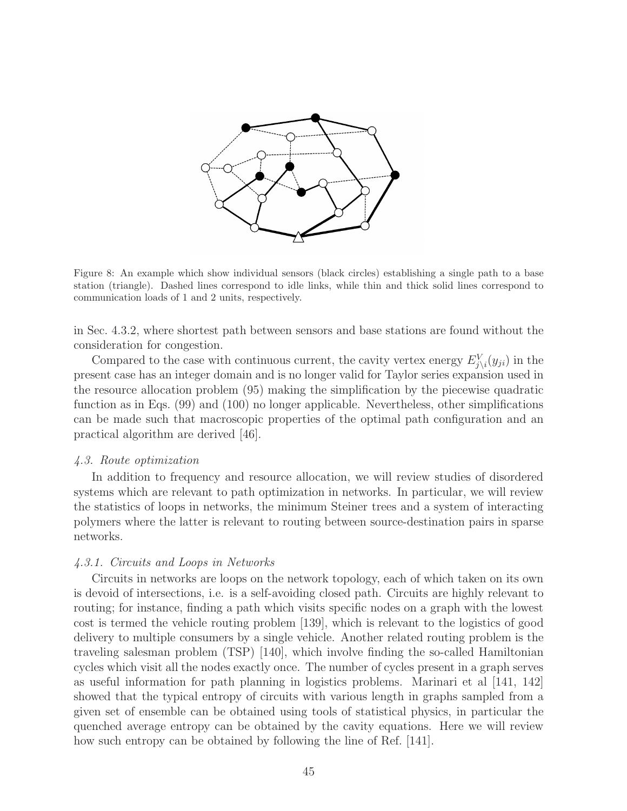

Figure 8: An example which show individual sensors (black circles) establishing a single path to a base station (triangle). Dashed lines correspond to idle links, while thin and thick solid lines correspond to communication loads of 1 and 2 units, respectively.

in Sec. 4.3.2, where shortest path between sensors and base stations are found without the consideration for congestion.

Compared to the case with continuous current, the cavity vertex energy  $E_{j\setminus i}^V(y_{ji})$  in the present case has an integer domain and is no longer valid for Taylor series expansion used in the resource allocation problem (95) making the simplification by the piecewise quadratic function as in Eqs. (99) and (100) no longer applicable. Nevertheless, other simplifications can be made such that macroscopic properties of the optimal path configuration and an practical algorithm are derived [46].

#### 4.3. Route optimization

In addition to frequency and resource allocation, we will review studies of disordered systems which are relevant to path optimization in networks. In particular, we will review the statistics of loops in networks, the minimum Steiner trees and a system of interacting polymers where the latter is relevant to routing between source-destination pairs in sparse networks.

#### 4.3.1. Circuits and Loops in Networks

Circuits in networks are loops on the network topology, each of which taken on its own is devoid of intersections, i.e. is a self-avoiding closed path. Circuits are highly relevant to routing; for instance, finding a path which visits specific nodes on a graph with the lowest cost is termed the vehicle routing problem [139], which is relevant to the logistics of good delivery to multiple consumers by a single vehicle. Another related routing problem is the traveling salesman problem (TSP) [140], which involve finding the so-called Hamiltonian cycles which visit all the nodes exactly once. The number of cycles present in a graph serves as useful information for path planning in logistics problems. Marinari et al [141, 142] showed that the typical entropy of circuits with various length in graphs sampled from a given set of ensemble can be obtained using tools of statistical physics, in particular the quenched average entropy can be obtained by the cavity equations. Here we will review how such entropy can be obtained by following the line of Ref. [141].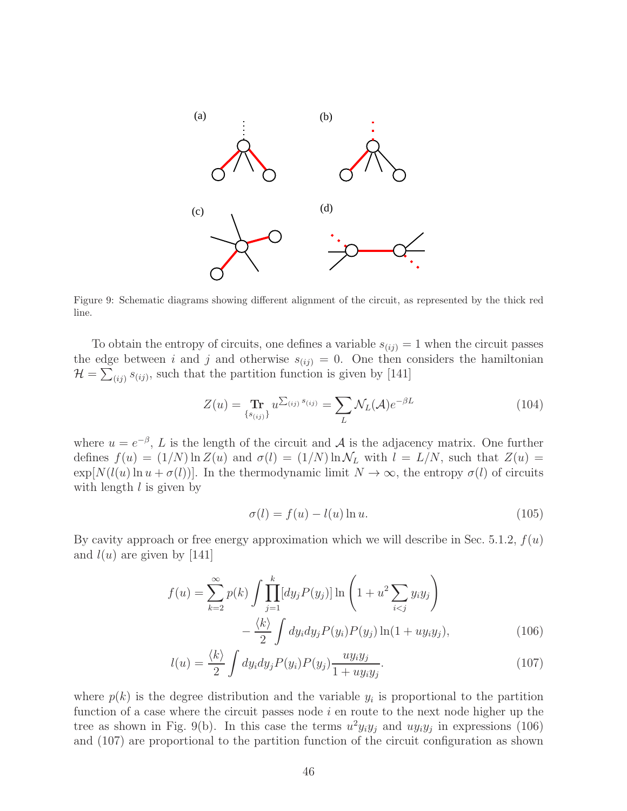

Figure 9: Schematic diagrams showing different alignment of the circuit, as represented by the thick red line.

To obtain the entropy of circuits, one defines a variable  $s_{(ij)} = 1$  when the circuit passes the edge between i and j and otherwise  $s_{(ij)} = 0$ . One then considers the hamiltonian  $\mathcal{H} = \sum_{(ij)} s_{(ij)}$ , such that the partition function is given by [141]

$$
Z(u) = \mathop{\rm Tr}_{\{s_{(ij)}\}} u^{\sum_{(ij)} s_{(ij)}} = \sum_{L} \mathcal{N}_L(\mathcal{A}) e^{-\beta L}
$$
 (104)

where  $u = e^{-\beta}$ , L is the length of the circuit and A is the adjacency matrix. One further defines  $f(u) = (1/N) \ln Z(u)$  and  $\sigma(l) = (1/N) \ln \mathcal{N}_L$  with  $l = L/N$ , such that  $Z(u) =$  $\exp[N(l(u) \ln u + \sigma(l))]$ . In the thermodynamic limit  $N \to \infty$ , the entropy  $\sigma(l)$  of circuits with length  $l$  is given by

$$
\sigma(l) = f(u) - l(u) \ln u. \tag{105}
$$

By cavity approach or free energy approximation which we will describe in Sec. 5.1.2,  $f(u)$ and  $l(u)$  are given by [141]

$$
f(u) = \sum_{k=2}^{\infty} p(k) \int \prod_{j=1}^{k} [dy_j P(y_j)] \ln \left( 1 + u^2 \sum_{i < j} y_i y_j \right) - \frac{\langle k \rangle}{2} \int dy_i dy_j P(y_i) P(y_j) \ln(1 + uy_i y_j), \tag{106}
$$

$$
l(u) = \frac{\langle k \rangle}{2} \int dy_i dy_j P(y_i) P(y_j) \frac{u y_i y_j}{1 + u y_i y_j}.
$$
\n(107)

where  $p(k)$  is the degree distribution and the variable  $y_i$  is proportional to the partition function of a case where the circuit passes node  $i$  en route to the next node higher up the tree as shown in Fig. 9(b). In this case the terms  $u^2 y_i y_j$  and  $u y_i y_j$  in expressions (106) and (107) are proportional to the partition function of the circuit configuration as shown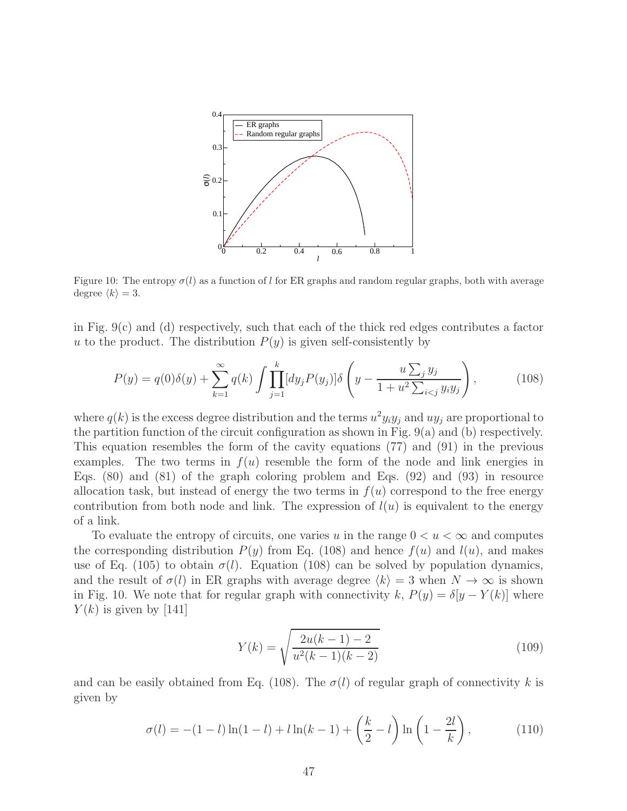

Figure 10: The entropy  $\sigma(l)$  as a function of l for ER graphs and random regular graphs, both with average degree  $\langle k \rangle = 3$ .

in Fig.  $9(c)$  and (d) respectively, such that each of the thick red edges contributes a factor u to the product. The distribution  $P(y)$  is given self-consistently by

$$
P(y) = q(0)\delta(y) + \sum_{k=1}^{\infty} q(k) \int \prod_{j=1}^{k} [dy_j P(y_j)] \delta\left(y - \frac{u \sum_j y_j}{1 + u^2 \sum_{i < j} y_i y_j}\right),\tag{108}
$$

where  $q(k)$  is the excess degree distribution and the terms  $u^2 y_i y_j$  and  $u y_j$  are proportional to the partition function of the circuit configuration as shown in Fig. 9(a) and (b) respectively. This equation resembles the form of the cavity equations (77) and (91) in the previous examples. The two terms in  $f(u)$  resemble the form of the node and link energies in Eqs. (80) and (81) of the graph coloring problem and Eqs. (92) and (93) in resource allocation task, but instead of energy the two terms in  $f(u)$  correspond to the free energy contribution from both node and link. The expression of  $l(u)$  is equivalent to the energy of a link.

To evaluate the entropy of circuits, one varies u in the range  $0 < u < \infty$  and computes the corresponding distribution  $P(y)$  from Eq. (108) and hence  $f(u)$  and  $l(u)$ , and makes use of Eq. (105) to obtain  $\sigma(l)$ . Equation (108) can be solved by population dynamics, and the result of  $\sigma(l)$  in ER graphs with average degree  $\langle k \rangle = 3$  when  $N \to \infty$  is shown in Fig. 10. We note that for regular graph with connectivity k,  $P(y) = \delta[y - Y(k)]$  where  $Y(k)$  is given by [141]

$$
Y(k) = \sqrt{\frac{2u(k-1) - 2}{u^2(k-1)(k-2)}}
$$
\n(109)

and can be easily obtained from Eq. (108). The  $\sigma(l)$  of regular graph of connectivity k is given by

$$
\sigma(l) = -(1-l)\ln(1-l) + l\ln(k-1) + \left(\frac{k}{2} - l\right)\ln\left(1 - \frac{2l}{k}\right),\tag{110}
$$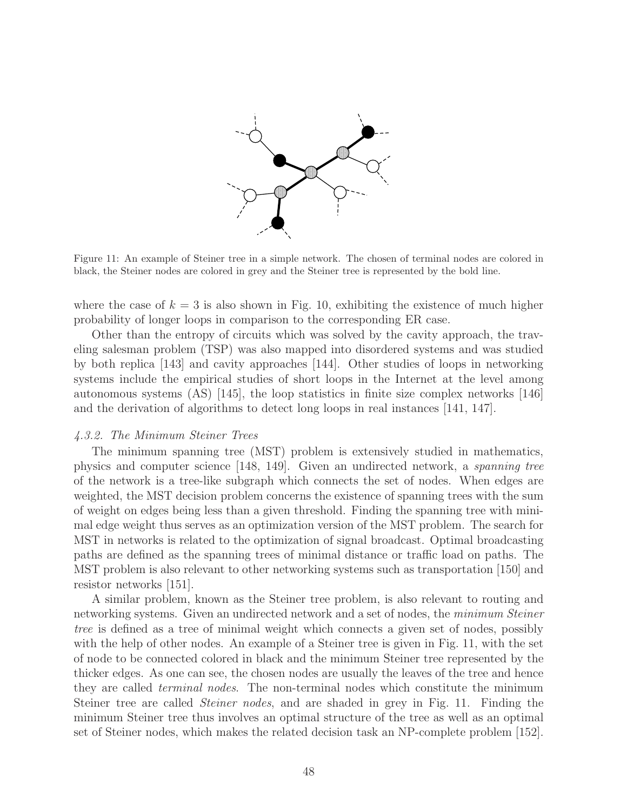

Figure 11: An example of Steiner tree in a simple network. The chosen of terminal nodes are colored in black, the Steiner nodes are colored in grey and the Steiner tree is represented by the bold line.

where the case of  $k = 3$  is also shown in Fig. 10, exhibiting the existence of much higher probability of longer loops in comparison to the corresponding ER case.

Other than the entropy of circuits which was solved by the cavity approach, the traveling salesman problem (TSP) was also mapped into disordered systems and was studied by both replica [143] and cavity approaches [144]. Other studies of loops in networking systems include the empirical studies of short loops in the Internet at the level among autonomous systems (AS) [145], the loop statistics in finite size complex networks [146] and the derivation of algorithms to detect long loops in real instances [141, 147].

### 4.3.2. The Minimum Steiner Trees

The minimum spanning tree (MST) problem is extensively studied in mathematics, physics and computer science [148, 149]. Given an undirected network, a spanning tree of the network is a tree-like subgraph which connects the set of nodes. When edges are weighted, the MST decision problem concerns the existence of spanning trees with the sum of weight on edges being less than a given threshold. Finding the spanning tree with minimal edge weight thus serves as an optimization version of the MST problem. The search for MST in networks is related to the optimization of signal broadcast. Optimal broadcasting paths are defined as the spanning trees of minimal distance or traffic load on paths. The MST problem is also relevant to other networking systems such as transportation [150] and resistor networks [151].

A similar problem, known as the Steiner tree problem, is also relevant to routing and networking systems. Given an undirected network and a set of nodes, the *minimum Steiner* tree is defined as a tree of minimal weight which connects a given set of nodes, possibly with the help of other nodes. An example of a Steiner tree is given in Fig. 11, with the set of node to be connected colored in black and the minimum Steiner tree represented by the thicker edges. As one can see, the chosen nodes are usually the leaves of the tree and hence they are called terminal nodes. The non-terminal nodes which constitute the minimum Steiner tree are called *Steiner nodes*, and are shaded in grey in Fig. 11. Finding the minimum Steiner tree thus involves an optimal structure of the tree as well as an optimal set of Steiner nodes, which makes the related decision task an NP-complete problem [152].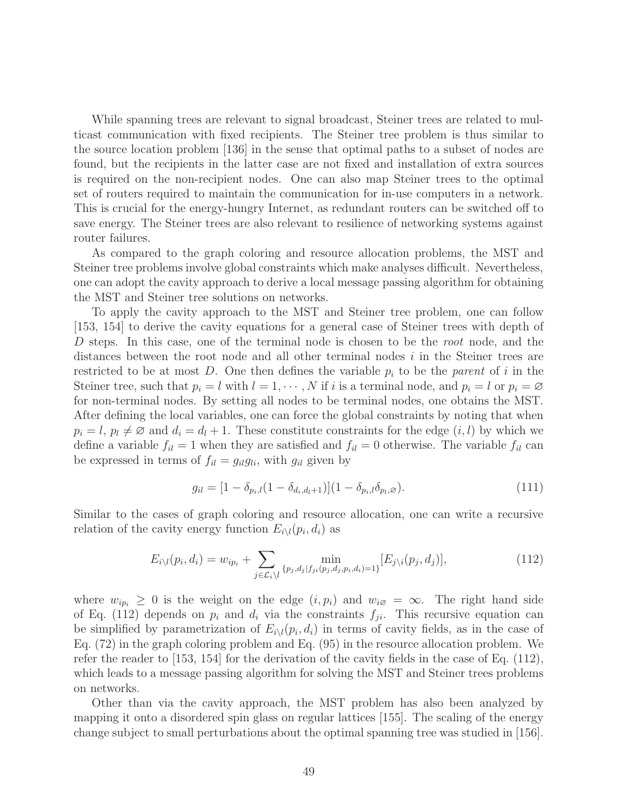While spanning trees are relevant to signal broadcast, Steiner trees are related to multicast communication with fixed recipients. The Steiner tree problem is thus similar to the source location problem [136] in the sense that optimal paths to a subset of nodes are found, but the recipients in the latter case are not fixed and installation of extra sources is required on the non-recipient nodes. One can also map Steiner trees to the optimal set of routers required to maintain the communication for in-use computers in a network. This is crucial for the energy-hungry Internet, as redundant routers can be switched off to save energy. The Steiner trees are also relevant to resilience of networking systems against router failures.

As compared to the graph coloring and resource allocation problems, the MST and Steiner tree problems involve global constraints which make analyses difficult. Nevertheless, one can adopt the cavity approach to derive a local message passing algorithm for obtaining the MST and Steiner tree solutions on networks.

To apply the cavity approach to the MST and Steiner tree problem, one can follow [153, 154] to derive the cavity equations for a general case of Steiner trees with depth of D steps. In this case, one of the terminal node is chosen to be the root node, and the distances between the root node and all other terminal nodes  $i$  in the Steiner trees are restricted to be at most D. One then defines the variable  $p_i$  to be the parent of i in the Steiner tree, such that  $p_i = l$  with  $l = 1, \dots, N$  if i is a terminal node, and  $p_i = l$  or  $p_i = \emptyset$ for non-terminal nodes. By setting all nodes to be terminal nodes, one obtains the MST. After defining the local variables, one can force the global constraints by noting that when  $p_i = l, p_l \neq \emptyset$  and  $d_i = d_l + 1$ . These constitute constraints for the edge  $(i, l)$  by which we define a variable  $f_{il} = 1$  when they are satisfied and  $f_{il} = 0$  otherwise. The variable  $f_{il}$  can be expressed in terms of  $f_{il} = g_{il}g_{li}$ , with  $g_{il}$  given by

$$
g_{il} = [1 - \delta_{p_i,l}(1 - \delta_{d_i,d_l+1})](1 - \delta_{p_i,l}\delta_{p_l,\varnothing}).
$$
\n(111)

Similar to the cases of graph coloring and resource allocation, one can write a recursive relation of the cavity energy function  $E_{i\setminus l}(p_i, d_i)$  as

$$
E_{i\setminus l}(p_i, d_i) = w_{ip_i} + \sum_{j \in \mathcal{L}_i\setminus l} \min_{\{p_j, d_j | f_{ji}(p_j, d_j, p_i, d_i) = 1\}} [E_{j\setminus i}(p_j, d_j)], \tag{112}
$$

where  $w_{ip_i} \geq 0$  is the weight on the edge  $(i, p_i)$  and  $w_{i\emptyset} = \infty$ . The right hand side of Eq. (112) depends on  $p_i$  and  $d_i$  via the constraints  $f_{ji}$ . This recursive equation can be simplified by parametrization of  $E_i\setminus l(p_i, d_i)$  in terms of cavity fields, as in the case of Eq. (72) in the graph coloring problem and Eq. (95) in the resource allocation problem. We refer the reader to [153, 154] for the derivation of the cavity fields in the case of Eq. (112), which leads to a message passing algorithm for solving the MST and Steiner trees problems on networks.

Other than via the cavity approach, the MST problem has also been analyzed by mapping it onto a disordered spin glass on regular lattices [155]. The scaling of the energy change subject to small perturbations about the optimal spanning tree was studied in [156].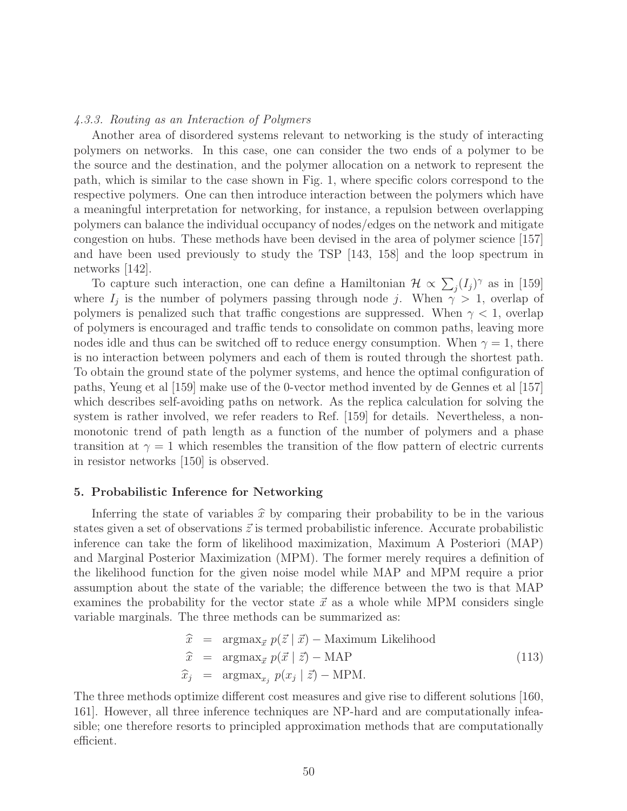#### 4.3.3. Routing as an Interaction of Polymers

Another area of disordered systems relevant to networking is the study of interacting polymers on networks. In this case, one can consider the two ends of a polymer to be the source and the destination, and the polymer allocation on a network to represent the path, which is similar to the case shown in Fig. 1, where specific colors correspond to the respective polymers. One can then introduce interaction between the polymers which have a meaningful interpretation for networking, for instance, a repulsion between overlapping polymers can balance the individual occupancy of nodes/edges on the network and mitigate congestion on hubs. These methods have been devised in the area of polymer science [157] and have been used previously to study the TSP [143, 158] and the loop spectrum in networks [142].

To capture such interaction, one can define a Hamiltonian  $\mathcal{H} \propto \sum_j (I_j)^{\gamma}$  as in [159] where  $I_j$  is the number of polymers passing through node j. When  $\gamma > 1$ , overlap of polymers is penalized such that traffic congestions are suppressed. When  $\gamma < 1$ , overlap of polymers is encouraged and traffic tends to consolidate on common paths, leaving more nodes idle and thus can be switched off to reduce energy consumption. When  $\gamma = 1$ , there is no interaction between polymers and each of them is routed through the shortest path. To obtain the ground state of the polymer systems, and hence the optimal configuration of paths, Yeung et al [159] make use of the 0-vector method invented by de Gennes et al [157] which describes self-avoiding paths on network. As the replica calculation for solving the system is rather involved, we refer readers to Ref. [159] for details. Nevertheless, a nonmonotonic trend of path length as a function of the number of polymers and a phase transition at  $\gamma = 1$  which resembles the transition of the flow pattern of electric currents in resistor networks [150] is observed.

#### 5. Probabilistic Inference for Networking

Inferring the state of variables  $\hat{x}$  by comparing their probability to be in the various states given a set of observations  $\vec{z}$  is termed probabilistic inference. Accurate probabilistic inference can take the form of likelihood maximization, Maximum A Posteriori (MAP) and Marginal Posterior Maximization (MPM). The former merely requires a definition of the likelihood function for the given noise model while MAP and MPM require a prior assumption about the state of the variable; the difference between the two is that MAP examines the probability for the vector state  $\vec{x}$  as a whole while MPM considers single variable marginals. The three methods can be summarized as:

$$
\begin{aligned}\n\widehat{x} &= \arg\max_{\vec{x}} p(\vec{z} \mid \vec{x}) - \text{Maximum Likelihood} \\
\widehat{x} &= \arg\max_{\vec{x}} p(\vec{x} \mid \vec{z}) - \text{MAP} \\
\widehat{x}_j &= \arg\max_{x_j} p(x_j \mid \vec{z}) - \text{MPM}.\n\end{aligned} \tag{113}
$$

The three methods optimize different cost measures and give rise to different solutions [160, 161]. However, all three inference techniques are NP-hard and are computationally infeasible; one therefore resorts to principled approximation methods that are computationally efficient.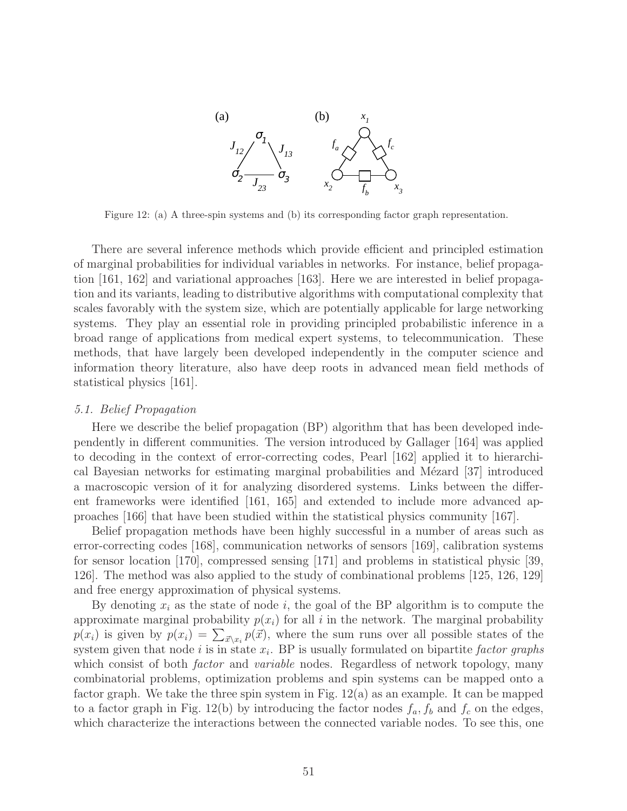

Figure 12: (a) A three-spin systems and (b) its corresponding factor graph representation.

There are several inference methods which provide efficient and principled estimation of marginal probabilities for individual variables in networks. For instance, belief propagation [161, 162] and variational approaches [163]. Here we are interested in belief propagation and its variants, leading to distributive algorithms with computational complexity that scales favorably with the system size, which are potentially applicable for large networking systems. They play an essential role in providing principled probabilistic inference in a broad range of applications from medical expert systems, to telecommunication. These methods, that have largely been developed independently in the computer science and information theory literature, also have deep roots in advanced mean field methods of statistical physics [161].

#### 5.1. Belief Propagation

Here we describe the belief propagation (BP) algorithm that has been developed independently in different communities. The version introduced by Gallager [164] was applied to decoding in the context of error-correcting codes, Pearl [162] applied it to hierarchical Bayesian networks for estimating marginal probabilities and Mézard  $[37]$  introduced a macroscopic version of it for analyzing disordered systems. Links between the different frameworks were identified [161, 165] and extended to include more advanced approaches [166] that have been studied within the statistical physics community [167].

Belief propagation methods have been highly successful in a number of areas such as error-correcting codes [168], communication networks of sensors [169], calibration systems for sensor location [170], compressed sensing [171] and problems in statistical physic [39, 126]. The method was also applied to the study of combinational problems [125, 126, 129] and free energy approximation of physical systems.

By denoting  $x_i$  as the state of node i, the goal of the BP algorithm is to compute the approximate marginal probability  $p(x_i)$  for all i in the network. The marginal probability  $p(x_i)$  is given by  $p(x_i) = \sum_{\vec{x}\setminus x_i} p(\vec{x})$ , where the sum runs over all possible states of the system given that node i is in state  $x_i$ . BP is usually formulated on bipartite factor graphs which consist of both *factor* and *variable* nodes. Regardless of network topology, many combinatorial problems, optimization problems and spin systems can be mapped onto a factor graph. We take the three spin system in Fig.  $12(a)$  as an example. It can be mapped to a factor graph in Fig. 12(b) by introducing the factor nodes  $f_a, f_b$  and  $f_c$  on the edges, which characterize the interactions between the connected variable nodes. To see this, one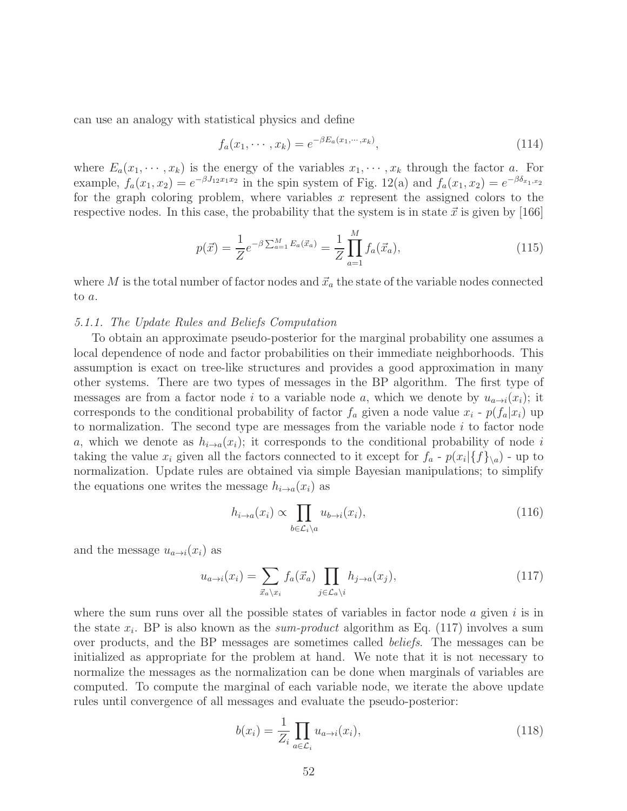can use an analogy with statistical physics and define

$$
f_a(x_1, \cdots, x_k) = e^{-\beta E_a(x_1, \cdots, x_k)}, \qquad (114)
$$

where  $E_a(x_1, \dots, x_k)$  is the energy of the variables  $x_1, \dots, x_k$  through the factor a. For example,  $f_a(x_1, x_2) = e^{-\beta J_{12} x_1 x_2}$  in the spin system of Fig. 12(a) and  $f_a(x_1, x_2) = e^{-\beta \delta_{x_1, x_2}}$ for the graph coloring problem, where variables  $x$  represent the assigned colors to the respective nodes. In this case, the probability that the system is in state  $\vec{x}$  is given by [166]

$$
p(\vec{x}) = \frac{1}{Z} e^{-\beta \sum_{a=1}^{M} E_a(\vec{x}_a)} = \frac{1}{Z} \prod_{a=1}^{M} f_a(\vec{x}_a), \qquad (115)
$$

where M is the total number of factor nodes and  $\vec{x}_a$  the state of the variable nodes connected to a.

### 5.1.1. The Update Rules and Beliefs Computation

To obtain an approximate pseudo-posterior for the marginal probability one assumes a local dependence of node and factor probabilities on their immediate neighborhoods. This assumption is exact on tree-like structures and provides a good approximation in many other systems. There are two types of messages in the BP algorithm. The first type of messages are from a factor node i to a variable node a, which we denote by  $u_{a\rightarrow i}(x_i)$ ; it corresponds to the conditional probability of factor  $f_a$  given a node value  $x_i$  -  $p(f_a|x_i)$  up to normalization. The second type are messages from the variable node  $i$  to factor node a, which we denote as  $h_{i\to a}(x_i)$ ; it corresponds to the conditional probability of node i taking the value  $x_i$  given all the factors connected to it except for  $f_a$  -  $p(x_i | \{f\}_{\setminus a})$  - up to normalization. Update rules are obtained via simple Bayesian manipulations; to simplify the equations one writes the message  $h_{i\to a}(x_i)$  as

$$
h_{i \to a}(x_i) \propto \prod_{b \in \mathcal{L}_i \setminus a} u_{b \to i}(x_i), \tag{116}
$$

and the message  $u_{a\rightarrow i}(x_i)$  as

$$
u_{a \to i}(x_i) = \sum_{\vec{x}_a \backslash x_i} f_a(\vec{x}_a) \prod_{j \in \mathcal{L}_a \backslash i} h_{j \to a}(x_j), \qquad (117)
$$

where the sum runs over all the possible states of variables in factor node  $a$  given  $i$  is in the state  $x_i$ . BP is also known as the *sum-product* algorithm as Eq. (117) involves a sum over products, and the BP messages are sometimes called beliefs. The messages can be initialized as appropriate for the problem at hand. We note that it is not necessary to normalize the messages as the normalization can be done when marginals of variables are computed. To compute the marginal of each variable node, we iterate the above update rules until convergence of all messages and evaluate the pseudo-posterior:

$$
b(x_i) = \frac{1}{Z_i} \prod_{a \in \mathcal{L}_i} u_{a \to i}(x_i),
$$
\n(118)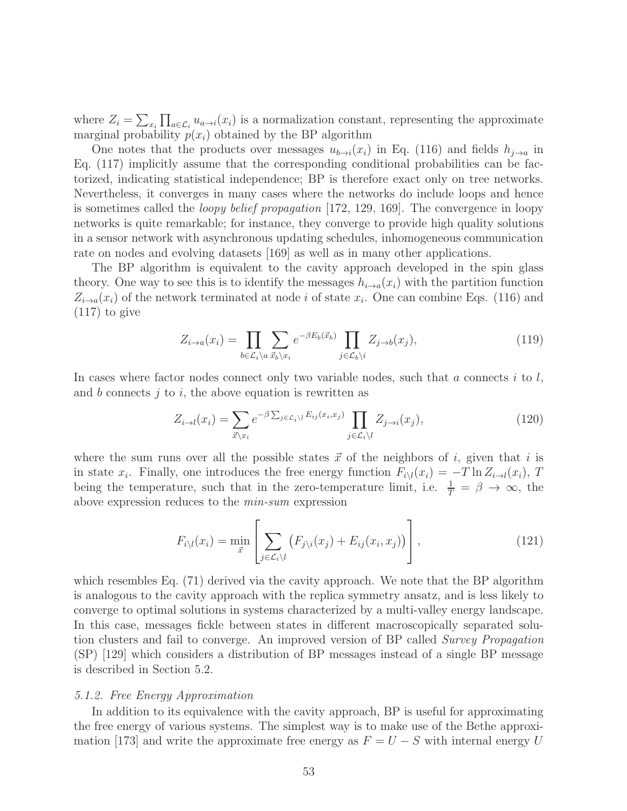where  $Z_i = \sum_{x_i} \prod_{a \in \mathcal{L}_i} u_{a \to i}(x_i)$  is a normalization constant, representing the approximate marginal probability  $p(x_i)$  obtained by the BP algorithm

One notes that the products over messages  $u_{b\rightarrow i}(x_i)$  in Eq. (116) and fields  $h_{i\rightarrow a}$  in Eq. (117) implicitly assume that the corresponding conditional probabilities can be factorized, indicating statistical independence; BP is therefore exact only on tree networks. Nevertheless, it converges in many cases where the networks do include loops and hence is sometimes called the loopy belief propagation [172, 129, 169]. The convergence in loopy networks is quite remarkable; for instance, they converge to provide high quality solutions in a sensor network with asynchronous updating schedules, inhomogeneous communication rate on nodes and evolving datasets [169] as well as in many other applications.

The BP algorithm is equivalent to the cavity approach developed in the spin glass theory. One way to see this is to identify the messages  $h_{i\to a}(x_i)$  with the partition function  $Z_{i\rightarrow a}(x_i)$  of the network terminated at node *i* of state  $x_i$ . One can combine Eqs. (116) and (117) to give

$$
Z_{i \to a}(x_i) = \prod_{b \in \mathcal{L}_i \backslash a} \sum_{\vec{x}_b \backslash x_i} e^{-\beta E_b(\vec{x}_b)} \prod_{j \in \mathcal{L}_b \backslash i} Z_{j \to b}(x_j), \tag{119}
$$

In cases where factor nodes connect only two variable nodes, such that a connects i to  $l$ , and b connects  $j$  to  $i$ , the above equation is rewritten as

$$
Z_{i \to l}(x_i) = \sum_{\vec{x} \backslash x_i} e^{-\beta \sum_{j \in \mathcal{L}_i \backslash l} E_{ij}(x_i, x_j)} \prod_{j \in \mathcal{L}_i \backslash l} Z_{j \to i}(x_j), \tag{120}
$$

where the sum runs over all the possible states  $\vec{x}$  of the neighbors of i, given that i is in state  $x_i$ . Finally, one introduces the free energy function  $F_{i\setminus l}(x_i) = -T \ln Z_{i\to l}(x_i)$ , T being the temperature, such that in the zero-temperature limit, i.e.  $\frac{1}{T} = \beta \to \infty$ , the above expression reduces to the min-sum expression

$$
F_{i\setminus l}(x_i) = \min_{\vec{x}} \left[ \sum_{j \in \mathcal{L}_i \setminus l} \left( F_{j\setminus i}(x_j) + E_{ij}(x_i, x_j) \right) \right], \tag{121}
$$

which resembles Eq. (71) derived via the cavity approach. We note that the BP algorithm is analogous to the cavity approach with the replica symmetry ansatz, and is less likely to converge to optimal solutions in systems characterized by a multi-valley energy landscape. In this case, messages fickle between states in different macroscopically separated solution clusters and fail to converge. An improved version of BP called Survey Propagation (SP) [129] which considers a distribution of BP messages instead of a single BP message is described in Section 5.2.

#### 5.1.2. Free Energy Approximation

In addition to its equivalence with the cavity approach, BP is useful for approximating the free energy of various systems. The simplest way is to make use of the Bethe approximation [173] and write the approximate free energy as  $F = U - S$  with internal energy U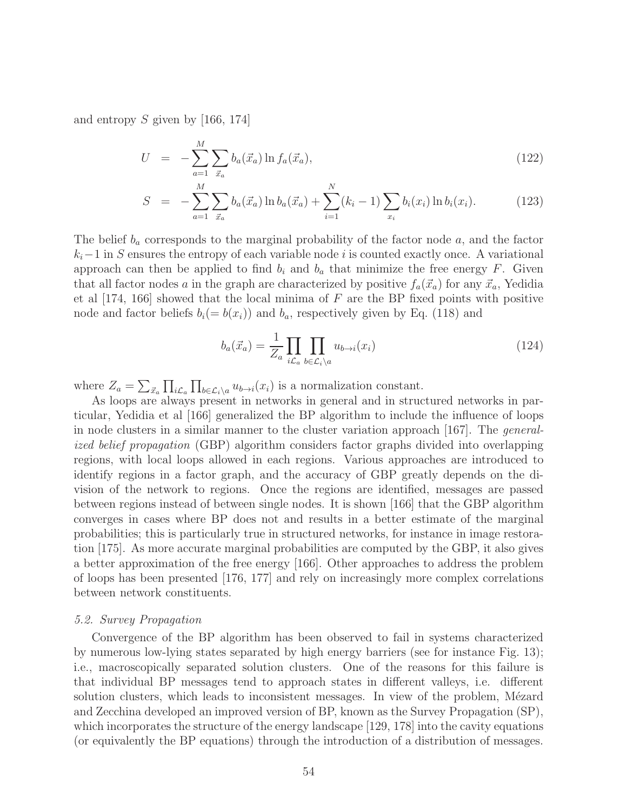and entropy S given by [166, 174]

$$
U = -\sum_{a=1}^{M} \sum_{\vec{x}_a} b_a(\vec{x}_a) \ln f_a(\vec{x}_a), \qquad (122)
$$

$$
S = -\sum_{a=1}^{M} \sum_{\vec{x}_a} b_a(\vec{x}_a) \ln b_a(\vec{x}_a) + \sum_{i=1}^{N} (k_i - 1) \sum_{x_i} b_i(x_i) \ln b_i(x_i).
$$
 (123)

The belief  $b_a$  corresponds to the marginal probability of the factor node a, and the factor  $k<sub>i</sub>$ −1 in S ensures the entropy of each variable node i is counted exactly once. A variational approach can then be applied to find  $b_i$  and  $b_a$  that minimize the free energy F. Given that all factor nodes a in the graph are characterized by positive  $f_a(\vec{x}_a)$  for any  $\vec{x}_a$ , Yedidia et al  $[174, 166]$  showed that the local minima of F are the BP fixed points with positive node and factor beliefs  $b_i(= b(x_i))$  and  $b_a$ , respectively given by Eq. (118) and

$$
b_a(\vec{x}_a) = \frac{1}{Z_a} \prod_{i \mathcal{L}_a} \prod_{b \in \mathcal{L}_i \setminus a} u_{b \to i}(x_i)
$$
 (124)

where  $Z_a = \sum_{\vec{x}_a} \prod_{i \mathcal{L}_a} \prod_{b \in \mathcal{L}_i \setminus a} u_{b \to i}(x_i)$  is a normalization constant.

As loops are always present in networks in general and in structured networks in particular, Yedidia et al [166] generalized the BP algorithm to include the influence of loops in node clusters in a similar manner to the cluster variation approach [167]. The generalized belief propagation (GBP) algorithm considers factor graphs divided into overlapping regions, with local loops allowed in each regions. Various approaches are introduced to identify regions in a factor graph, and the accuracy of GBP greatly depends on the division of the network to regions. Once the regions are identified, messages are passed between regions instead of between single nodes. It is shown [166] that the GBP algorithm converges in cases where BP does not and results in a better estimate of the marginal probabilities; this is particularly true in structured networks, for instance in image restoration [175]. As more accurate marginal probabilities are computed by the GBP, it also gives a better approximation of the free energy [166]. Other approaches to address the problem of loops has been presented [176, 177] and rely on increasingly more complex correlations between network constituents.

#### 5.2. Survey Propagation

Convergence of the BP algorithm has been observed to fail in systems characterized by numerous low-lying states separated by high energy barriers (see for instance Fig. 13); i.e., macroscopically separated solution clusters. One of the reasons for this failure is that individual BP messages tend to approach states in different valleys, i.e. different solution clusters, which leads to inconsistent messages. In view of the problem, Mézard and Zecchina developed an improved version of BP, known as the Survey Propagation (SP), which incorporates the structure of the energy landscape [129, 178] into the cavity equations (or equivalently the BP equations) through the introduction of a distribution of messages.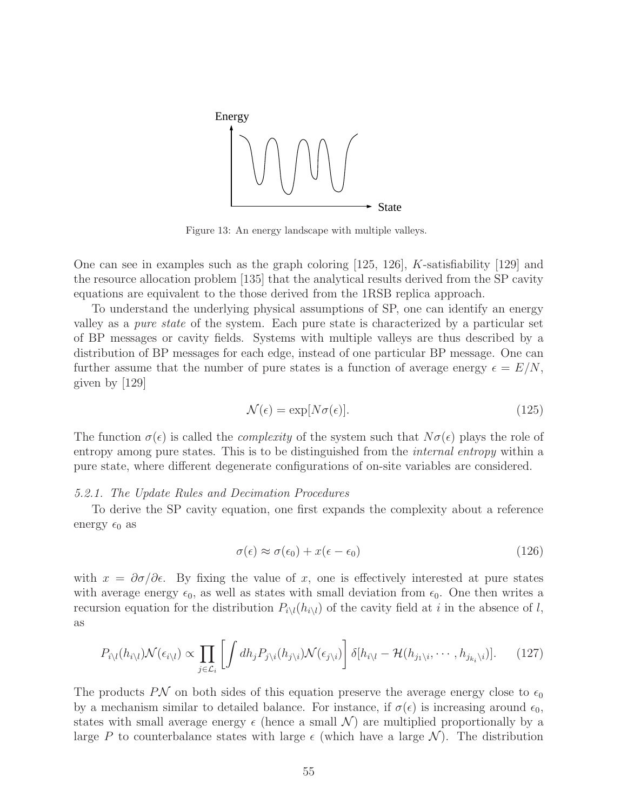

Figure 13: An energy landscape with multiple valleys.

One can see in examples such as the graph coloring [125, 126], K-satisfiability [129] and the resource allocation problem [135] that the analytical results derived from the SP cavity equations are equivalent to the those derived from the 1RSB replica approach.

To understand the underlying physical assumptions of SP, one can identify an energy valley as a pure state of the system. Each pure state is characterized by a particular set of BP messages or cavity fields. Systems with multiple valleys are thus described by a distribution of BP messages for each edge, instead of one particular BP message. One can further assume that the number of pure states is a function of average energy  $\epsilon = E/N$ , given by [129]

$$
\mathcal{N}(\epsilon) = \exp[N\sigma(\epsilon)].\tag{125}
$$

The function  $\sigma(\epsilon)$  is called the *complexity* of the system such that  $N\sigma(\epsilon)$  plays the role of entropy among pure states. This is to be distinguished from the *internal entropy* within a pure state, where different degenerate configurations of on-site variables are considered.

#### 5.2.1. The Update Rules and Decimation Procedures

To derive the SP cavity equation, one first expands the complexity about a reference energy  $\epsilon_0$  as

$$
\sigma(\epsilon) \approx \sigma(\epsilon_0) + x(\epsilon - \epsilon_0) \tag{126}
$$

with  $x = \partial \sigma / \partial \epsilon$ . By fixing the value of x, one is effectively interested at pure states with average energy  $\epsilon_0$ , as well as states with small deviation from  $\epsilon_0$ . One then writes a recursion equation for the distribution  $P_{i\setminus l}(h_{i\setminus l})$  of the cavity field at i in the absence of l, as

$$
P_{i\setminus l}(h_{i\setminus l})\mathcal{N}(\epsilon_{i\setminus l}) \propto \prod_{j\in\mathcal{L}_i} \left[ \int dh_j P_{j\setminus i}(h_{j\setminus i}) \mathcal{N}(\epsilon_{j\setminus i}) \right] \delta[h_{i\setminus l} - \mathcal{H}(h_{j_1\setminus i}, \cdots, h_{j_{k_i}\setminus i})]. \tag{127}
$$

The products PN on both sides of this equation preserve the average energy close to  $\epsilon_0$ by a mechanism similar to detailed balance. For instance, if  $\sigma(\epsilon)$  is increasing around  $\epsilon_0$ , states with small average energy  $\epsilon$  (hence a small  $\mathcal{N}$ ) are multiplied proportionally by a large P to counterbalance states with large  $\epsilon$  (which have a large N). The distribution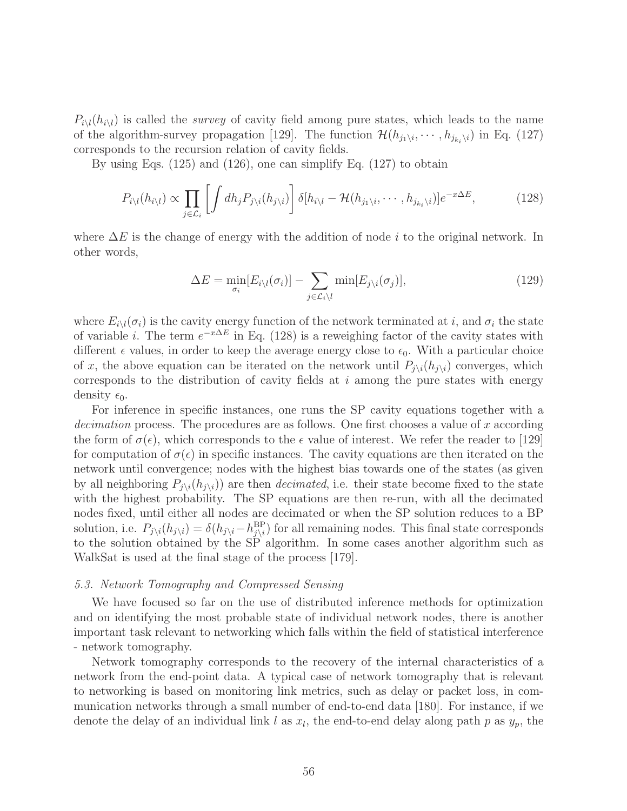$P_{i\setminus l}(h_{i\setminus l})$  is called the *survey* of cavity field among pure states, which leads to the name of the algorithm-survey propagation [129]. The function  $\mathcal{H}(h_{j_1\setminus i}, \cdots, h_{j_{k_i}\setminus i})$  in Eq. (127) corresponds to the recursion relation of cavity fields.

By using Eqs. (125) and (126), one can simplify Eq. (127) to obtain

$$
P_{i\setminus l}(h_{i\setminus l}) \propto \prod_{j \in \mathcal{L}_i} \left[ \int dh_j P_{j\setminus i}(h_{j\setminus i}) \right] \delta[h_{i\setminus l} - \mathcal{H}(h_{j_1\setminus i}, \cdots, h_{j_{k_i}\setminus i})] e^{-x\Delta E}, \tag{128}
$$

where  $\Delta E$  is the change of energy with the addition of node i to the original network. In other words,

$$
\Delta E = \min_{\sigma_i} [E_{i \setminus l}(\sigma_i)] - \sum_{j \in \mathcal{L}_i \setminus l} \min[E_{j \setminus i}(\sigma_j)], \tag{129}
$$

where  $E_{i\setminus l}(\sigma_i)$  is the cavity energy function of the network terminated at i, and  $\sigma_i$  the state of variable *i*. The term  $e^{-x\Delta E}$  in Eq. (128) is a reweighing factor of the cavity states with different  $\epsilon$  values, in order to keep the average energy close to  $\epsilon_0$ . With a particular choice of x, the above equation can be iterated on the network until  $P_{j\setminus i}(h_{j\setminus i})$  converges, which corresponds to the distribution of cavity fields at  $i$  among the pure states with energy density  $\epsilon_0$ .

For inference in specific instances, one runs the SP cavity equations together with a decimation process. The procedures are as follows. One first chooses a value of x according the form of  $\sigma(\epsilon)$ , which corresponds to the  $\epsilon$  value of interest. We refer the reader to [129] for computation of  $\sigma(\epsilon)$  in specific instances. The cavity equations are then iterated on the network until convergence; nodes with the highest bias towards one of the states (as given by all neighboring  $P_{i\setminus i}(h_{i\setminus i})$  are then *decimated*, i.e. their state become fixed to the state with the highest probability. The SP equations are then re-run, with all the decimated nodes fixed, until either all nodes are decimated or when the SP solution reduces to a BP solution, i.e.  $P_{j\setminus i}(h_{j\setminus i}) = \delta(h_{j\setminus i}-h_{j\setminus i}^{BP})$  for all remaining nodes. This final state corresponds to the solution obtained by the SP algorithm. In some cases another algorithm such as WalkSat is used at the final stage of the process [179].

#### 5.3. Network Tomography and Compressed Sensing

We have focused so far on the use of distributed inference methods for optimization and on identifying the most probable state of individual network nodes, there is another important task relevant to networking which falls within the field of statistical interference - network tomography.

Network tomography corresponds to the recovery of the internal characteristics of a network from the end-point data. A typical case of network tomography that is relevant to networking is based on monitoring link metrics, such as delay or packet loss, in communication networks through a small number of end-to-end data [180]. For instance, if we denote the delay of an individual link l as  $x_l$ , the end-to-end delay along path p as  $y_p$ , the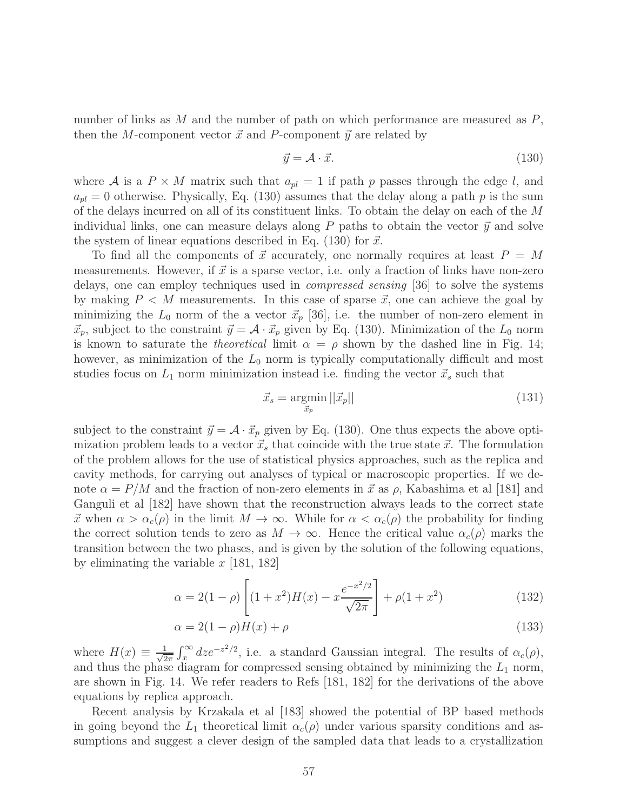number of links as  $M$  and the number of path on which performance are measured as  $P$ , then the M-component vector  $\vec{x}$  and P-component  $\vec{y}$  are related by

$$
\vec{y} = \mathcal{A} \cdot \vec{x}.\tag{130}
$$

where A is a  $P \times M$  matrix such that  $a_{pl} = 1$  if path p passes through the edge l, and  $a_{pl} = 0$  otherwise. Physically, Eq. (130) assumes that the delay along a path p is the sum of the delays incurred on all of its constituent links. To obtain the delay on each of the M individual links, one can measure delays along  $P$  paths to obtain the vector  $\vec{y}$  and solve the system of linear equations described in Eq. (130) for  $\vec{x}$ .

To find all the components of  $\vec{x}$  accurately, one normally requires at least  $P = M$ measurements. However, if  $\vec{x}$  is a sparse vector, i.e. only a fraction of links have non-zero delays, one can employ techniques used in compressed sensing [36] to solve the systems by making  $P < M$  measurements. In this case of sparse  $\vec{x}$ , one can achieve the goal by minimizing the  $L_0$  norm of the a vector  $\vec{x}_p$  [36], i.e. the number of non-zero element in  $\vec{x}_p$ , subject to the constraint  $\vec{y} = A \cdot \vec{x}_p$  given by Eq. (130). Minimization of the  $L_0$  norm is known to saturate the *theoretical* limit  $\alpha = \rho$  shown by the dashed line in Fig. 14; however, as minimization of the  $L_0$  norm is typically computationally difficult and most studies focus on  $L_1$  norm minimization instead i.e. finding the vector  $\vec{x}_s$  such that

$$
\vec{x}_s = \underset{\vec{x}_p}{\text{argmin}} \, ||\vec{x}_p|| \tag{131}
$$

subject to the constraint  $\vec{y} = A \cdot \vec{x}_p$  given by Eq. (130). One thus expects the above optimization problem leads to a vector  $\vec{x}_s$  that coincide with the true state  $\vec{x}$ . The formulation of the problem allows for the use of statistical physics approaches, such as the replica and cavity methods, for carrying out analyses of typical or macroscopic properties. If we denote  $\alpha = P/M$  and the fraction of non-zero elements in  $\vec{x}$  as  $\rho$ , Kabashima et al [181] and Ganguli et al [182] have shown that the reconstruction always leads to the correct state  $\vec{x}$  when  $\alpha > \alpha_c(\rho)$  in the limit  $M \to \infty$ . While for  $\alpha < \alpha_c(\rho)$  the probability for finding the correct solution tends to zero as  $M \to \infty$ . Hence the critical value  $\alpha_c(\rho)$  marks the transition between the two phases, and is given by the solution of the following equations, by eliminating the variable  $x$  [181, 182]

$$
\alpha = 2(1 - \rho) \left[ (1 + x^2)H(x) - x \frac{e^{-x^2/2}}{\sqrt{2\pi}} \right] + \rho(1 + x^2)
$$
 (132)

$$
\alpha = 2(1 - \rho)H(x) + \rho \tag{133}
$$

where  $H(x) \equiv \frac{1}{\sqrt{2}}$  $\frac{1}{2\pi} \int_x^{\infty} dz e^{-z^2/2}$ , i.e. a standard Gaussian integral. The results of  $\alpha_c(\rho)$ , and thus the phase diagram for compressed sensing obtained by minimizing the  $L_1$  norm, are shown in Fig. 14. We refer readers to Refs [181, 182] for the derivations of the above equations by replica approach.

Recent analysis by Krzakala et al [183] showed the potential of BP based methods in going beyond the  $L_1$  theoretical limit  $\alpha_c(\rho)$  under various sparsity conditions and assumptions and suggest a clever design of the sampled data that leads to a crystallization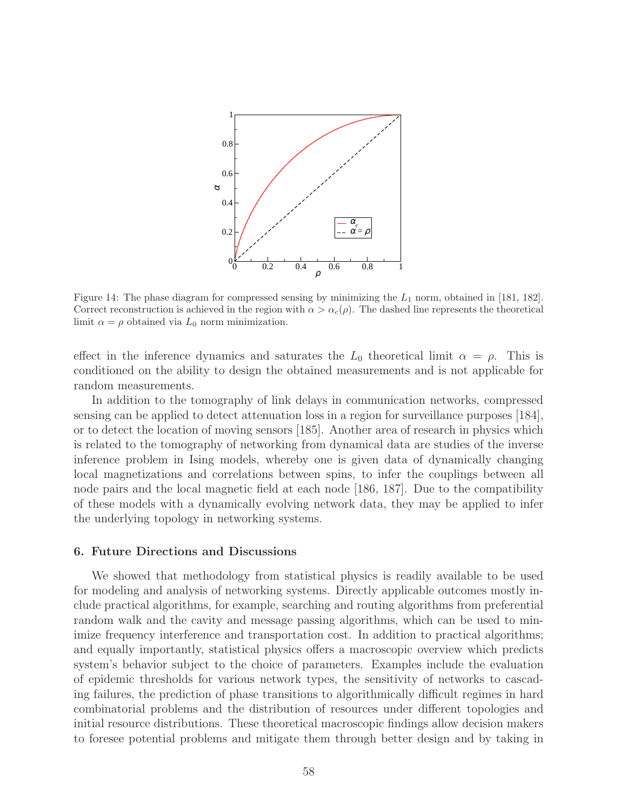

Figure 14: The phase diagram for compressed sensing by minimizing the  $L_1$  norm, obtained in [181, 182]. Correct reconstruction is achieved in the region with  $\alpha > \alpha_c(\rho)$ . The dashed line represents the theoretical limit  $\alpha = \rho$  obtained via  $L_0$  norm minimization.

effect in the inference dynamics and saturates the  $L_0$  theoretical limit  $\alpha = \rho$ . This is conditioned on the ability to design the obtained measurements and is not applicable for random measurements.

In addition to the tomography of link delays in communication networks, compressed sensing can be applied to detect attenuation loss in a region for surveillance purposes [184], or to detect the location of moving sensors [185]. Another area of research in physics which is related to the tomography of networking from dynamical data are studies of the inverse inference problem in Ising models, whereby one is given data of dynamically changing local magnetizations and correlations between spins, to infer the couplings between all node pairs and the local magnetic field at each node [186, 187]. Due to the compatibility of these models with a dynamically evolving network data, they may be applied to infer the underlying topology in networking systems.

#### 6. Future Directions and Discussions

We showed that methodology from statistical physics is readily available to be used for modeling and analysis of networking systems. Directly applicable outcomes mostly include practical algorithms, for example, searching and routing algorithms from preferential random walk and the cavity and message passing algorithms, which can be used to minimize frequency interference and transportation cost. In addition to practical algorithms; and equally importantly, statistical physics offers a macroscopic overview which predicts system's behavior subject to the choice of parameters. Examples include the evaluation of epidemic thresholds for various network types, the sensitivity of networks to cascading failures, the prediction of phase transitions to algorithmically difficult regimes in hard combinatorial problems and the distribution of resources under different topologies and initial resource distributions. These theoretical macroscopic findings allow decision makers to foresee potential problems and mitigate them through better design and by taking in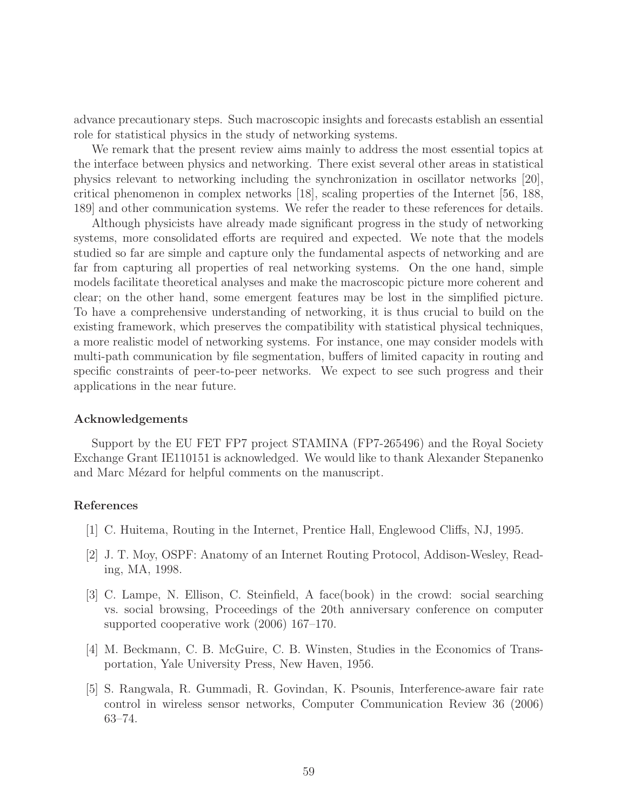advance precautionary steps. Such macroscopic insights and forecasts establish an essential role for statistical physics in the study of networking systems.

We remark that the present review aims mainly to address the most essential topics at the interface between physics and networking. There exist several other areas in statistical physics relevant to networking including the synchronization in oscillator networks [20], critical phenomenon in complex networks [18], scaling properties of the Internet [56, 188, 189] and other communication systems. We refer the reader to these references for details.

Although physicists have already made significant progress in the study of networking systems, more consolidated efforts are required and expected. We note that the models studied so far are simple and capture only the fundamental aspects of networking and are far from capturing all properties of real networking systems. On the one hand, simple models facilitate theoretical analyses and make the macroscopic picture more coherent and clear; on the other hand, some emergent features may be lost in the simplified picture. To have a comprehensive understanding of networking, it is thus crucial to build on the existing framework, which preserves the compatibility with statistical physical techniques, a more realistic model of networking systems. For instance, one may consider models with multi-path communication by file segmentation, buffers of limited capacity in routing and specific constraints of peer-to-peer networks. We expect to see such progress and their applications in the near future.

#### Acknowledgements

Support by the EU FET FP7 project STAMINA (FP7-265496) and the Royal Society Exchange Grant IE110151 is acknowledged. We would like to thank Alexander Stepanenko and Marc Mézard for helpful comments on the manuscript.

# References

- [1] C. Huitema, Routing in the Internet, Prentice Hall, Englewood Cliffs, NJ, 1995.
- [2] J. T. Moy, OSPF: Anatomy of an Internet Routing Protocol, Addison-Wesley, Reading, MA, 1998.
- [3] C. Lampe, N. Ellison, C. Steinfield, A face(book) in the crowd: social searching vs. social browsing, Proceedings of the 20th anniversary conference on computer supported cooperative work (2006) 167–170.
- [4] M. Beckmann, C. B. McGuire, C. B. Winsten, Studies in the Economics of Transportation, Yale University Press, New Haven, 1956.
- [5] S. Rangwala, R. Gummadi, R. Govindan, K. Psounis, Interference-aware fair rate control in wireless sensor networks, Computer Communication Review 36 (2006) 63–74.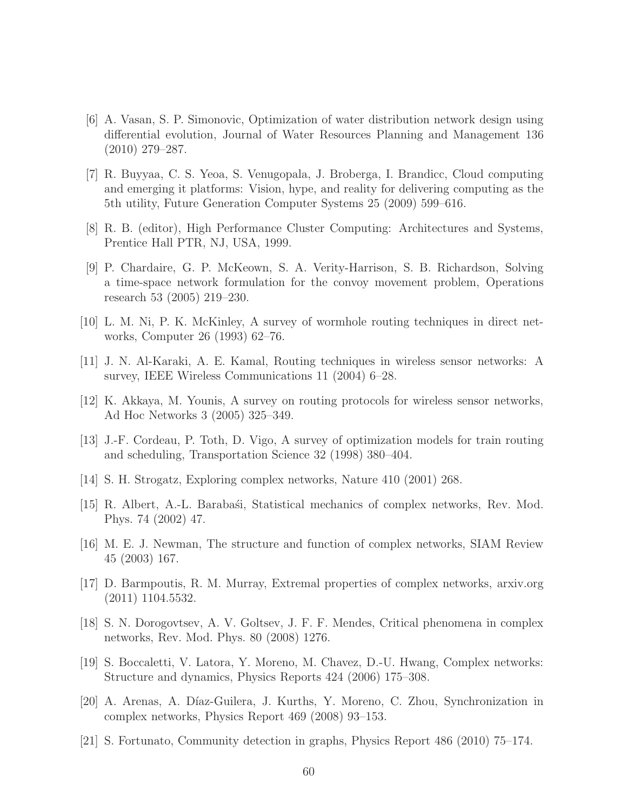- [6] A. Vasan, S. P. Simonovic, Optimization of water distribution network design using differential evolution, Journal of Water Resources Planning and Management 136 (2010) 279–287.
- [7] R. Buyyaa, C. S. Yeoa, S. Venugopala, J. Broberga, I. Brandicc, Cloud computing and emerging it platforms: Vision, hype, and reality for delivering computing as the 5th utility, Future Generation Computer Systems 25 (2009) 599–616.
- [8] R. B. (editor), High Performance Cluster Computing: Architectures and Systems, Prentice Hall PTR, NJ, USA, 1999.
- [9] P. Chardaire, G. P. McKeown, S. A. Verity-Harrison, S. B. Richardson, Solving a time-space network formulation for the convoy movement problem, Operations research 53 (2005) 219–230.
- [10] L. M. Ni, P. K. McKinley, A survey of wormhole routing techniques in direct networks, Computer 26 (1993) 62–76.
- [11] J. N. Al-Karaki, A. E. Kamal, Routing techniques in wireless sensor networks: A survey, IEEE Wireless Communications 11 (2004) 6–28.
- [12] K. Akkaya, M. Younis, A survey on routing protocols for wireless sensor networks, Ad Hoc Networks 3 (2005) 325–349.
- [13] J.-F. Cordeau, P. Toth, D. Vigo, A survey of optimization models for train routing and scheduling, Transportation Science 32 (1998) 380–404.
- [14] S. H. Strogatz, Exploring complex networks, Nature 410 (2001) 268.
- [15] R. Albert, A.-L. Baraba´si, Statistical mechanics of complex networks, Rev. Mod. Phys. 74 (2002) 47.
- [16] M. E. J. Newman, The structure and function of complex networks, SIAM Review 45 (2003) 167.
- [17] D. Barmpoutis, R. M. Murray, Extremal properties of complex networks, arxiv.org (2011) 1104.5532.
- [18] S. N. Dorogovtsev, A. V. Goltsev, J. F. F. Mendes, Critical phenomena in complex networks, Rev. Mod. Phys. 80 (2008) 1276.
- [19] S. Boccaletti, V. Latora, Y. Moreno, M. Chavez, D.-U. Hwang, Complex networks: Structure and dynamics, Physics Reports 424 (2006) 175–308.
- [20] A. Arenas, A. D´ıaz-Guilera, J. Kurths, Y. Moreno, C. Zhou, Synchronization in complex networks, Physics Report 469 (2008) 93–153.
- [21] S. Fortunato, Community detection in graphs, Physics Report 486 (2010) 75–174.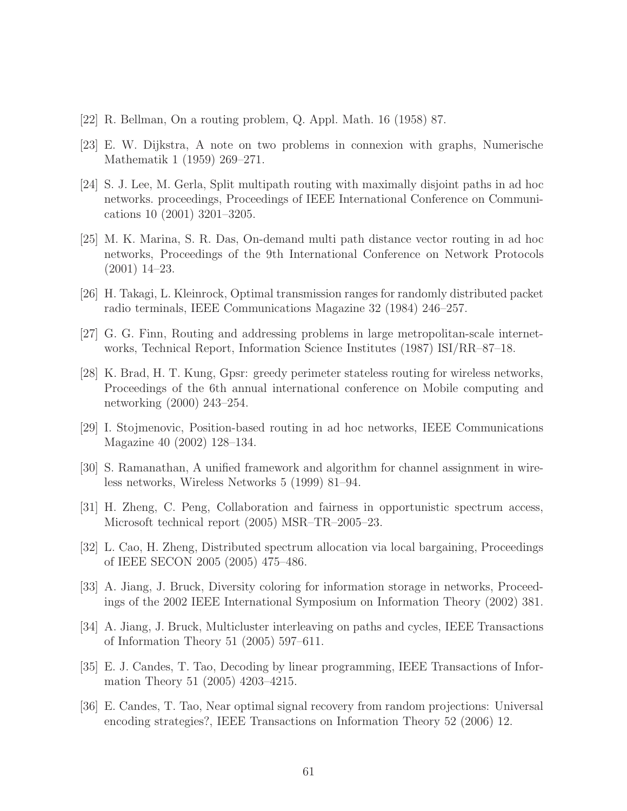- [22] R. Bellman, On a routing problem, Q. Appl. Math. 16 (1958) 87.
- [23] E. W. Dijkstra, A note on two problems in connexion with graphs, Numerische Mathematik 1 (1959) 269–271.
- [24] S. J. Lee, M. Gerla, Split multipath routing with maximally disjoint paths in ad hoc networks. proceedings, Proceedings of IEEE International Conference on Communications 10 (2001) 3201–3205.
- [25] M. K. Marina, S. R. Das, On-demand multi path distance vector routing in ad hoc networks, Proceedings of the 9th International Conference on Network Protocols (2001) 14–23.
- [26] H. Takagi, L. Kleinrock, Optimal transmission ranges for randomly distributed packet radio terminals, IEEE Communications Magazine 32 (1984) 246–257.
- [27] G. G. Finn, Routing and addressing problems in large metropolitan-scale internetworks, Technical Report, Information Science Institutes (1987) ISI/RR–87–18.
- [28] K. Brad, H. T. Kung, Gpsr: greedy perimeter stateless routing for wireless networks, Proceedings of the 6th annual international conference on Mobile computing and networking (2000) 243–254.
- [29] I. Stojmenovic, Position-based routing in ad hoc networks, IEEE Communications Magazine 40 (2002) 128–134.
- [30] S. Ramanathan, A unified framework and algorithm for channel assignment in wireless networks, Wireless Networks 5 (1999) 81–94.
- [31] H. Zheng, C. Peng, Collaboration and fairness in opportunistic spectrum access, Microsoft technical report (2005) MSR–TR–2005–23.
- [32] L. Cao, H. Zheng, Distributed spectrum allocation via local bargaining, Proceedings of IEEE SECON 2005 (2005) 475–486.
- [33] A. Jiang, J. Bruck, Diversity coloring for information storage in networks, Proceedings of the 2002 IEEE International Symposium on Information Theory (2002) 381.
- [34] A. Jiang, J. Bruck, Multicluster interleaving on paths and cycles, IEEE Transactions of Information Theory 51 (2005) 597–611.
- [35] E. J. Candes, T. Tao, Decoding by linear programming, IEEE Transactions of Information Theory 51 (2005) 4203–4215.
- [36] E. Candes, T. Tao, Near optimal signal recovery from random projections: Universal encoding strategies?, IEEE Transactions on Information Theory 52 (2006) 12.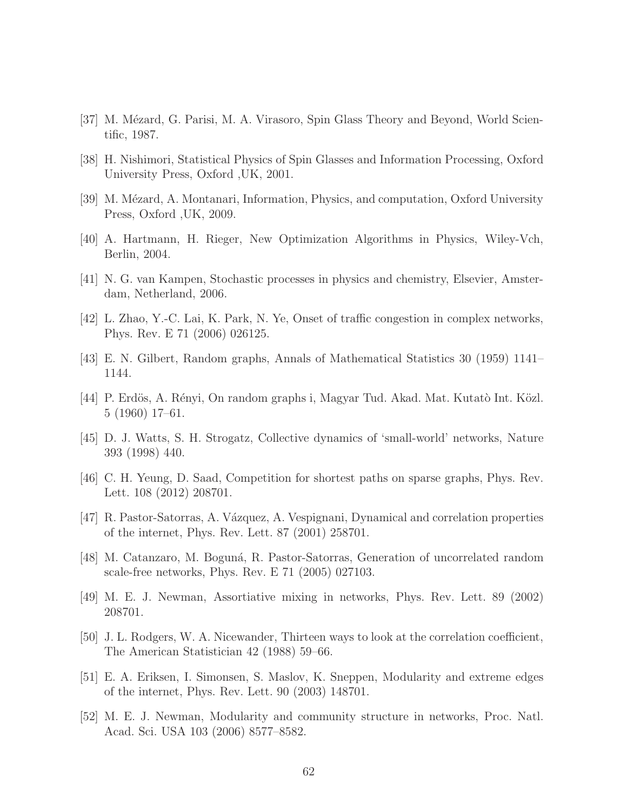- [37] M. Mézard, G. Parisi, M. A. Virasoro, Spin Glass Theory and Beyond, World Scientific, 1987.
- [38] H. Nishimori, Statistical Physics of Spin Glasses and Information Processing, Oxford University Press, Oxford ,UK, 2001.
- [39] M. Mézard, A. Montanari, Information, Physics, and computation, Oxford University Press, Oxford ,UK, 2009.
- [40] A. Hartmann, H. Rieger, New Optimization Algorithms in Physics, Wiley-Vch, Berlin, 2004.
- [41] N. G. van Kampen, Stochastic processes in physics and chemistry, Elsevier, Amsterdam, Netherland, 2006.
- [42] L. Zhao, Y.-C. Lai, K. Park, N. Ye, Onset of traffic congestion in complex networks, Phys. Rev. E 71 (2006) 026125.
- [43] E. N. Gilbert, Random graphs, Annals of Mathematical Statistics 30 (1959) 1141– 1144.
- [44] P. Erdös, A. Rényi, On random graphs i, Magyar Tud. Akad. Mat. Kutatò Int. Közl. 5 (1960) 17–61.
- [45] D. J. Watts, S. H. Strogatz, Collective dynamics of 'small-world' networks, Nature 393 (1998) 440.
- [46] C. H. Yeung, D. Saad, Competition for shortest paths on sparse graphs, Phys. Rev. Lett. 108 (2012) 208701.
- [47] R. Pastor-Satorras, A. Vázquez, A. Vespignani, Dynamical and correlation properties of the internet, Phys. Rev. Lett. 87 (2001) 258701.
- [48] M. Catanzaro, M. Bogun´a, R. Pastor-Satorras, Generation of uncorrelated random scale-free networks, Phys. Rev. E 71 (2005) 027103.
- [49] M. E. J. Newman, Assortiative mixing in networks, Phys. Rev. Lett. 89 (2002) 208701.
- [50] J. L. Rodgers, W. A. Nicewander, Thirteen ways to look at the correlation coefficient, The American Statistician 42 (1988) 59–66.
- [51] E. A. Eriksen, I. Simonsen, S. Maslov, K. Sneppen, Modularity and extreme edges of the internet, Phys. Rev. Lett. 90 (2003) 148701.
- [52] M. E. J. Newman, Modularity and community structure in networks, Proc. Natl. Acad. Sci. USA 103 (2006) 8577–8582.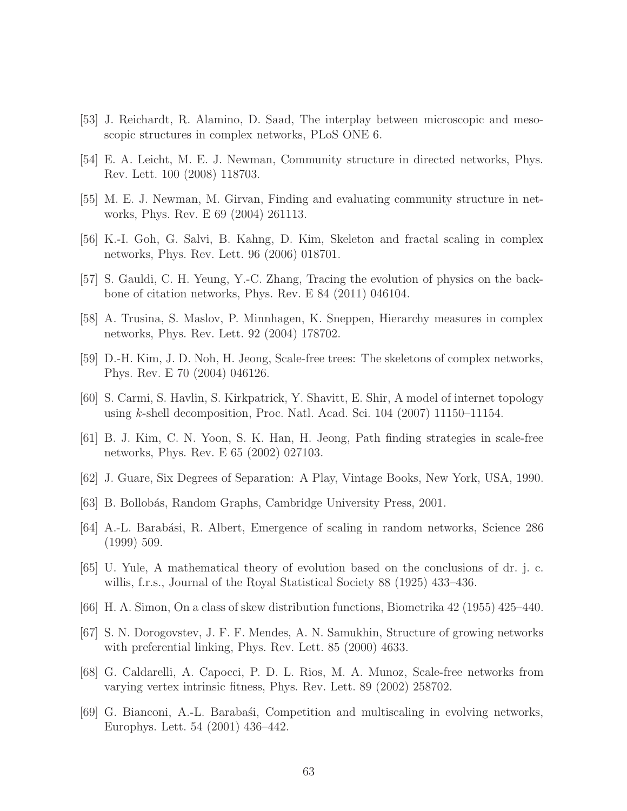- [53] J. Reichardt, R. Alamino, D. Saad, The interplay between microscopic and mesoscopic structures in complex networks, PLoS ONE 6.
- [54] E. A. Leicht, M. E. J. Newman, Community structure in directed networks, Phys. Rev. Lett. 100 (2008) 118703.
- [55] M. E. J. Newman, M. Girvan, Finding and evaluating community structure in networks, Phys. Rev. E 69 (2004) 261113.
- [56] K.-I. Goh, G. Salvi, B. Kahng, D. Kim, Skeleton and fractal scaling in complex networks, Phys. Rev. Lett. 96 (2006) 018701.
- [57] S. Gauldi, C. H. Yeung, Y.-C. Zhang, Tracing the evolution of physics on the backbone of citation networks, Phys. Rev. E 84 (2011) 046104.
- [58] A. Trusina, S. Maslov, P. Minnhagen, K. Sneppen, Hierarchy measures in complex networks, Phys. Rev. Lett. 92 (2004) 178702.
- [59] D.-H. Kim, J. D. Noh, H. Jeong, Scale-free trees: The skeletons of complex networks, Phys. Rev. E 70 (2004) 046126.
- [60] S. Carmi, S. Havlin, S. Kirkpatrick, Y. Shavitt, E. Shir, A model of internet topology using k-shell decomposition, Proc. Natl. Acad. Sci. 104 (2007) 11150–11154.
- [61] B. J. Kim, C. N. Yoon, S. K. Han, H. Jeong, Path finding strategies in scale-free networks, Phys. Rev. E 65 (2002) 027103.
- [62] J. Guare, Six Degrees of Separation: A Play, Vintage Books, New York, USA, 1990.
- [63] B. Bollobás, Random Graphs, Cambridge University Press, 2001.
- [64] A.-L. Barabási, R. Albert, Emergence of scaling in random networks, Science 286 (1999) 509.
- [65] U. Yule, A mathematical theory of evolution based on the conclusions of dr. j. c. willis, f.r.s., Journal of the Royal Statistical Society 88 (1925) 433–436.
- [66] H. A. Simon, On a class of skew distribution functions, Biometrika 42 (1955) 425–440.
- [67] S. N. Dorogovstev, J. F. F. Mendes, A. N. Samukhin, Structure of growing networks with preferential linking, Phys. Rev. Lett. 85 (2000) 4633.
- [68] G. Caldarelli, A. Capocci, P. D. L. Rios, M. A. Munoz, Scale-free networks from varying vertex intrinsic fitness, Phys. Rev. Lett. 89 (2002) 258702.
- [69] G. Bianconi, A.-L. Barabasti, Competition and multiscaling in evolving networks, Europhys. Lett. 54 (2001) 436–442.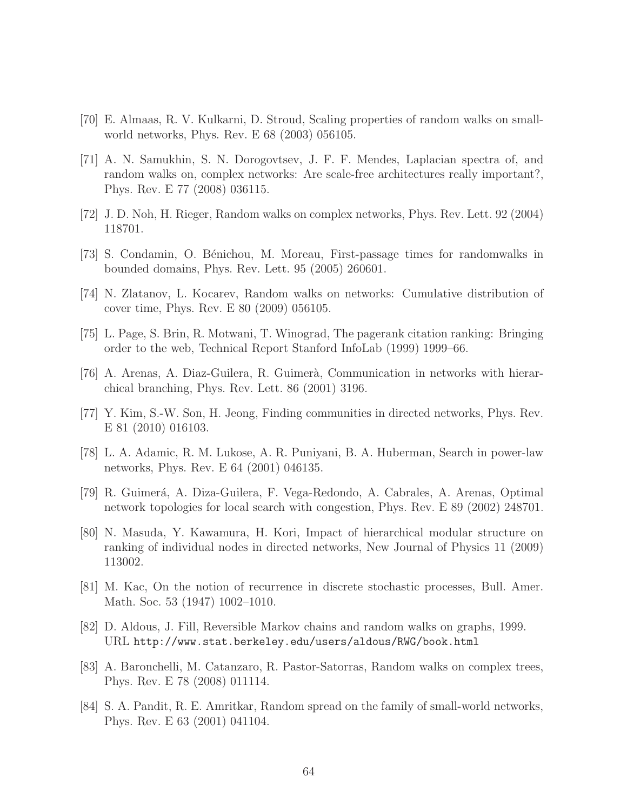- [70] E. Almaas, R. V. Kulkarni, D. Stroud, Scaling properties of random walks on smallworld networks, Phys. Rev. E 68 (2003) 056105.
- [71] A. N. Samukhin, S. N. Dorogovtsev, J. F. F. Mendes, Laplacian spectra of, and random walks on, complex networks: Are scale-free architectures really important?, Phys. Rev. E 77 (2008) 036115.
- [72] J. D. Noh, H. Rieger, Random walks on complex networks, Phys. Rev. Lett. 92 (2004) 118701.
- [73] S. Condamin, O. B´enichou, M. Moreau, First-passage times for randomwalks in bounded domains, Phys. Rev. Lett. 95 (2005) 260601.
- [74] N. Zlatanov, L. Kocarev, Random walks on networks: Cumulative distribution of cover time, Phys. Rev. E 80 (2009) 056105.
- [75] L. Page, S. Brin, R. Motwani, T. Winograd, The pagerank citation ranking: Bringing order to the web, Technical Report Stanford InfoLab (1999) 1999–66.
- [76] A. Arenas, A. Diaz-Guilera, R. Guimerà, Communication in networks with hierarchical branching, Phys. Rev. Lett. 86 (2001) 3196.
- [77] Y. Kim, S.-W. Son, H. Jeong, Finding communities in directed networks, Phys. Rev. E 81 (2010) 016103.
- [78] L. A. Adamic, R. M. Lukose, A. R. Puniyani, B. A. Huberman, Search in power-law networks, Phys. Rev. E 64 (2001) 046135.
- [79] R. Guimer´a, A. Diza-Guilera, F. Vega-Redondo, A. Cabrales, A. Arenas, Optimal network topologies for local search with congestion, Phys. Rev. E 89 (2002) 248701.
- [80] N. Masuda, Y. Kawamura, H. Kori, Impact of hierarchical modular structure on ranking of individual nodes in directed networks, New Journal of Physics 11 (2009) 113002.
- [81] M. Kac, On the notion of recurrence in discrete stochastic processes, Bull. Amer. Math. Soc. 53 (1947) 1002–1010.
- [82] D. Aldous, J. Fill, Reversible Markov chains and random walks on graphs, 1999. URL http://www.stat.berkeley.edu/users/aldous/RWG/book.html
- [83] A. Baronchelli, M. Catanzaro, R. Pastor-Satorras, Random walks on complex trees, Phys. Rev. E 78 (2008) 011114.
- [84] S. A. Pandit, R. E. Amritkar, Random spread on the family of small-world networks, Phys. Rev. E 63 (2001) 041104.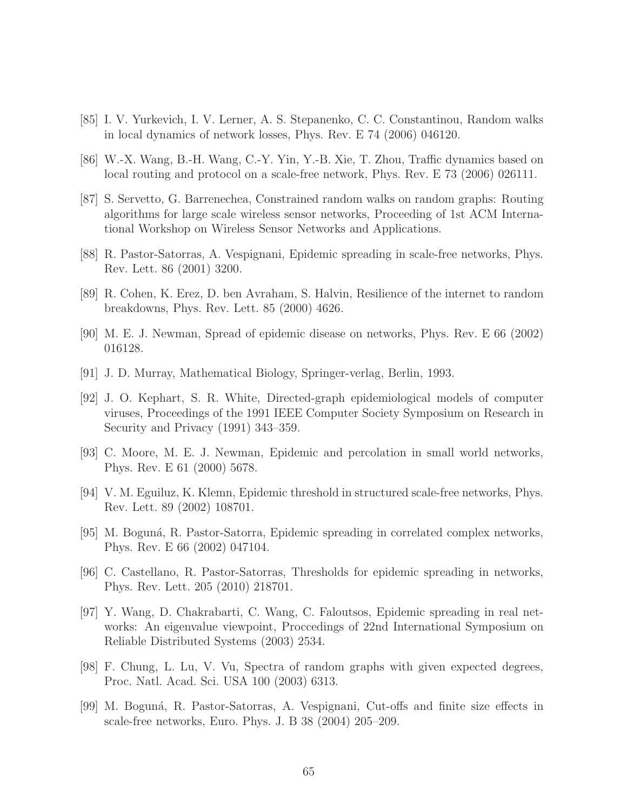- [85] I. V. Yurkevich, I. V. Lerner, A. S. Stepanenko, C. C. Constantinou, Random walks in local dynamics of network losses, Phys. Rev. E 74 (2006) 046120.
- [86] W.-X. Wang, B.-H. Wang, C.-Y. Yin, Y.-B. Xie, T. Zhou, Traffic dynamics based on local routing and protocol on a scale-free network, Phys. Rev. E 73 (2006) 026111.
- [87] S. Servetto, G. Barrenechea, Constrained random walks on random graphs: Routing algorithms for large scale wireless sensor networks, Proceeding of 1st ACM International Workshop on Wireless Sensor Networks and Applications.
- [88] R. Pastor-Satorras, A. Vespignani, Epidemic spreading in scale-free networks, Phys. Rev. Lett. 86 (2001) 3200.
- [89] R. Cohen, K. Erez, D. ben Avraham, S. Halvin, Resilience of the internet to random breakdowns, Phys. Rev. Lett. 85 (2000) 4626.
- [90] M. E. J. Newman, Spread of epidemic disease on networks, Phys. Rev. E 66 (2002) 016128.
- [91] J. D. Murray, Mathematical Biology, Springer-verlag, Berlin, 1993.
- [92] J. O. Kephart, S. R. White, Directed-graph epidemiological models of computer viruses, Proceedings of the 1991 IEEE Computer Society Symposium on Research in Security and Privacy (1991) 343–359.
- [93] C. Moore, M. E. J. Newman, Epidemic and percolation in small world networks, Phys. Rev. E 61 (2000) 5678.
- [94] V. M. Eguiluz, K. Klemn, Epidemic threshold in structured scale-free networks, Phys. Rev. Lett. 89 (2002) 108701.
- [95] M. Boguná, R. Pastor-Satorra, Epidemic spreading in correlated complex networks, Phys. Rev. E 66 (2002) 047104.
- [96] C. Castellano, R. Pastor-Satorras, Thresholds for epidemic spreading in networks, Phys. Rev. Lett. 205 (2010) 218701.
- [97] Y. Wang, D. Chakrabarti, C. Wang, C. Faloutsos, Epidemic spreading in real networks: An eigenvalue viewpoint, Proccedings of 22nd International Symposium on Reliable Distributed Systems (2003) 2534.
- [98] F. Chung, L. Lu, V. Vu, Spectra of random graphs with given expected degrees, Proc. Natl. Acad. Sci. USA 100 (2003) 6313.
- [99] M. Boguná, R. Pastor-Satorras, A. Vespignani, Cut-offs and finite size effects in scale-free networks, Euro. Phys. J. B 38 (2004) 205–209.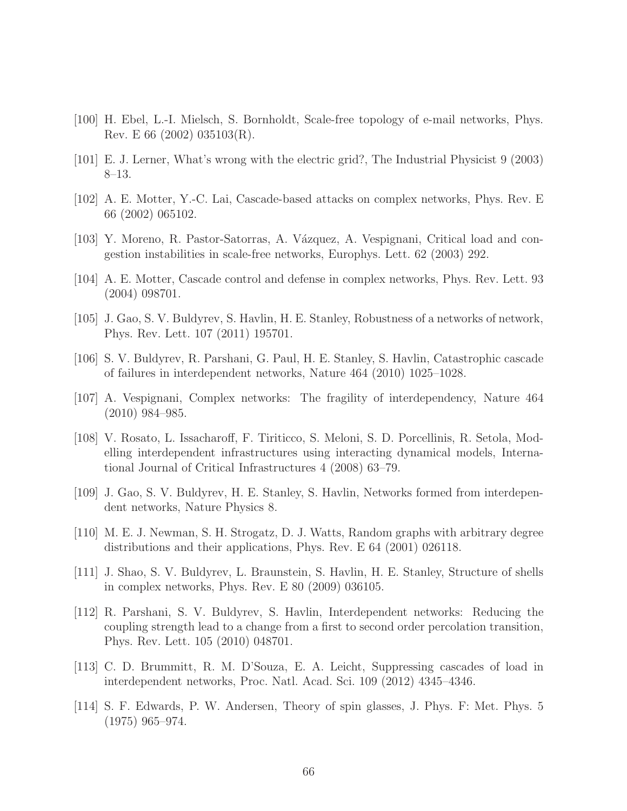- [100] H. Ebel, L.-I. Mielsch, S. Bornholdt, Scale-free topology of e-mail networks, Phys. Rev. E 66 (2002) 035103(R).
- [101] E. J. Lerner, What's wrong with the electric grid?, The Industrial Physicist 9 (2003) 8–13.
- [102] A. E. Motter, Y.-C. Lai, Cascade-based attacks on complex networks, Phys. Rev. E 66 (2002) 065102.
- [103] Y. Moreno, R. Pastor-Satorras, A. Vázquez, A. Vespignani, Critical load and congestion instabilities in scale-free networks, Europhys. Lett. 62 (2003) 292.
- [104] A. E. Motter, Cascade control and defense in complex networks, Phys. Rev. Lett. 93 (2004) 098701.
- [105] J. Gao, S. V. Buldyrev, S. Havlin, H. E. Stanley, Robustness of a networks of network, Phys. Rev. Lett. 107 (2011) 195701.
- [106] S. V. Buldyrev, R. Parshani, G. Paul, H. E. Stanley, S. Havlin, Catastrophic cascade of failures in interdependent networks, Nature 464 (2010) 1025–1028.
- [107] A. Vespignani, Complex networks: The fragility of interdependency, Nature 464 (2010) 984–985.
- [108] V. Rosato, L. Issacharoff, F. Tiriticco, S. Meloni, S. D. Porcellinis, R. Setola, Modelling interdependent infrastructures using interacting dynamical models, International Journal of Critical Infrastructures 4 (2008) 63–79.
- [109] J. Gao, S. V. Buldyrev, H. E. Stanley, S. Havlin, Networks formed from interdependent networks, Nature Physics 8.
- [110] M. E. J. Newman, S. H. Strogatz, D. J. Watts, Random graphs with arbitrary degree distributions and their applications, Phys. Rev. E 64 (2001) 026118.
- [111] J. Shao, S. V. Buldyrev, L. Braunstein, S. Havlin, H. E. Stanley, Structure of shells in complex networks, Phys. Rev. E 80 (2009) 036105.
- [112] R. Parshani, S. V. Buldyrev, S. Havlin, Interdependent networks: Reducing the coupling strength lead to a change from a first to second order percolation transition, Phys. Rev. Lett. 105 (2010) 048701.
- [113] C. D. Brummitt, R. M. D'Souza, E. A. Leicht, Suppressing cascades of load in interdependent networks, Proc. Natl. Acad. Sci. 109 (2012) 4345–4346.
- [114] S. F. Edwards, P. W. Andersen, Theory of spin glasses, J. Phys. F: Met. Phys. 5 (1975) 965–974.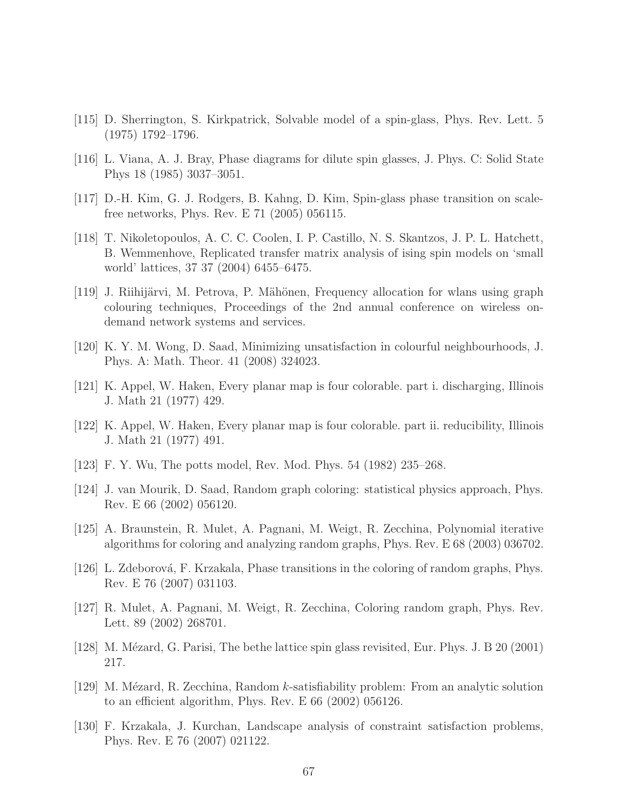- [115] D. Sherrington, S. Kirkpatrick, Solvable model of a spin-glass, Phys. Rev. Lett. 5 (1975) 1792–1796.
- [116] L. Viana, A. J. Bray, Phase diagrams for dilute spin glasses, J. Phys. C: Solid State Phys 18 (1985) 3037–3051.
- [117] D.-H. Kim, G. J. Rodgers, B. Kahng, D. Kim, Spin-glass phase transition on scalefree networks, Phys. Rev. E 71 (2005) 056115.
- [118] T. Nikoletopoulos, A. C. C. Coolen, I. P. Castillo, N. S. Skantzos, J. P. L. Hatchett, B. Wemmenhove, Replicated transfer matrix analysis of ising spin models on 'small world' lattices, 37 37 (2004) 6455–6475.
- [119] J. Riihijärvi, M. Petrova, P. Mähönen, Frequency allocation for wlans using graph colouring techniques, Proceedings of the 2nd annual conference on wireless ondemand network systems and services.
- [120] K. Y. M. Wong, D. Saad, Minimizing unsatisfaction in colourful neighbourhoods, J. Phys. A: Math. Theor. 41 (2008) 324023.
- [121] K. Appel, W. Haken, Every planar map is four colorable. part i. discharging, Illinois J. Math 21 (1977) 429.
- [122] K. Appel, W. Haken, Every planar map is four colorable. part ii. reducibility, Illinois J. Math 21 (1977) 491.
- [123] F. Y. Wu, The potts model, Rev. Mod. Phys. 54 (1982) 235–268.
- [124] J. van Mourik, D. Saad, Random graph coloring: statistical physics approach, Phys. Rev. E 66 (2002) 056120.
- [125] A. Braunstein, R. Mulet, A. Pagnani, M. Weigt, R. Zecchina, Polynomial iterative algorithms for coloring and analyzing random graphs, Phys. Rev. E 68 (2003) 036702.
- [126] L. Zdeborová, F. Krzakala, Phase transitions in the coloring of random graphs, Phys. Rev. E 76 (2007) 031103.
- [127] R. Mulet, A. Pagnani, M. Weigt, R. Zecchina, Coloring random graph, Phys. Rev. Lett. 89 (2002) 268701.
- [128] M. Mézard, G. Parisi, The bethe lattice spin glass revisited, Eur. Phys. J. B 20 (2001) 217.
- [129] M. Mézard, R. Zecchina, Random k-satisfiability problem: From an analytic solution to an efficient algorithm, Phys. Rev. E 66 (2002) 056126.
- [130] F. Krzakala, J. Kurchan, Landscape analysis of constraint satisfaction problems, Phys. Rev. E 76 (2007) 021122.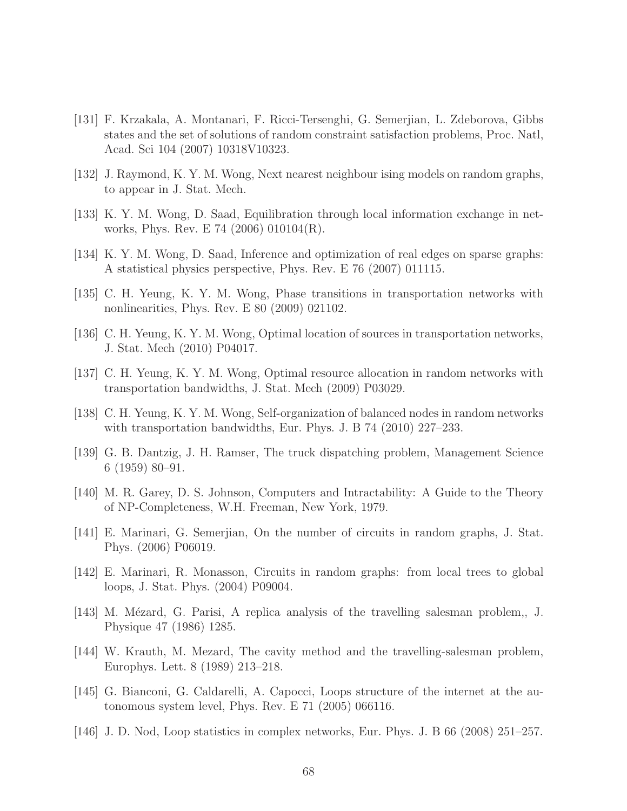- [131] F. Krzakala, A. Montanari, F. Ricci-Tersenghi, G. Semerjian, L. Zdeborova, Gibbs states and the set of solutions of random constraint satisfaction problems, Proc. Natl, Acad. Sci 104 (2007) 10318V10323.
- [132] J. Raymond, K. Y. M. Wong, Next nearest neighbour ising models on random graphs, to appear in J. Stat. Mech.
- [133] K. Y. M. Wong, D. Saad, Equilibration through local information exchange in networks, Phys. Rev. E 74 (2006) 010104(R).
- [134] K. Y. M. Wong, D. Saad, Inference and optimization of real edges on sparse graphs: A statistical physics perspective, Phys. Rev. E 76 (2007) 011115.
- [135] C. H. Yeung, K. Y. M. Wong, Phase transitions in transportation networks with nonlinearities, Phys. Rev. E 80 (2009) 021102.
- [136] C. H. Yeung, K. Y. M. Wong, Optimal location of sources in transportation networks, J. Stat. Mech (2010) P04017.
- [137] C. H. Yeung, K. Y. M. Wong, Optimal resource allocation in random networks with transportation bandwidths, J. Stat. Mech (2009) P03029.
- [138] C. H. Yeung, K. Y. M. Wong, Self-organization of balanced nodes in random networks with transportation bandwidths, Eur. Phys. J. B 74 (2010) 227–233.
- [139] G. B. Dantzig, J. H. Ramser, The truck dispatching problem, Management Science 6 (1959) 80–91.
- [140] M. R. Garey, D. S. Johnson, Computers and Intractability: A Guide to the Theory of NP-Completeness, W.H. Freeman, New York, 1979.
- [141] E. Marinari, G. Semerjian, On the number of circuits in random graphs, J. Stat. Phys. (2006) P06019.
- [142] E. Marinari, R. Monasson, Circuits in random graphs: from local trees to global loops, J. Stat. Phys. (2004) P09004.
- [143] M. Mézard, G. Parisi, A replica analysis of the travelling salesman problem,, J. Physique 47 (1986) 1285.
- [144] W. Krauth, M. Mezard, The cavity method and the travelling-salesman problem, Europhys. Lett. 8 (1989) 213–218.
- [145] G. Bianconi, G. Caldarelli, A. Capocci, Loops structure of the internet at the autonomous system level, Phys. Rev. E 71 (2005) 066116.
- [146] J. D. Nod, Loop statistics in complex networks, Eur. Phys. J. B 66 (2008) 251–257.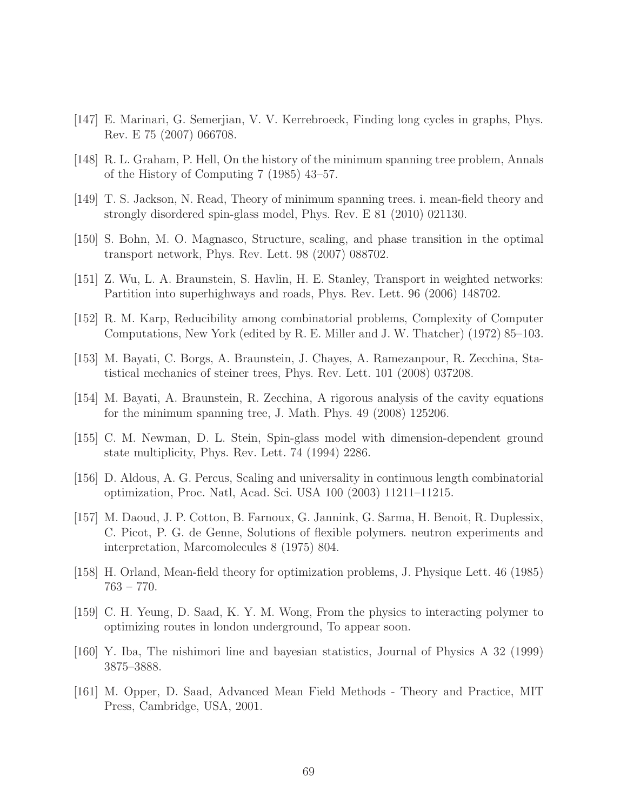- [147] E. Marinari, G. Semerjian, V. V. Kerrebroeck, Finding long cycles in graphs, Phys. Rev. E 75 (2007) 066708.
- [148] R. L. Graham, P. Hell, On the history of the minimum spanning tree problem, Annals of the History of Computing 7 (1985) 43–57.
- [149] T. S. Jackson, N. Read, Theory of minimum spanning trees. i. mean-field theory and strongly disordered spin-glass model, Phys. Rev. E 81 (2010) 021130.
- [150] S. Bohn, M. O. Magnasco, Structure, scaling, and phase transition in the optimal transport network, Phys. Rev. Lett. 98 (2007) 088702.
- [151] Z. Wu, L. A. Braunstein, S. Havlin, H. E. Stanley, Transport in weighted networks: Partition into superhighways and roads, Phys. Rev. Lett. 96 (2006) 148702.
- [152] R. M. Karp, Reducibility among combinatorial problems, Complexity of Computer Computations, New York (edited by R. E. Miller and J. W. Thatcher) (1972) 85–103.
- [153] M. Bayati, C. Borgs, A. Braunstein, J. Chayes, A. Ramezanpour, R. Zecchina, Statistical mechanics of steiner trees, Phys. Rev. Lett. 101 (2008) 037208.
- [154] M. Bayati, A. Braunstein, R. Zecchina, A rigorous analysis of the cavity equations for the minimum spanning tree, J. Math. Phys. 49 (2008) 125206.
- [155] C. M. Newman, D. L. Stein, Spin-glass model with dimension-dependent ground state multiplicity, Phys. Rev. Lett. 74 (1994) 2286.
- [156] D. Aldous, A. G. Percus, Scaling and universality in continuous length combinatorial optimization, Proc. Natl, Acad. Sci. USA 100 (2003) 11211–11215.
- [157] M. Daoud, J. P. Cotton, B. Farnoux, G. Jannink, G. Sarma, H. Benoit, R. Duplessix, C. Picot, P. G. de Genne, Solutions of flexible polymers. neutron experiments and interpretation, Marcomolecules 8 (1975) 804.
- [158] H. Orland, Mean-field theory for optimization problems, J. Physique Lett. 46 (1985) 763 – 770.
- [159] C. H. Yeung, D. Saad, K. Y. M. Wong, From the physics to interacting polymer to optimizing routes in london underground, To appear soon.
- [160] Y. Iba, The nishimori line and bayesian statistics, Journal of Physics A 32 (1999) 3875–3888.
- [161] M. Opper, D. Saad, Advanced Mean Field Methods Theory and Practice, MIT Press, Cambridge, USA, 2001.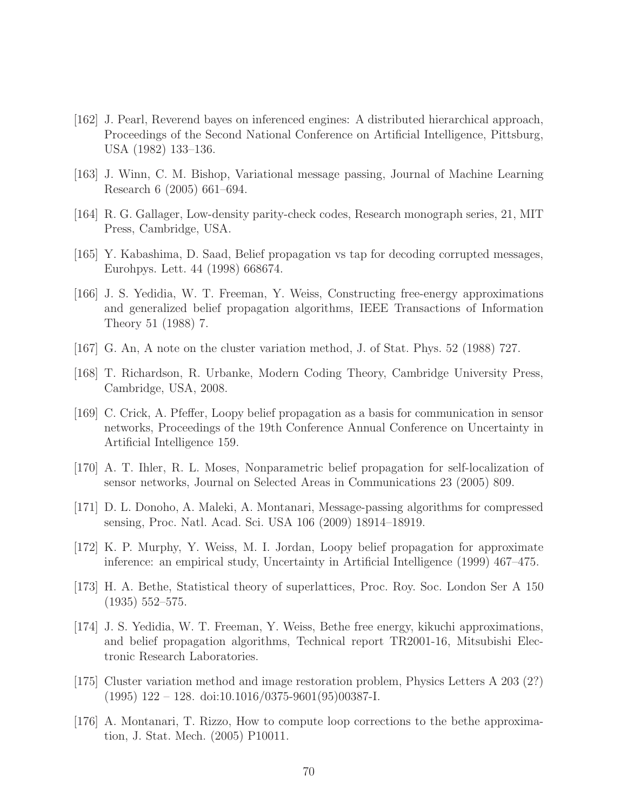- [162] J. Pearl, Reverend bayes on inferenced engines: A distributed hierarchical approach, Proceedings of the Second National Conference on Artificial Intelligence, Pittsburg, USA (1982) 133–136.
- [163] J. Winn, C. M. Bishop, Variational message passing, Journal of Machine Learning Research 6 (2005) 661–694.
- [164] R. G. Gallager, Low-density parity-check codes, Research monograph series, 21, MIT Press, Cambridge, USA.
- [165] Y. Kabashima, D. Saad, Belief propagation vs tap for decoding corrupted messages, Eurohpys. Lett. 44 (1998) 668674.
- [166] J. S. Yedidia, W. T. Freeman, Y. Weiss, Constructing free-energy approximations and generalized belief propagation algorithms, IEEE Transactions of Information Theory 51 (1988) 7.
- [167] G. An, A note on the cluster variation method, J. of Stat. Phys. 52 (1988) 727.
- [168] T. Richardson, R. Urbanke, Modern Coding Theory, Cambridge University Press, Cambridge, USA, 2008.
- [169] C. Crick, A. Pfeffer, Loopy belief propagation as a basis for communication in sensor networks, Proceedings of the 19th Conference Annual Conference on Uncertainty in Artificial Intelligence 159.
- [170] A. T. Ihler, R. L. Moses, Nonparametric belief propagation for self-localization of sensor networks, Journal on Selected Areas in Communications 23 (2005) 809.
- [171] D. L. Donoho, A. Maleki, A. Montanari, Message-passing algorithms for compressed sensing, Proc. Natl. Acad. Sci. USA 106 (2009) 18914–18919.
- [172] K. P. Murphy, Y. Weiss, M. I. Jordan, Loopy belief propagation for approximate inference: an empirical study, Uncertainty in Artificial Intelligence (1999) 467–475.
- [173] H. A. Bethe, Statistical theory of superlattices, Proc. Roy. Soc. London Ser A 150 (1935) 552–575.
- [174] J. S. Yedidia, W. T. Freeman, Y. Weiss, Bethe free energy, kikuchi approximations, and belief propagation algorithms, Technical report TR2001-16, Mitsubishi Electronic Research Laboratories.
- [175] Cluster variation method and image restoration problem, Physics Letters A 203 (2?)  $(1995)$  122 – 128. doi:10.1016/0375-9601(95)00387-I.
- [176] A. Montanari, T. Rizzo, How to compute loop corrections to the bethe approximation, J. Stat. Mech. (2005) P10011.